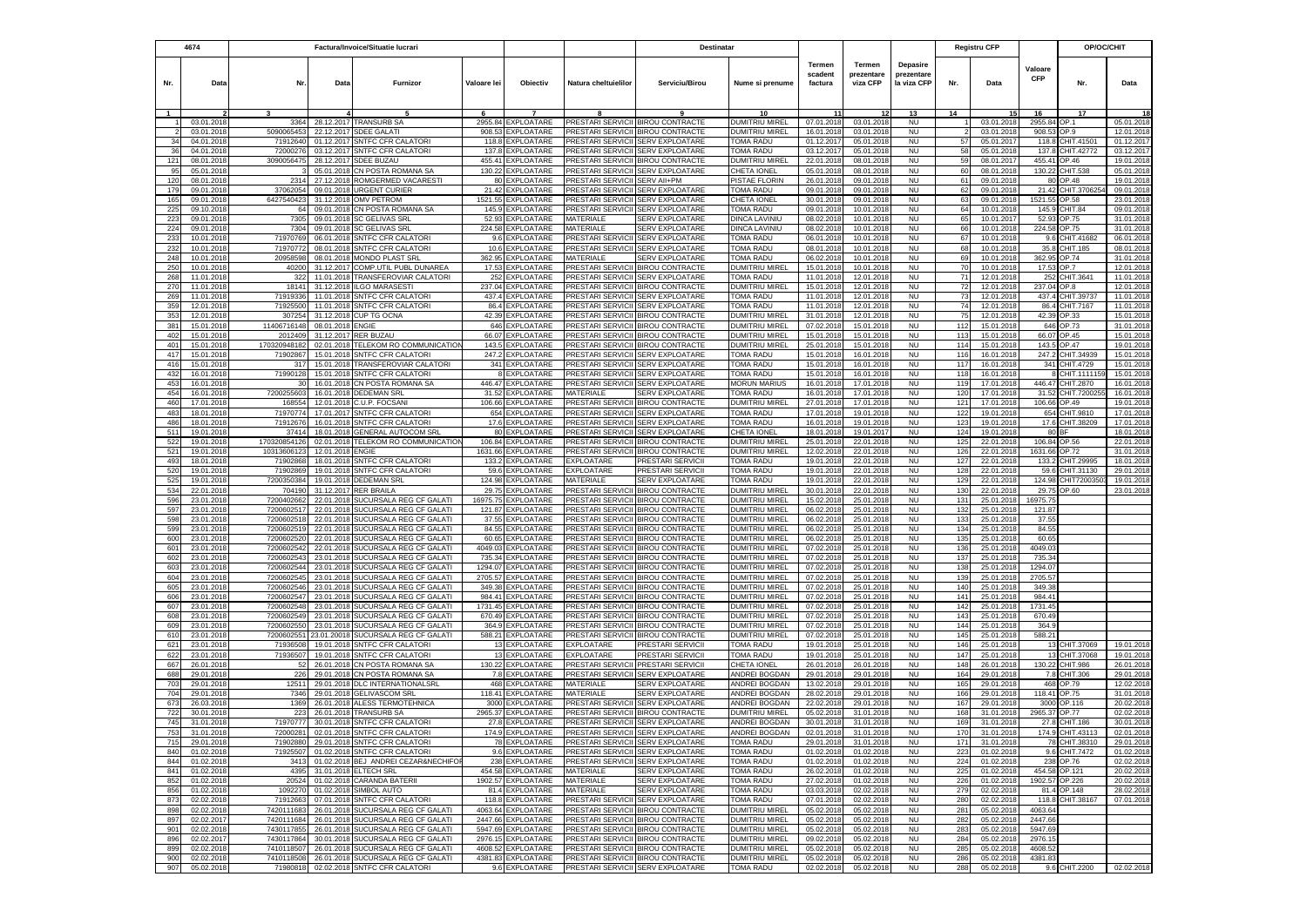|                          | 4674                     | Factura/Invoice/Situatie lucrari |                          |                                                                          |                   | Destinatar                               |                                        |                                                                        |                                                |                              | <b>Registru CFP</b>              |                                       |            | OP/OC/CHIT               |                       |                          |                          |
|--------------------------|--------------------------|----------------------------------|--------------------------|--------------------------------------------------------------------------|-------------------|------------------------------------------|----------------------------------------|------------------------------------------------------------------------|------------------------------------------------|------------------------------|----------------------------------|---------------------------------------|------------|--------------------------|-----------------------|--------------------------|--------------------------|
| Nr.                      | Data                     | Nr.                              | Data                     | Furnizor                                                                 | Valoare lei       | Objectiv                                 | Natura cheltuielilor                   | Serviciu/Birou                                                         | Nume si prenume                                | Termen<br>scadent<br>factura | Termen<br>prezentare<br>viza CFP | Depasire<br>prezentare<br>la viza CFP | Nr.        | Data                     | Valoare<br><b>CFP</b> | Nr.                      | Data                     |
|                          |                          |                                  |                          |                                                                          | 6                 | $\overline{7}$                           |                                        |                                                                        | 10                                             |                              |                                  | 13                                    | 14         |                          | 16                    | 17                       |                          |
|                          | 03.01.201                | 3364                             | 28.12.2017               | <b>TRANSURB SA</b>                                                       | 2955.84           | <b>XPLOATARE</b>                         | <b>PRESTARI SERVICI</b>                | <b>BIROU CONTRACTE</b>                                                 | DUMITRIU MIREL                                 | 07.01.201                    | 03.01.201                        | <b>NU</b>                             |            | 03.01.2018               | 2955.84               | OP.1                     | 05.01.2018               |
| $\overline{\phantom{a}}$ | 03.01.2018               | 5090065453                       | 22.12.2017               | <b>SDEE GALATI</b>                                                       | 908.53            | <b>XPLOATARE</b>                         | <b>PRESTARI SERVICII</b>               | <b>BIROU CONTRACTE</b>                                                 | DUMITRIU MIREL                                 | 16.01.201                    | 03.01.201                        | <b>NU</b>                             |            | 03.01.2018               | 908.53                | OP 9                     | 12.01.201                |
| 34<br>36                 | 04.01.2018<br>04.01.201  | 71912640<br>7200027              | 01.12.2017<br>03.12.201  | SNTFC CFR CALATOR<br><b>SNTFC CFR CALATORI</b>                           | 118.8<br>137.     | EXPLOATARE<br><b>XPLOATARE</b>           | PRESTARI SERVICII<br>PRESTARI SERVICI  | <b>SERV EXPLOATARE</b><br><b>SERV EXPLOATARE</b>                       | TOMA RADU<br>TOMA RADU                         | 01.12.201<br>03.12.201       | 05.01.201<br>05.01.201           | <b>NU</b><br><b>NU</b>                | 57<br>58   | 05.01.201<br>05.01.201   | 118.8<br>137.         | CHIT.41501<br>HIT.42772  | 01.12.201<br>03.12.201   |
| 121                      | 08.01.2018               | 309005647                        | 28.12.2017               | SDEE BUZAL                                                               | 455.41            | <b>XPLOATARE</b>                         | PRESTARI SERVICII                      | <b>BIROU CONTRACTE</b>                                                 | DUMITRIU MIRE                                  | 22.01.201                    | 08.01.201                        | <b>NU</b>                             | 59         | 08.01.201                | 455.4                 | P.46                     | 19.01.201                |
| 95                       | 05.01.2018               |                                  | 05.01.2018               | CN POSTA ROMANA SA                                                       | 130.22            | <b>EXPLOATARE</b>                        | PRESTARI SERVICII                      | <b>SERV EXPLOATARE</b>                                                 | CHETA IONEL                                    | 05.01.201                    | 08.01.2018                       | <b>NU</b>                             | 60         | 08.01.2018               | 130.22                | CHIT.538                 | 05.01.201                |
| 120                      | 08.01.2018               | 2314                             | 27.12.2018               | ROMGERMED VACARESTI                                                      | 80                | <b>XPLOATARE</b>                         | PRESTARI SERVICII                      | SERV All+PM                                                            | PISTAE FLORIN                                  | 26.01.201                    | 09.01.2018                       | <b>NU</b>                             | 61         | 09.01.2018               | 80                    | OP.48                    | 19.01.201                |
| 179                      | 09.01.201                | 37062054                         | 09.01.2018               | <b>URGENT CURIER</b>                                                     | 21.42             | <b>XPLOATARE</b>                         | PRESTARI SERVICI                       | <b>SERV EXPLOATARE</b>                                                 | <b><i>FOMA RADU</i></b>                        | 09.01.201                    | 09.01.201                        | <b>NU</b>                             | 62         | 09.01.201                | 21.42                 | CHIT.370625              | 09.01.201                |
| 165<br>225               | 09.01.2018<br>09.10.201  | 6427540423<br>64                 | 09.01.2018               | 31.12.2018 OMV PETROM<br>CN POSTA ROMANA SA                              | 1521.55<br>145.9  | EXPLOATARE<br><b>EXPLOATARE</b>          | PRESTARI SERVICII<br>PRESTARI SERVICII | <b>SERV EXPLOATARE</b><br><b>SERV EXPLOATARE</b>                       | CHETA IONEL<br>TOMA RADU                       | 30.01.2018<br>09.01.201      | 09.01.201<br>10.01.2018          | <b>NU</b><br><b>NU</b>                | 63<br>64   | 09.01.2018<br>10.01.201  | 1521.55<br>145.9      | OP.58<br>CHIT.84         | 23.01.201<br>09.01.201   |
| 223                      | 09.01.201                | 7305                             | 09.01.201                | SC GELIVAS SRI                                                           | 52.93             | <b>XPLOATARE</b>                         | MATERIALE                              | <b>SERV EXPLOATARE</b>                                                 | DINCA LAVINII                                  | 08.02.201                    | 10.01.201                        | <b>NU</b>                             | 65         | 10.01.201                | 52.93                 | OP.75                    | 31.01.201                |
| 224                      | 09.01.201                | 7304                             | 09.01.201                | <b>SC GELIVAS SRL</b>                                                    | 224.58            | EXPLOATARE                               | MATERIALE                              | <b>SERV EXPLOATARE</b>                                                 | DINCA LAVINIL                                  | 08.02.201                    | 10.01.201                        | <b>NU</b>                             | 66         | 10.01.201                | 224.58                | OP.75                    | 31.01.201                |
| 233                      | 10.01.201                | 71970769                         | 06.01.201                | <b>SNTFC CFR CALATOR</b>                                                 | 9.6               | EXPLOATARE                               | PRESTARI SERVICI                       | <b>SERV EXPLOATARE</b>                                                 | TOMA RADU                                      | 06.01.201                    | 10.01.201                        | <b>NU</b>                             | 67         | 10.01.201                | 9.6                   | CHIT.41682               | 06.01.201                |
| 232                      | 10.01.201                | 7197077                          | 08.01.201                | SNTFC CFR CALATORI                                                       | 10.6              | <b>XPLOATARE</b>                         | PRESTARI SERVICII                      | <b>SERV EXPLOATARE</b>                                                 | TOMA RADU                                      | 08.01.201                    | 10.01.201                        | <b>NU</b>                             | 68         | 10.01.201                | 35.8                  | CHIT.185                 | 08.01.201                |
| 248                      | 10.01.2018               | 20958598                         | 08.01.2018               | MONDO PLAST SRL                                                          | 362.95            | EXPLOATARE                               | MATERIALE                              | <b>SERV EXPLOATARE</b>                                                 | TOMA RADU                                      | 06.02.201                    | 10.01.2018                       | <b>NU</b>                             | 69         | 10.01.2018               | 362.95                | OP.74                    | 31.01.201                |
| 250<br>268               | 10.01.2018<br>11.01.2018 | 40200<br>32                      | 31.12.2017<br>11.01.2018 | COMP.UTIL PUBL DUNAREA<br>TRANSFEROVIAR CALATORI                         | 17.53<br>252      | EXPLOATARE<br><b>XPLOATARE</b>           | PRESTARI SERVICII                      | PRESTARI SERVICII BIROU CONTRACTE<br><b>SERV EXPLOATARE</b>            | DUMITRIU MIREL<br>TOMA RADU                    | 15.01.201<br>11.01.201       | 10.01.2018<br>12.01.201          | <b>NU</b><br><b>NU</b>                | 70<br>71   | 10.01.2018<br>12.01.2018 | 17.53<br>252          | OP.7<br>CHIT.364         | 12.01.201<br>11.01.201   |
| 270                      | 11.01.2018               | 18141                            |                          | 31.12.2018 ILGO MARASESTI                                                |                   | 237.04 EXPLOATARE                        |                                        | PRESTARI SERVICII BIROU CONTRACTE                                      | <b>DUMITRIU MIREL</b>                          | 15.01.201                    | 12.01.201                        | <b>NU</b>                             | 72         | 12.01.2018               | 237.04 OP.8           |                          | 12.01.201                |
| 269                      | 11.01.2018               | 71919336                         |                          | 11.01.2018 SNTFC CFR CALATORI                                            |                   | 437.4 EXPLOATARE                         |                                        | PRESTARI SERVICII SERV EXPLOATARE                                      | TOMA RADU                                      | 11.01.2018                   | 12.01.2018                       | <b>NU</b>                             | 73         | 12.01.2018               |                       | 437.4 CHIT.39737         | 11.01.201                |
| 359                      | 12.01.2018               | 71925500                         |                          | 11.01.2018 SNTFC CFR CALATORI                                            |                   | 86.4 EXPLOATARE                          | PRESTARI SERVICII                      | <b>SERV EXPLOATARE</b>                                                 | TOMA RADU                                      | 11.01.201                    | 12.01.201                        | <b>NU</b>                             | 74         | 12.01.2018               |                       | 86.4 CHIT.7167           | 11.01.201                |
| 353                      | 12.01.2018               | 307254                           |                          | 31.12.2018 CUP TG OCNA                                                   |                   | 42.39 EXPLOATARE                         |                                        | PRESTARI SERVICII BIROU CONTRACTE                                      | <b>DUMITRIU MIREL</b>                          | 31.01.201                    | 12.01.2018                       | <b>NU</b>                             | 75         | 12.01.2018               | 42.39                 | OP.33                    | 15.01.201                |
| 381<br>402               | 15.01.2018<br>15.01.2018 | 11406716148<br>201240            | 08.01.2018 ENGIE         | 31.12.2017 RER BUZAU                                                     | 66.07             | 646 EXPLOATARE<br><b>EXPLOATARE</b>      |                                        | PRESTARI SERVICII BIROU CONTRACTE<br>PRESTARI SERVICII BIROU CONTRACTE | <b>DUMITRIU MIREL</b><br>DUMITRIU MIREI        | 07.02.201<br>15.01.201       | 15.01.2018<br>15.01.201          | <b>NU</b><br><b>NU</b>                | 112<br>113 | 15.01.2018<br>15.01.201  | 66.07                 | 646 OP.73<br>OP.45       | 31.01.201<br>15.01.201   |
| 401                      | 15.01.201                | 17032094818                      | 02.01.201                | TELEKOM RO COMMUNICATIO                                                  | 143.5             | EXPLOATARE                               | PRESTARI SERVICI                       | <b>BIROU CONTRACTE</b>                                                 | DUMITRILL MIREI                                | 25.01.201                    | 15.01.201                        | <b>NU</b>                             | 114        | 15.01.201                | 143.5                 | OP.47                    | 19.01.201                |
| 417                      | 15.01.201                | 7190286                          | 15.01.201                | <b>SNTFC CFR CALATORI</b>                                                | 247.2             | <b>EXPLOATARE</b>                        | PRESTARI SERVICI                       | <b>SERV EXPLOATARE</b>                                                 | TOMA RADL                                      | 15.01.201                    | 16.01.201                        | <b>NU</b>                             | 116        | 16.01.201                | 247.2                 | CHIT.34939               | 15.01.201                |
| 416                      | 15.01.201                | 31                               | 15.01.201                | TRANSFEROVIAR CALATORI                                                   | 341               | <b>XPLOATARE</b>                         | PRESTARI SERVICI                       | <b>SERV EXPLOATARE</b>                                                 | TOMA RADU                                      | 15.01.201                    | 16.01.201                        | <b>NU</b>                             | 117        | 16.01.2018               | 341                   | HIT.4729                 | 15.01.201                |
| 432                      | 16.01.2018               | 71990128                         | 15.01.2018               | SNTFC CFR CALATOR                                                        |                   | EXPLOATARE                               | PRESTARI SERVICII                      | <b>SERV EXPLOATARE</b>                                                 | TOMA RADU                                      | 15.01.201                    | 16.01.2018                       | <b>NU</b>                             | 118        | 16.01.2018               |                       | CHIT.111115              | 15.01.201                |
| 453                      | 16.01.2018               |                                  | 16.01.2018               | CN POSTA ROMANA SA                                                       | 446.47            | EXPLOATARE                               |                                        | PRESTARI SERVICII SERV EXPLOATARE                                      | <b>MORUN MARIUS</b>                            | 16.01.201                    | 17.01.2018                       | <b>NU</b>                             | 119        | 17.01.201                | 446.47                | CHIT.2870                | 16.01.201                |
| 454<br>460               | 16.01.2018<br>17.01.2018 | 720025560<br>168554              | 16.01.201<br>12.01.2018  | DEDEMAN SRL<br>C.U.P. FOCSAN                                             | 31.52<br>106.66   | <b>EXPLOATARE</b><br>EXPLOATARE          | MATERIALE<br>PRESTARI SERVICII         | <b>SERV EXPLOATARE</b><br><b>BIROU CONTRACTE</b>                       | TOMA RADU<br>DUMITRIU MIREI                    | 16.01.201<br>27.01.201       | 17.01.2018<br>17.01.201          | <b>NU</b><br><b>NU</b>                | 120<br>121 | 17.01.201<br>17.01.2018  | 31.5<br>106.66        | HIT.72002<br>OP.49       | 16.01.201<br>19.01.201   |
| 483                      | 18.01.2018               | 71970774                         | 17.01.2017               | <b>SNTFC CFR CALATORI</b>                                                | 654               | EXPLOATARE                               | PRESTARI SERVICII                      | <b>SERV EXPLOATARE</b>                                                 | TOMA RADU                                      | 17.01.201                    | 19.01.2018                       | <b>NU</b>                             | 122        | 19.01.2018               |                       | 654 CHIT.9810            | 17.01.201                |
| 486                      | 18.01.2018               | 71912676                         | 16.01.2018               | <b>SNTFC CFR CALATORI</b>                                                | 17.6              | EXPLOATARE                               | PRESTARI SERVICII                      | <b>SERV EXPLOATARE</b>                                                 | TOMA RADU                                      | 16.01.201                    | 19.01.2018                       | <b>NU</b>                             | 123        | 19.01.2018               |                       | 17.6 CHIT.38209          | 17.01.201                |
| 511                      | 19.01.2018               | 37414                            | 18.01.2018               | <b>GENERAL AUTOCOM SRI</b>                                               | 80                | <b>EXPLOATARE</b>                        | PRESTARI SERVICII                      | <b>SERV EXPLOATARE</b>                                                 | CHETA IONEL                                    | 18.01.201                    | 19.01.2017                       | <b>NU</b>                             | 124        | 19.01.2018               | 80 BF                 |                          | 18.01.201                |
| 522                      | 19.01.2018               | 17032085412                      |                          | 02.01.2018 TELEKOM RO COMMUNICATION                                      |                   | 106.84 EXPLOATARE                        |                                        | PRESTARI SERVICII BIROU CONTRACTE                                      | DUMITRIU MIREL                                 | 25.01.201                    | 22.01.2018                       | <b>NU</b>                             | 125        | 22.01.2018               | 106.84 OP.56          |                          | 22.01.201                |
| 521<br>493               | 19.01.2018               | 1031360612<br>7190286            | 12.01.201<br>18.01.201   | ENGIE<br>SNTFC CFR CALATORI                                              | 1631.66<br>133.2  | <b>EXPLOATARE</b><br>EXPLOATARE          | <b>EXPLOATARE</b>                      | PRESTARI SERVICII BIROU CONTRACTE                                      | <b>DUMITRIU MIREL</b><br>TOMA RADU             | 12.02.201<br>19.01.201       | 22.01.2018<br>22.01.2018         | <b>NU</b><br><b>NU</b>                | 126<br>127 | 22.01.201<br>22.01.201   | 1631.66<br>133.2      | OP.72                    | 31.01.201<br>18.01.201   |
| 520                      | 18.01.2018<br>19.01.201  | 7190286                          | 19.01.201                | SNTFC CFR CALATOR                                                        | 59.6              | EXPLOATARE                               | <b>EXPLOATARE</b>                      | PRESTARI SERVICII<br>PRESTARI SERVICII                                 | <b>TOMA RADL</b>                               | 19.01.201                    | 22.01.201                        | <b>NU</b>                             | 128        | 22.01.201                | 59.6                  | CHIT.29995<br>CHIT.31130 | 29.01.201                |
| 525                      | 19.01.201                | 720035038                        | 19.01.201                | <b>DEDEMAN SRI</b>                                                       | 124.98            | <b>XPLOATARE</b>                         | <b>MATERIALE</b>                       | <b>SERV EXPLOATARE</b>                                                 | <b>TOMA RADU</b>                               | 19.01.201                    | 22.01.201                        | <b>NU</b>                             | 129        | 22.01.201                | 124.98                | CHIT7200350              | 19.01.201                |
| 534                      | 22.01.201                | 70419                            | 31.12.2017               | <b>RER BRAILA</b>                                                        | 29.75             | <b>XPLOATARE</b>                         | <b>PRESTARI SERVICII</b>               | <b>BIROU CONTRACTE</b>                                                 | <b>DUMITRIU MIREL</b>                          | 30.01.201                    | 22.01.201                        | NU                                    | 130        | 22.01.2018               | 29.75                 | OP.60                    | 23.01.201                |
| 596                      | 23.01.2018               | 7200402662                       | 22.01.2018               | SUCURSALA REG CF GALATI                                                  | 16975.75          | EXPLOATARE                               |                                        | PRESTARI SERVICII BIROU CONTRACTE                                      | DUMITRIU MIREL                                 | 15.02.201                    | 25.01.201                        | <b>NU</b>                             | 131        | 25.01.2018               | 16975.75              |                          |                          |
| 597                      | 23.01.201                | 720060251                        | 22.01.201                | SUCURSALA REG CF GALATI                                                  | 121.87            | <b>XPLOATARE</b>                         |                                        | PRESTARI SERVICII BIROU CONTRACTE                                      | <b>DUMITRIU MIREL</b>                          | 06.02.201                    | 25.01.201                        | <b>NU</b>                             | 132        | 25.01.201                | 121.87                |                          |                          |
| 598<br>599               | 23.01.201<br>23.01.2018  | 720060251<br>7200602519          | 22.01.2018               | SUCURSALA REG CF GALATI<br>22.01.2018 SUCURSALA REG CF GALATI            | 37.55<br>84.55    | <b>XPLOATARE</b><br><b>EXPLOATARE</b>    |                                        | PRESTARI SERVICII BIROU CONTRACTE<br>PRESTARI SERVICII BIROU CONTRACTE | <b>DUMITRIU MIREL</b><br><b>DUMITRIU MIREL</b> | 06.02.201<br>06.02.201       | 25.01.201<br>25.01.201           | <b>NU</b><br><b>NU</b>                | 133<br>134 | 25.01.201<br>25.01.2018  | 37.5<br>84.55         |                          |                          |
| 600                      | 23.01.2018               | 720060252                        |                          | 22.01.2018 SUCURSALA REG CF GALATI                                       | 60.65             | <b>EXPLOATARE</b>                        | PRESTARI SERVICII                      | <b>BIROU CONTRACTE</b>                                                 | DUMITRIU MIREI                                 | 06.02.201                    | 25.01.201                        | <b>NU</b>                             | 135        | 25.01.2018               | 60.65                 |                          |                          |
| 601                      | 23.01.2018               | 720060254                        | 22.01.2018               | SUCURSALA REG CF GALATI                                                  | 4049.03           | EXPLOATARE                               | PRESTARI SERVICII                      | <b>BIROU CONTRACTE</b>                                                 | DUMITRIU MIREL                                 | 07.02.201                    | 25.01.201                        | <b>NU</b>                             | 136        | 25.01.2018               | 4049.03               |                          |                          |
| 602                      | 23.01.2018               | 7200602543                       | 23.01.2018               | SUCURSALA REG CF GALATI                                                  | 735.34            | EXPLOATARE                               |                                        | PRESTARI SERVICII BIROU CONTRACTE                                      | <b>DUMITRIU MIREI</b>                          | 07.02.201                    | 25.01.2018                       | <b>NU</b>                             | 137        | 25.01.2018               | 735.34                |                          |                          |
| 603                      | 23.01.201                | 7200602544                       | 23.01.201                | SUCURSALA REG CF GALATI                                                  | 1294.07           | EXPLOATARE                               |                                        | PRESTARI SERVICII BIROU CONTRACTE                                      | <b>DUMITRIU MIREL</b>                          | 07.02.201                    | 25.01.201                        | <b>NU</b>                             | 138        | 25.01.201                | 1294.0                |                          |                          |
| 604<br>605               | 23.01.201<br>23.01.201   | 720060254<br>720060254           | 23.01.201<br>23.01.201   | SUCURSALA REG CF GALATI<br>SUCURSALA REG CF GALATI                       | 2705.57<br>349.38 | EXPLOATARE<br>EXPLOATARE                 | PRESTARI SERVICI<br>PRESTARI SERVICII  | <b>BIROU CONTRACTE</b><br><b>BIROU CONTRACTE</b>                       | <b>DUMITRIU MIRE</b><br>DUMITRIU MIREI         | 07.02.201<br>07.02.201       | 25.01.201<br>25.01.201           | <b>NU</b><br><b>NU</b>                | 139<br>140 | 25.01.20<br>25.01.201    | 2705.5<br>349.38      |                          |                          |
| 606                      | 23.01.2018               | 7200602547                       | 23.01.201                | SUCURSALA REG CF GALATI                                                  | 984.4             | EXPLOATARE                               | PRESTARI SERVICII                      | <b>BIROU CONTRACTE</b>                                                 | <b>DUMITRIU MIREI</b>                          | 07.02.201                    | 25.01.201                        | <b>NU</b>                             | 141        | 25.01.201                | 984.4                 |                          |                          |
| 607                      | 23.01.201                | 720060254                        | 23.01.201                | SUCURSALA REG CF GALATI                                                  | 1731.45           | <b>XPLOATARE</b>                         | PRESTARI SERVICII                      | <b>BIROU CONTRACTE</b>                                                 | <b>DUMITRIU MIREL</b>                          | 07.02.201                    | 25.01.201                        | <b>NU</b>                             | 142        | 25.01.201                | 1731.4                |                          |                          |
| 608                      | 23.01.2018               | 7200602549                       | 23.01.201                | SUCURSALA REG CF GALATI                                                  | 670.49            | EXPLOATARE                               | PRESTARI SERVICII                      | <b>BIROU CONTRACTE</b>                                                 | DUMITRIU MIREI                                 | 07.02.201                    | 25.01.201                        | <b>NU</b>                             | 143        | 25.01.201                | 670.49                |                          |                          |
| 609                      | 23.01.2018               | 720060255                        | 23.01.201                | SUCURSALA REG CF GALATI                                                  | 364.9             | <b>XPLOATARE</b>                         | PRESTARI SERVICII                      | <b>BIROU CONTRACTE</b>                                                 | <b>DUMITRIU MIREL</b>                          | 07.02.201                    | 25.01.2018                       | <b>NU</b>                             | 144        | 25.01.201                | 364.                  |                          |                          |
| 610                      | 23.01.201                | 720060255                        | 23.01.2001               | SUCURSALA REG CF GALATI                                                  | 588.2             | <b>XPLOATARE</b>                         | PRESTARI SERVICII<br><b>EXPLOATARE</b> | <b>BIROU CONTRACTE</b>                                                 | DUMITRIU MIREL                                 | 07.02.201                    | 25.01.201                        | <b>NU</b>                             | 145        | 25.01.201                | 588.2                 |                          |                          |
| 621<br>622               | 23.01.2018<br>23.01.2018 | 71936508<br>71936507             | 19.01.2018<br>19.01.2018 | SNTFC CFR CALATOR<br>SNTFC CFR CALATORI                                  | 13<br>13          | EXPLOATARE<br>EXPLOATARE                 | <b>EXPLOATARE</b>                      | PRESTARI SERVICII<br>PRESTARI SERVICI                                  | TOMA RADU<br><b><i>COMA RADU</i></b>           | 19.01.201<br>19.01.201       | 25.01.201<br>25.01.2018          | <b>NU</b><br><b>NU</b>                | 146<br>147 | 25.01.201<br>25.01.2018  | 13<br>13              | CHIT.37069<br>CHIT.37068 | 19.01.201<br>19.01.201   |
| 667                      | 26.01.2018               | -52                              | 26.01.2018               | CN POSTA ROMANA SA                                                       | 130.22            | EXPLOATARE                               | PRESTARI SERVICII                      | PRESTARI SERVICII                                                      | CHETA IONEL                                    | 26.01.201                    | 26.01.201                        | <b>NU</b>                             | 148        | 26.01.2018               | 130.22                | CHIT.986                 | 26.01.201                |
| 688                      | 29.01.2018               | 226                              | 29.01.2018               | CN POSTA ROMANA SA                                                       | 7.8               | <b>EXPLOATARE</b>                        |                                        | PRESTARI SERVICII SERV EXPLOATARE                                      | ANDREI BOGDAN                                  | 29.01.201                    | 29.01.2018                       | <b>NU</b>                             | 164        | 29.01.2018               |                       | 7.8 CHIT.306             | 29.01.201                |
| 703                      | 29.01.2018               | 12511                            |                          | 29.01.2018 DLC INTERNATIONALSRL                                          |                   | 468 EXPLOATARE                           | MATERIALE                              | <b>SERV EXPLOATARE</b>                                                 | ANDREI BOGDAN                                  | 13.02.201                    | 29.01.2018                       | <b>NU</b>                             | 165        | 29.01.2018               |                       | 468 OP.79                | 12.02.201                |
| 704                      | 29.01.201                | 7346                             | 29.01.201                | <b>GELIVASCOM SRL</b>                                                    | 118.41            | EXPLOATARE                               | MATERIALE                              | <b>SERV EXPLOATARE</b>                                                 | ANDREI BOGDAN                                  | 28.02.201                    | 29.01.2018                       | <b>NU</b>                             | 166        | 29.01.201                | 118.41                | OP.75                    | 31.01.201                |
| 673                      | 26.03.201                | 1369                             | 26.01.201                | ALESS TERMOTEHNICA<br><b>TRANSURB SA</b>                                 | 3000              | <b>EXPLOATARE</b>                        | PRESTARI SERVICII                      | <b>SERV EXPLOATARE</b><br>PRESTARI SERVICII BIROU CONTRACTE            | ANDREI BOGDAN                                  | 22.02.201                    | 29.01.201                        | <b>NU</b>                             | 167        | 29.01.201                | 3000                  | OP.116                   | 20.02.201                |
| 722<br>745               | 30.01.201<br>31.01.201   | 223<br>71970777                  | 26.01.2018               | 30.01.2018 SNTFC CFR CALATOR                                             | 2965.37           | <b>EXPLOATARE</b><br>27.8 EXPLOATARE     | PRESTARI SERVICII                      | <b>SERV EXPLOATARE</b>                                                 | <b>DUMITRIU MIREL</b><br>ANDREI BOGDAN         | 05.02.201<br>30.01.201       | 31.01.201<br>31.01.201           | <b>NU</b><br><b>NU</b>                | 168<br>169 | 31.01.201<br>31.01.201   | 2965.37<br>27.8       | OP.77<br>CHIT.186        | 02.02.201<br>30.01.201   |
| 753                      | 31.01.2018               | 72000281                         |                          | 02.01.2018 SNTFC CFR CALATORI                                            |                   | 174.9 EXPLOATARE                         | PRESTARI SERVICII SERV EXPLOATARE      |                                                                        | ANDREI BOGDAN                                  | 02.01.2018                   | 31.01.2018                       | <b>NU</b>                             | 170        | 31.01.2018               |                       | 174.9 CHIT.43113         | 02.01.2018               |
| 715                      | 29.01.2018               | 71902880                         |                          | 29.01.2018 SNTFC CFR CALATORI                                            |                   | 78 EXPLOATARE                            | PRESTARI SERVICII SERV EXPLOATARE      |                                                                        | TOMA RADU                                      | 29.01.2018                   | 31.01.2018                       | <b>NU</b>                             | 171        | 31.01.2018               |                       | 78 CHIT.38310            | 29.01.2018               |
| 840                      | 01.02.2018               | 71925507                         |                          | 01.02.2018 SNTFC CFR CALATORI                                            |                   | 9.6 EXPLOATARE                           |                                        | PRESTARI SERVICII SERV EXPLOATARE                                      | <b>TOMA RADU</b>                               | 01.02.2018                   | 01.02.2018                       | <b>NU</b>                             | 223        | 01.02.2018               |                       | 9.6 CHIT.7472            | 01.02.2018               |
| 844                      | 01.02.2018               | 3413                             |                          | 01.02.2018 BEJ ANDREI CEZAR&NECHIFOI                                     |                   | 238 EXPLOATARE                           |                                        | PRESTARI SERVICII SERV EXPLOATARE                                      | TOMA RADU                                      | 01.02.2018                   | 01.02.2018                       | <b>NU</b>                             | 224        | 01.02.2018               |                       | 238 OP.76                | 02.02.2018               |
| 841                      | 01.02.2018<br>01.02.2018 | 4395<br>20524                    |                          | 31.01.2018 ELTECH SRL<br>01.02.2018 CARANDA BATERII                      |                   | 454.58 EXPLOATARE<br>1902.57 EXPLOATARE  | <b>MATERIALE</b><br><b>MATERIALE</b>   | SERV EXPLOATARE<br>SERV EXPLOATARE                                     | TOMA RADU<br>TOMA RADU                         | 26.02.2018<br>27.02.2018     | 01.02.2018<br>01.02.2018         | <b>NU</b><br><b>NU</b>                | 225        | 01.02.2018<br>01.02.2018 | 1902.57 OP.226        | 454.58 OP.121            | 20.02.2018<br>20.02.2018 |
| 852<br>856               | 01.02.2018               | 1092270                          |                          | 01.02.2018 SIMBOL AUTO                                                   |                   | 81.4 EXPLOATARE                          | MATERIALE                              | <b>SERV EXPLOATARE</b>                                                 | TOMA RADU                                      | 03.03.2018                   | 02.02.2018                       | <b>NU</b>                             | 226<br>279 | 02.02.2018               |                       | 81.4 OP.148              | 28.02.2018               |
| 873                      | 02.02.2018               | 71912663                         |                          | 07.01.2018 SNTFC CFR CALATORI                                            |                   | 118.8 EXPLOATARE                         |                                        | PRESTARI SERVICII SERV EXPLOATARE                                      | TOMA RADU                                      | 07.01.2018                   | 02.02.2018                       | <b>NU</b>                             | 280        | 02.02.2018               |                       | 118.8 CHIT.38167         | 07.01.2018               |
| 898                      | 02.02.2018               | 7420111683                       |                          | 26.01.2018 SUCURSALA REG CF GALATI                                       |                   | 4063.64 EXPLOATARE                       |                                        | PRESTARI SERVICII BIROU CONTRACTE                                      | <b>DUMITRIU MIREL</b>                          | 05.02.201                    | 05.02.2018                       | <b>NU</b>                             | 281        | 05.02.2018               | 4063.64               |                          |                          |
| 897                      | 02.02.2017               | 7420111684                       |                          | 26.01.2018 SUCURSALA REG CF GALATI                                       |                   | 2447.66 EXPLOATARE                       |                                        | PRESTARI SERVICII BIROU CONTRACTE                                      | <b>DUMITRIU MIREL</b>                          | 05.02.201                    | 05.02.2018                       | <b>NU</b>                             | 282        | 05.02.2018               | 2447.66               |                          |                          |
| 901                      | 02.02.2018               | 7430117855                       |                          | 26.01.2018 SUCURSALA REG CF GALATI                                       |                   | 5947.69 EXPLOATARE                       |                                        | PRESTARI SERVICII BIROU CONTRACTE                                      | <b>DUMITRIU MIREL</b>                          | 05.02.201                    | 05.02.2018                       | <b>NU</b>                             | 283        | 05.02.2018               | 5947.69               |                          |                          |
| 896<br>899               | 02.02.2017<br>02.02.2018 | 7430117864<br>7410118507         |                          | 30.01.2018 SUCURSALA REG CF GALATI<br>26.01.2018 SUCURSALA REG CF GALATI |                   | 2976.15 EXPLOATARE<br>4608.52 EXPLOATARE |                                        | PRESTARI SERVICII BIROU CONTRACTE<br>PRESTARI SERVICII BIROU CONTRACTE | <b>DUMITRIU MIREL</b><br><b>DUMITRIU MIREL</b> | 09.02.2018<br>05.02.2018     | 05.02.2018<br>05.02.2018         | <b>NU</b><br><b>NU</b>                | 284<br>285 | 05.02.2018<br>05.02.2018 | 2976.15<br>4608.52    |                          |                          |
| 900                      | 02.02.2018               | 7410118508                       |                          | 26.01.2018 SUCURSALA REG CF GALATI                                       |                   | 4381.83 EXPLOATARE                       |                                        | PRESTARI SERVICII BIROU CONTRACTE                                      | <b>DUMITRIU MIREL</b>                          | 05.02.2018                   | 05.02.2018                       | <b>NU</b>                             | 286        | 05.02.2018               | 4381.83               |                          |                          |
| 907                      | 05.02.2018               |                                  |                          | 71980818 02.02.2018 SNTFC CFR CALATORI                                   |                   | 9.6 EXPLOATARE                           |                                        | PRESTARI SERVICII SERV EXPLOATARE                                      | TOMA RADU                                      | 02.02.2018                   | 05.02.2018                       | <b>NU</b>                             | 288        | 05.02.2018               |                       | 9.6 CHIT.2200            | 02.02.2018               |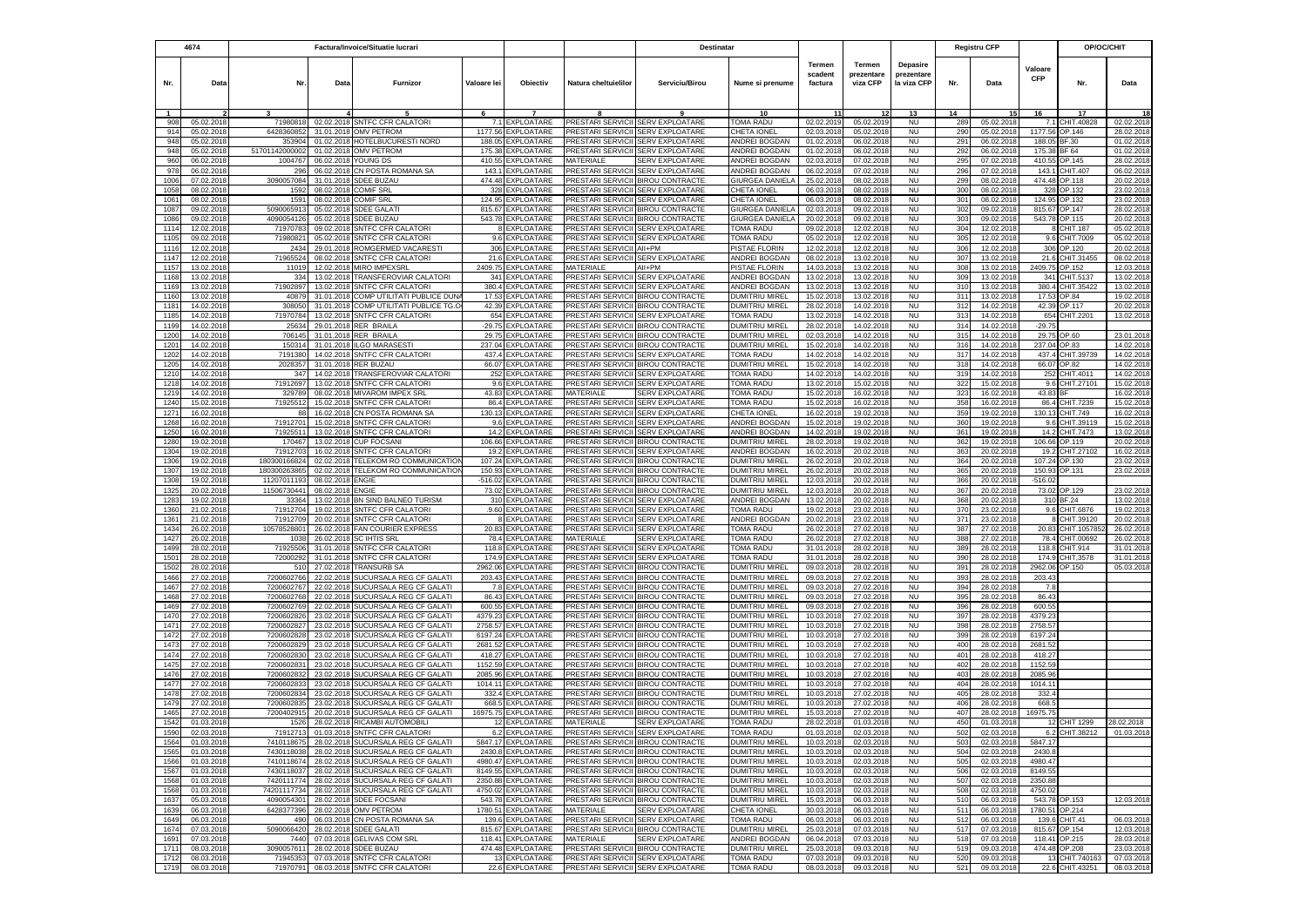|              | 4674                     |                          |                          | Factura/Invoice/Situatie lucrari                                         |                    |                                          |                                               | Destinatar                                                             |                                                |                                     |                                  |                                              |            | <b>Registru CFP</b>      |                       | OP/OC/CHIT          |                          |
|--------------|--------------------------|--------------------------|--------------------------|--------------------------------------------------------------------------|--------------------|------------------------------------------|-----------------------------------------------|------------------------------------------------------------------------|------------------------------------------------|-------------------------------------|----------------------------------|----------------------------------------------|------------|--------------------------|-----------------------|---------------------|--------------------------|
| Nr.          | Data                     | Nr.                      | Data                     | Furnizor                                                                 | Valoare lei        | Objectiv                                 | Natura cheltuielilor                          | Serviciu/Birou                                                         | Nume si prenume                                | <b>Termen</b><br>scadent<br>factura | Termen<br>prezentare<br>viza CFP | <b>Depasire</b><br>prezentare<br>la viza CFP | Nr.        | Data                     | Valoare<br><b>CFP</b> | Nr.                 | Data                     |
|              |                          |                          |                          |                                                                          |                    |                                          |                                               |                                                                        | 10                                             |                                     |                                  | 13                                           | 14         |                          |                       | 17                  |                          |
| 908          | 05.02.201                | 71980818                 | 02.02.2018               | SNTFC CFR CALATORI                                                       | 7.1                | <b>EXPLOATARE</b>                        | PRESTARI SERVICII                             | <b>SERV EXPLOATARE</b>                                                 | <b>TOMA RADU</b>                               | 02.02.2019                          | 05.02.2019                       | <b>NU</b>                                    | 289        | 05.02.2018               | 7.1                   | CHIT.40828          | 02.02.2018               |
| 914          | 05.02.201                | 6428360852               |                          | 31.01.2018 OMV PETROM                                                    | 1177.56            | EXPLOATARE                               | PRESTARI SERVICII                             | <b>SERV EXPLOATARE</b>                                                 | CHETA IONEL                                    | 02.03.2018                          | 05.02.2018                       | <b>NU</b>                                    | 290        | 05.02.201                | 1177.56               | OP.146              | 28.02.201                |
| 948<br>948   | 05.02.201<br>05.02.2018  | 35390<br>51701142000002  | 01.02.2018               | HOTELBUCURESTI NORD<br>01.02.2018 OMV PETROM                             | 188.05<br>175.38   | <b>XPLOATARE</b><br>EXPLOATARE           | PRESTARI SERVICII<br>PRESTARI SERVICII        | <b>SERV EXPLOATARE</b><br><b>SERV EXPLOATARE</b>                       | <b>INDREI BOGDAN</b><br><b>INDREI BOGDAN</b>   | 01.02.201<br>01.02.201              | 06.02.201<br>06.02.2018          | <b>NU</b><br><b>NU</b>                       | 291<br>292 | 06.02.201<br>06.02.201   | 188.0<br>175.38       | 3F.30<br>BF 64      | 01.02.201<br>01.02.201   |
| 960          | 06.02.2018               | 1004767                  |                          | 06.02.2018 YOUNG DS                                                      | 410.55             | EXPLOATARE                               | MATERIALE                                     | <b>SERV EXPLOATARE</b>                                                 | <b>INDREI BOGDAN</b>                           | 02.03.201                           | 07.02.2018                       | <b>NU</b>                                    | 295        | 07.02.201                | 410.55                | OP.145              | 28.02.201                |
| 978          | 06.02.2018               | 296                      |                          | 06.02.2018 CN POSTA ROMANA SA                                            | 143.1              | <b>EXPLOATARE</b>                        | PRESTARI SERVICII                             | <b>SERV EXPLOATARE</b>                                                 | <b>INDREI BOGDAN</b>                           | 06.02.201                           | 07.02.2018                       | <b>NU</b>                                    | 296        | 07.02.2018               | 143.                  | CHIT.407            | 06.02.201                |
| 1006         | 07.02.2018               | 3090057084               |                          | 31.01.2018 SDEE BUZAU                                                    | 474.48             | <b>EXPLOATARE</b>                        | PRESTARI SERVICII                             | <b>BIROU CONTRACTE</b>                                                 | GIURGEA DANIELA                                | 25.02.201                           | 08.02.2018                       | <b>NU</b>                                    | 299        | 08.02.2018               | 474.48                | OP.118              | 20.02.201                |
| 1058         | 08.02.2018               | 1592                     |                          | 08.02.2018 COMIF SRL                                                     | 328                | EXPLOATARE                               |                                               | PRESTARI SERVICII SERV EXPLOATARE                                      | CHETA IONEL                                    | 06.03.2018                          | 08.02.2018                       | <b>NU</b>                                    | 300        | 08.02.2018               | 328                   | OP.132              | 23.02.201                |
| 1061         | 08.02.201                | 159                      |                          | 08.02.2018 COMIF SRL                                                     | 124.95             | <b>EXPLOATARE</b>                        |                                               | PRESTARI SERVICII SERV EXPLOATARE                                      | CHETA IONEL                                    | 06.03.201                           | 08.02.2018                       | <b>NU</b>                                    | 301        | 08.02.201                | 124.95                | OP.132              | 23.02.201                |
| 1087<br>1086 | 09.02.201<br>09.02.201   | 509006591<br>409005412   | 05.02.2018<br>05.02.2018 | <b>SDEE GALAT</b><br><b>SDEE BUZAU</b>                                   | 815.67<br>543.78   | EXPLOATARE<br><b>EXPLOATARE</b>          |                                               | PRESTARI SERVICII BIROU CONTRACTE<br>PRESTARI SERVICII BIROU CONTRACTE | GIURGEA DANIELA<br>GIURGEA DANIELA             | 02.03.201<br>20.02.201              | 09.02.2018<br>09.02.2018         | <b>NU</b><br><b>NU</b>                       | 302<br>303 | 09.02.201<br>09.02.201   | 815.67<br>543.78      | OP.147<br>OP.115    | 28.02.201<br>20.02.201   |
| 1114         | 12.02.2018               | 7197078                  | 09.02.201                | SNTFC CFR CALATORI                                                       |                    | EXPLOATARE                               | PRESTARI SERVICII                             | <b>SERV EXPLOATARE</b>                                                 | TOMA RADU                                      | 09.02.201                           | 12.02.2018                       | <b>NU</b>                                    | 304        | 12.02.201                |                       | HIT.187             | 05.02.201                |
| 1105         | 09.02.2018               | 71980821                 | 05.02.2018               | SNTFC CFR CALATOR                                                        |                    | 9.6 EXPLOATARE                           | PRESTARI SERVICII                             | <b>SERV EXPLOATARE</b>                                                 | TOMA RADU                                      | 05.02.2018                          | 12.02.2018                       | <b>NU</b>                                    | 305        | 12.02.2018               | 9.6                   | CHIT.7009           | 05.02.201                |
| 1116         | 12.02.2018               | 2434                     |                          | 29.01.2018 ROMGERMED VACARESTI                                           |                    | 306 EXPLOATARE                           | PRESTARI SERVICII AII+PM                      |                                                                        | PISTAE FLORIN                                  | 12.02.2018                          | 12.02.2018                       | NU                                           | 306        | 12.02.2018               | 306                   | OP.120              | 20.02.201                |
| 1147         | 12.02.2018               | 7196552                  | 08.02.2018               | SNTFC CFR CALATORI                                                       |                    | 21.6 EXPLOATARE                          | PRESTARI SERVICII                             | SERV EXPLOATARE                                                        | ANDREI BOGDAN                                  | 08.02.2018                          | 13.02.2018                       | <b>NU</b>                                    | 307        | 13.02.2018               | 21.6                  | CHIT.31455          | 08.02.201                |
| 1157         | 13.02.2018               | 11019                    |                          | 12.02.2018 MIRO IMPEXSRL                                                 |                    | 2409.75 EXPLOATARE                       | MATERIALE                                     | All+PM                                                                 | PISTAE FLORIN                                  | 14.03.2018                          | 13.02.2018                       | <b>NU</b>                                    | 308        | 13.02.2018               | 2409.75               | OP.152              | 12.03.201                |
| 1168         | 13.02.2018               | 334<br>71902897          |                          | 13.02.2018 TRANSFEROVIAR CALATORI                                        |                    | 341 EXPLOATARE                           | PRESTARI SERVICII                             | <b>SERV EXPLOATARE</b>                                                 | ANDREI BOGDAN                                  | 13.02.2018                          | 13.02.2018                       | <b>NU</b><br><b>NU</b>                       | 309        | 13.02.2018<br>13.02.2018 | 341                   | CHIT.5137           | 13.02.201<br>13.02.201   |
| 1169<br>1160 | 13.02.2018<br>13.02.2018 | 40879                    | 31.01.2018               | 13.02.2018 SNTFC CFR CALATORI<br>COMP UTILITATI PUBLICE DUN.             | 17.53              | 380.4 EXPLOATARE<br><b>EXPLOATARE</b>    | PRESTARI SERVICII<br>PRESTARI SERVICII        | <b>SERV EXPLOATARE</b><br><b>BIROU CONTRACTE</b>                       | <b>INDREI BOGDAN</b><br>DUMITRIU MIREL         | 13.02.2018<br>15.02.201             | 13.02.2018<br>13.02.2018         | <b>NU</b>                                    | 310<br>311 | 13.02.2018               | 380.4<br>17.53        | CHIT.35422<br>OP.84 | 19.02.201                |
| 1181         | 14.02.2018               | 308050                   | 31.01.2018               | COMP UTILITATI PUBLICE TG.C                                              |                    | 42.39 EXPLOATARE                         |                                               | PRESTARI SERVICII BIROU CONTRACTE                                      | DUMITRIU MIREL                                 | 28.02.2018                          | 14.02.2018                       | <b>NU</b>                                    | 312        | 14.02.2018               | 42.39                 | OP.117              | 20.02.201                |
| 1185         | 14.02.201                | 71970784                 |                          | 13.02.2018 SNTFC CFR CALATORI                                            |                    | 654 EXPLOATARE                           |                                               | PRESTARI SERVICII SERV EXPLOATARE                                      | TOMA RADU                                      | 13.02.201                           | 14.02.201                        | <b>NU</b>                                    | 313        | 14.02.201                | 654                   | CHIT.2201           | 13.02.201                |
| 1199         | 14.02.201                | 2563                     | 29.01.201                | <b>RER BRAILA</b>                                                        | $-29.75$           | EXPLOATARE                               | PRESTARI SERVICII                             | <b>BIROU CONTRACTE</b>                                                 | DUMITRIU MIREL                                 | 28.02.201                           | 14.02.201                        | <b>NU</b>                                    | 314        | 14.02.201                | $-29.75$              |                     |                          |
| 1200         | 14.02.201                | 70614                    | 31.01.2018               | <b>RER BRAILA</b>                                                        | 29.75              | <b>EXPLOATARE</b>                        | PRESTARI SERVICII                             | <b>BIROU CONTRACTE</b>                                                 | <b>DUMITRIU MIREL</b>                          | 02.03.201                           | 14.02.2018                       | <b>NU</b>                                    | 315        | 14.02.201                | 29.75                 | OP.60               | 23.01.201                |
| 1201         | 14.02.201                | 15031                    | 31.01.2018               | <b>ILGO MARASESTI</b>                                                    | 237.04             | <b>XPLOATARE</b>                         | PRESTARI SERVICII                             | <b>BIROU CONTRACTE</b>                                                 | DUMITRIU MIREL                                 | 15.02.201                           | 14.02.2018                       | <b>NU</b>                                    | 316        | 14.02.201                | 237.04                | OP.83               | 14.02.201                |
| 1202<br>1205 | 14.02.2018<br>14.02.2018 | 7191380<br>2028357       | 14.02.2018<br>31.01.2018 | SNTFC CFR CALATORI<br><b>RER BUZAU</b>                                   | 437.4<br>66.07     | EXPLOATARE<br>EXPLOATARE                 | PRESTARI SERVICII<br>PRESTARI SERVICII        | <b>SERV EXPLOATARE</b><br><b>BIROU CONTRACTE</b>                       | TOMA RADU<br>DUMITRIU MIREL                    | 14.02.201<br>15.02.2018             | 14.02.2018<br>14.02.2018         | <b>NU</b><br><b>NU</b>                       | 317<br>318 | 14.02.2018<br>14.02.2018 | 437.4<br>66.07        | CHIT.39739<br>OP.82 | 14.02.201<br>14.02.201   |
| 1210         | 14.02.201                | 34                       | 14.02.2018               | TRANSFEROVIAR CALATORI                                                   | 252                | <b>XPLOATARE</b>                         | PRESTARI SERVICII                             | <b>SERV EXPLOATARE</b>                                                 | TOMA RADU                                      | 14.02.201                           | 14.02.201                        | <b>NU</b>                                    | 319        | 14.02.201                | 252                   | CHIT.4011           | 14.02.201                |
| 1218         | 14.02.201                | 7191269                  | 13.02.2018               | SNTFC CFR CALATOR                                                        | 9.6                | XPLOATARE                                | PRESTARI SERVICII                             | SERV EXPLOATARE                                                        | TOMA RADU                                      | 13.02.201                           | 15.02.201                        | <b>NU</b>                                    | 322        | 15.02.201                | 9.6                   | HIT.27101           | 15.02.201                |
| 1219         | 14.02.2018               | 329789                   | 08.02.2018               | <b>MIVAROM IMPEX SRL</b>                                                 | 43.83              | <b>EXPLOATARE</b>                        | MATERIALE                                     | <b>SERV EXPLOATARE</b>                                                 | <b>TOMA RADU</b>                               | 15.02.201                           | 16.02.2018                       | <b>NU</b>                                    | 323        | 16.02.2018               | 43.83                 |                     | 16.02.201                |
| 1240         | 15.02.2018               | 7192551                  |                          | 15.02.2018 SNTFC CFR CALATOR                                             | 86.4               | EXPLOATARE                               | <b>PRESTARI SERVICII</b>                      | <b>SERV EXPLOATARE</b>                                                 | <b>TOMA RADU</b>                               | 15.02.201                           | 16.02.2018                       | <b>NU</b>                                    | 358        | 16.02.2018               | 86.4                  | CHIT.7239           | 15.02.201                |
| 1271         | 16.02.2018               | -88                      | 16.02.2018               | CN POSTA ROMANA SA                                                       | 130.13             | EXPLOATARE                               | PRESTARI SERVICII                             | <b>SERV EXPLOATARE</b>                                                 | CHETA IONEL                                    | 16.02.201                           | 19.02.2018                       | <b>NU</b>                                    | 359        | 19.02.2018               | 130.13                | CHIT.749            | 16.02.201                |
| 1268         | 16.02.2018               | 7191270                  | 15.02.2018               | SNTFC CFR CALATORI                                                       | 9.6                | EXPLOATARE                               | PRESTARI SERVICII                             | <b>SERV EXPLOATARE</b>                                                 | ANDREI BOGDAN                                  | 15.02.2018                          | 19.02.2018                       | <b>NU</b>                                    | 360        | 19.02.2018               | 9.6                   | CHIT.39119          | 15.02.201                |
| 1250<br>1280 | 16.02.201<br>19.02.201   | 7192551<br>17046         | 13.02.2018<br>13.02.201  | <b>SNTFC CFR CALATORI</b><br><b>CUP FOCSANI</b>                          | 14.2<br>106.66     | <b>EXPLOATARE</b><br><b>XPLOATARE</b>    | PRESTARI SERVICII<br>PRESTARI SERVICII        | <b>SERV EXPLOATARE</b><br><b>BIROU CONTRACTE</b>                       | ANDREI BOGDAN<br>DUMITRIU MIREL                | 14.02.201<br>28.02.201              | 19.02.201<br>19.02.201           | <b>NU</b><br><b>NU</b>                       | 361<br>362 | 19.02.201<br>19.02.201   | 14.2<br>106.66        | CHIT.7473<br>OP.119 | 13.02.201<br>20.02.201   |
| 1304         | 19.02.201                | 7191270                  | 16.02.201                | SNTFC CFR CALATOR                                                        | 19.2               | EXPLOATARE                               | PRESTARI SERVICII                             | <b>SERV EXPLOATARE</b>                                                 | <b>INDREI BOGDAN</b>                           | 16.02.201                           | 20.02.201                        | <b>NU</b>                                    | 363        | 20.02.201                | 19.2                  | CHIT.27102          | 16.02.201                |
| 1306         | 19.02.201                | 18030016682              | 02.02.2018               | TELEKOM RO COMMUNICATION                                                 | 107.24             | <b>EXPLOATARE</b>                        | <b>PRESTARI SERVICII</b>                      | <b>BIROU CONTRACTE</b>                                                 | DUMITRIU MIREL                                 | 26.02.201                           | 20.02.2018                       | <b>NU</b>                                    | 364        | 20.02.201                | 107.24                | OP.130              | 23.02.201                |
| 1307         | 19.02.201                | 18030026386              | 02.02.2018               | TELEKOM RO COMMUNICATION                                                 | 150.93             | EXPLOATARE                               |                                               | PRESTARI SERVICII BIROU CONTRACTE                                      | DUMITRIU MIREL                                 | 26.02.201                           | 20.02.2018                       | NU                                           | 365        | 20.02.201                | 150.93                | OP.131              | 23.02.201                |
| 1308         | 19.02.2018               | 1120701119               | 08.02.2018               | <b>ENGIE</b>                                                             | -516.02            | EXPLOATARE                               |                                               | PRESTARI SERVICII BIROU CONTRACTE                                      | DUMITRIU MIREL                                 | 12.03.2018                          | 20.02.2018                       | <b>NU</b>                                    | 366        | 20.02.2018               | $-516.02$             |                     |                          |
| 1325         | 20.02.2018               | 11506730441              | 08.02.2018 ENGIE         |                                                                          |                    | 73.02 EXPLOATARE                         |                                               | PRESTARI SERVICII BIROU CONTRACTE                                      | DUMITRIU MIREL                                 | 12.03.2018                          | 20.02.2018                       | NU                                           | 367        | 20.02.2018               | 73.02                 | OP.129              | 23.02.201                |
| 1283<br>1360 | 19.02.2018<br>21.02.2018 | 3336<br>71912704         | 13.02.2018<br>19.02.2018 | BN SIND BALNEO TURISM<br><b>SNTFC CFR CALATORI</b>                       | .9.60              | 310 EXPLOATARE<br><b>EXPLOATARE</b>      | <b>PRESTARI SERVICII</b>                      | PRESTARI SERVICII SERV EXPLOATARE<br><b>SERV EXPLOATARE</b>            | ANDREI BOGDAN<br><b>TOMA RADU</b>              | 13.02.2018<br>19.02.201             | 20.02.2018<br>23.02.2018         | <b>NU</b><br><b>NU</b>                       | 368<br>370 | 20.02.2018<br>23.02.2018 | 310<br>9.6            | BF.24<br>CHIT.6876  | 13.02.201<br>19.02.201   |
| 1361         | 21.02.2018               | 71912709                 |                          | 20.02.2018 SNTFC CFR CALATORI                                            |                    | 8 EXPLOATARE                             | PRESTARI SERVICII                             | <b>SERV EXPLOATARE</b>                                                 | ANDREI BOGDAN                                  | 20.02.201                           | 23.02.2018                       | <b>NU</b>                                    | 371        | 23.02.2018               |                       | CHIT.39120          | 20.02.201                |
| 1434         | 26.02.2018               | 10578528801              |                          | 26.02.2018 FAN COURIER EXPRESS                                           |                    | 20.83 EXPLOATARE                         |                                               | PRESTARI SERVICII SERV EXPLOATARE                                      | TOMA RADU                                      | 26.02.2018                          | 27.02.2018                       | <b>NU</b>                                    | 387        | 27.02.2018               | 20.83                 | CHIT.105785         | 26.02.201                |
| 1427         | 26.02.2018               | 1038                     | 26.02.2018               | <b>SC IHTIS SRL</b>                                                      |                    | 78.4 EXPLOATARE                          | MATERIALE                                     | <b>SERV EXPLOATARE</b>                                                 | TOMA RADU                                      | 26.02.2018                          | 27.02.2018                       | <b>NU</b>                                    | 388        | 27.02.2018               | 78.4                  | CHIT.00692          | 26.02.201                |
| 1499         | 28.02.2018               | 71925506                 |                          | 31.01.2018 SNTFC CFR CALATORI                                            |                    | 118.8 EXPLOATARE                         |                                               | PRESTARI SERVICII SERV EXPLOATARE                                      | TOMA RADU                                      | 31.01.2018                          | 28.02.2018                       | <b>NU</b>                                    | 389        | 28.02.2018               | 118.8                 | CHIT.914            | 31.01.201                |
| 1501         | 28.02.201                | 7200029                  | 31.01.201                | SNTFC CFR CALATORI                                                       |                    | 174.9 EXPLOATARE                         |                                               | PRESTARI SERVICII SERV EXPLOATARE                                      | TOMA RADU                                      | 31.01.201                           | 28.02.201                        | <b>NU</b>                                    | 390        | 28.02.201                | 174.9                 | CHIT, 3578          | 31.01.201                |
| 1502<br>1466 | 28.02.201<br>27.02.201   | 51<br>7200602766         | 27.02.201<br>22.02.201   | <b>TRANSURB SA</b><br>SUCURSALA REG CF GALATI                            | 2962.06<br>203.43  | <b>EXPLOATARE</b><br><b>EXPLOATARE</b>   | PRESTARI SERVICII                             | <b>BIROU CONTRACTE</b><br>PRESTARI SERVICII BIROU CONTRACTE            | <b>DUMITRIU MIREL</b><br><b>DUMITRIU MIREL</b> | 09.03.201<br>09.03.201              | 28.02.2018<br>27.02.2018         | <b>NU</b><br><b>NU</b>                       | 391<br>393 | 28.02.201<br>28.02.201   | 2962.06<br>203.43     | OP.150              | 05.03.201                |
| 1467         | 27.02.201                | 7200602767               | 22.02.2018               | SUCURSALA REG CF GALATI                                                  | 7.8                | <b>XPLOATARE</b>                         | PRESTARI SERVICII                             | <b>BIROU CONTRACTE</b>                                                 | DUMITRIU MIREL                                 | 09.03.201                           | 27.02.2018                       | <b>NU</b>                                    | 394        | 28.02.201                | 7 <sub>1</sub>        |                     |                          |
| 1468         | 27.02.2018               | 7200602768               | 22.02.2018               | SUCURSALA REG CF GALATI                                                  | 86.43              | EXPLOATARE                               | PRESTARI SERVICII                             | <b>BIROU CONTRACTE</b>                                                 | DUMITRIU MIREL                                 | 09.03.2018                          | 27.02.2018                       | <b>NU</b>                                    | 395        | 28.02.201                | 86.43                 |                     |                          |
| 1469         | 27.02.2018               | 7200602769               | 22.02.2018               | SUCURSALA REG CF GALATI                                                  | 600.55             | EXPLOATARE                               |                                               | PRESTARI SERVICII BIROU CONTRACTE                                      | DUMITRIU MIREL                                 | 09.03.2018                          | 27.02.2018                       | <b>NU</b>                                    | 396        | 28.02.2018               | 600.55                |                     |                          |
| 1470         | 27.02.201                | 720060282                | 23.02.201                | SUCURSALA REG CF GALATI                                                  | 4379.23            | EXPLOATARE                               | PRESTARI SERVICII                             | <b>BIROU CONTRACTE</b>                                                 | <b>DUMITRIU MIREL</b>                          | 10.03.201                           | 27.02.201                        | <b>NU</b>                                    | 397        | 28.02.201                | 4379.2                |                     |                          |
| 1471<br>1472 | 27.02.2018<br>27.02.2018 | 7200602827<br>7200602828 | 23.02.2018<br>23.02.2018 | SUCURSALA REG CF GALATI<br>SUCURSALA REG CF GALATI                       | 2758.57<br>6197.24 | EXPLOATARE<br><b>EXPLOATARE</b>          | <b>PRESTARI SERVICII</b><br>PRESTARI SERVICII | <b>BIROU CONTRACTE</b><br><b>BIROU CONTRACTE</b>                       | DUMITRIU MIREL<br>DUMITRIU MIREL               | 10.03.201<br>10.03.201              | 27.02.2018<br>27.02.2018         | <b>NU</b><br><b>NU</b>                       | 398<br>399 | 28.02.201<br>28.02.201   | 2758.57<br>6197.24    |                     |                          |
| 1473         | 27.02.2018               | 7200602829               |                          | 23.02.2018 SUCURSALA REG CF GALATI                                       | 2681.52            | EXPLOATARE                               | PRESTARI SERVICII                             | <b>BIROU CONTRACTE</b>                                                 | DUMITRIU MIREL                                 | 10.03.201                           | 27.02.2018                       | <b>NU</b>                                    | 400        | 28.02.201                | 2681.52               |                     |                          |
| 1474         | 27.02.2018               | 7200602830               | 23.02.2018               | SUCURSALA REG CF GALATI                                                  | 418.27             | <b>EXPLOATARE</b>                        | PRESTARI SERVICII                             | <b>BIROU CONTRACTE</b>                                                 | DUMITRIU MIREL                                 | 10.03.2018                          | 27.02.2018                       | <b>NU</b>                                    | 401        | 28.02.201                | 418.27                |                     |                          |
| 1475         | 27.02.201                | 720060283                | 23.02.2018               | SUCURSALA REG CF GALATI                                                  |                    | 1152.59 EXPLOATARE                       |                                               | PRESTARI SERVICII BIROU CONTRACTE                                      | <b>DUMITRIU MIREL</b>                          | 10.03.2018                          | 27.02.2018                       | <b>NU</b>                                    | 402        | 28.02.201                | 1152.59               |                     |                          |
| 1476         | 27.02.201                | 720060283                | 23.02.2018               | SUCURSALA REG CF GALATI                                                  | 2085.96            | EXPLOATARE                               |                                               | PRESTARI SERVICII BIROU CONTRACTE                                      | DUMITRIU MIREL                                 | 10.03.201                           | 27.02.201                        | <b>NU</b>                                    | 403        | 28.02.201                | 2085.96               |                     |                          |
| 1477         | 27.02.201                | 720060283                | 23.02.201                | SUCURSALA REG CF GALATI                                                  | 1014.11            | EXPLOATARE                               |                                               | PRESTARI SERVICII BIROU CONTRACTE                                      | DUMITRIU MIREL                                 | 10.03.201                           | 27.02.201                        | <b>NU</b>                                    | 404        | 28.02.201                | 1014.11               |                     |                          |
| 1478         | 27.02.201                | 7200602834               | 23.02.201<br>23.02.201   | SUCURSALA REG CF GALATI                                                  | 332.4              | EXPLOATARE                               | PRESTARI SERVICII                             | <b>BIROU CONTRACTE</b><br><b>PRESTARI SERVICII BIROU CONTRACTE</b>     | DUMITRIU MIREL<br>DUMITRIU MIREL               | 10.03.201                           | 27.02.2018                       | <b>NU</b>                                    | 405        | 28.02.201                | 332.                  |                     |                          |
| 1479<br>1465 | 27.02.201<br>27.02.201   | 720060283<br>720040291   | 20.02.2018               | SUCURSALA REG CF GALATI<br>SUCURSALA REG CF GALATI                       | 668.<br>16975.75   | <b>XPLOATARE</b><br><b>EXPLOATARE</b>    |                                               | PRESTARI SERVICII BIROU CONTRACTE                                      | DUMITRIU MIREL                                 | 10.03.201<br>15.03.201              | 27.02.2018<br>27.02.2018         | <b>NU</b><br>NU                              | 406<br>407 | 28.02.201<br>28.02.201   | 668.<br>16975.75      |                     |                          |
| 1542         | 01.03.2018               | 1526                     |                          | 28.02.2018 RICAMBI AUTOMOBIL                                             |                    | 12 EXPLOATARE                            | MATERIALE                                     | <b>SERV EXPLOATARE</b>                                                 | TOMA RADU                                      | 28.02.2018                          | 01.03.2018                       | <b>NU</b>                                    | 450        | 01.03.201                |                       | 12 CHIT 1299        | 28.02.2018               |
| 1590         | 02.03.2018               | 71912713                 |                          | 01.03.2018 SNTFC CFR CALATOR                                             |                    | 6.2 EXPLOATARE                           | PRESTARI SERVICII SERV EXPLOATARE             |                                                                        | TOMA RADU                                      | 01.03.2018                          | 02.03.2018                       | <b>NU</b>                                    | 502        | 02.03.2018               |                       | 6.2 CHIT.38212      | 01.03.2018               |
| 1564         | 01.03.2018               | 7410118675               |                          | 28.02.2018 SUCURSALA REG CF GALATI                                       |                    | 5847.17 EXPLOATARE                       |                                               | PRESTARI SERVICII BIROU CONTRACTE                                      | <b>DUMITRIU MIREL</b>                          | 10.03.2018                          | 02.03.2018                       | <b>NU</b>                                    | 503        | 02.03.2018               | 5847.17               |                     |                          |
| 1565         | 01.03.2018               | 7430118038               |                          | 28.02.2018 SUCURSALA REG CF GALATI                                       |                    | 2430.8 EXPLOATARE                        |                                               | PRESTARI SERVICII BIROU CONTRACTE                                      | <b>DUMITRIU MIREL</b>                          | 10.03.2018                          | 02.03.2018                       | <b>NU</b>                                    | 504        | 02.03.2018               | 2430.8                |                     |                          |
| 1566         | 01.03.2018               | 7410118674               |                          | 28.02.2018 SUCURSALA REG CF GALATI                                       |                    | 4980.47 EXPLOATARE                       |                                               | PRESTARI SERVICII BIROU CONTRACTE                                      | <b>DUMITRIU MIREL</b>                          | 10.03.2018                          | 02.03.2018                       | <b>NU</b>                                    | 505        | 02.03.2018               | 4980.47               |                     |                          |
| 1567<br>1568 | 01.03.2018<br>01.03.2018 | 7430118037<br>7420111774 |                          | 28.02.2018 SUCURSALA REG CF GALATI<br>28.02.2018 SUCURSALA REG CF GALATI |                    | 8149.55 EXPLOATARE<br>2350.88 EXPLOATARE |                                               | PRESTARI SERVICII BIROU CONTRACTE<br>PRESTARI SERVICII BIROU CONTRACTE | <b>DUMITRIU MIREL</b><br><b>DUMITRIU MIREL</b> | 10.03.2018<br>10.03.2018            | 02.03.2018<br>02.03.2018         | <b>NU</b><br><b>NU</b>                       | 506<br>507 | 02.03.2018               | 8149.55<br>2350.88    |                     |                          |
| 1568         | 01.03.2018               | 74201117734              |                          | 28.02.2018 SUCURSALA REG CF GALATI                                       |                    | 4750.02 EXPLOATARE                       |                                               | PRESTARI SERVICII BIROU CONTRACTE                                      | <b>DUMITRIU MIREL</b>                          | 10.03.2018                          | 02.03.2018                       | <b>NU</b>                                    | 508        | 02.03.2018<br>02.03.2018 | 4750.02               |                     |                          |
| 1637         | 05.03.2018               | 409005430                |                          | 28.02.2018 SDEE FOCSANI                                                  |                    | 543.78 EXPLOATARE                        |                                               | PRESTARI SERVICII BIROU CONTRACTE                                      | <b>DUMITRIU MIREL</b>                          | 15.03.2018                          | 06.03.2018                       | <b>NU</b>                                    | 510        | 06.03.201                | 543.78                | OP.153              | 12.03.2018               |
| 1639         | 06.03.2018               | 6428377396               |                          | 28.02.2018 OMV PETROM                                                    |                    | 1780.51 EXPLOATARE                       | MATERIALE                                     | <b>SERV EXPLOATARE</b>                                                 | CHETA IONEL                                    | 30.03.2018                          | 06.03.2018                       | <b>NU</b>                                    | 511        | 06.03.201                | 1780.51 OP.214        |                     |                          |
| 1649         | 06.03.2018               | 490                      |                          | 06.03.2018 CN POSTA ROMANA SA                                            |                    | 139.6 EXPLOATARE                         |                                               | PRESTARI SERVICII SERV EXPLOATARE                                      | TOMA RADU                                      | 06.03.2018                          | 06.03.2018                       | <b>NU</b>                                    | 512        | 06.03.2018               | 139.6                 | CHIT.41             | 06.03.2018               |
| 1674         | 07.03.2018               | 5090066420               |                          | 28.02.2018 SDEE GALATI                                                   |                    | 815.67 EXPLOATARE                        |                                               | PRESTARI SERVICII BIROU CONTRACTE                                      | <b>DUMITRIU MIREL</b>                          | 25.03.2018                          | 07.03.2018                       | <b>NU</b>                                    | 517        | 07.03.2018               | 815.67                | OP.154              | 12.03.2018               |
| 1691<br>1711 | 07.03.2018<br>08.03.2018 | 7440<br>3090057611       |                          | 07.03.2018 GELIVAS COM SRL<br>28.02.2018 SDEE BUZAU                      |                    | 118.41 EXPLOATARE<br>474.48 EXPLOATARE   | MATERIALE                                     | <b>SERV EXPLOATARE</b><br>PRESTARI SERVICII BIROU CONTRACTE            | ANDREI BOGDAN<br><b>DUMITRIU MIREL</b>         | 06.04.2018<br>25.03.2018            | 07.03.2018<br>09.03.2018         | <b>NU</b><br><b>NU</b>                       | 518<br>519 | 07.03.2018<br>09.03.2018 | 118.41<br>474.48      | OP.215<br>OP.208    | 28.03.2018<br>23.03.2018 |
| 1712         | 08.03.2018               | 71945353                 |                          | 07.03.2018 SNTFC CFR CALATORI                                            |                    | 13 EXPLOATARE                            |                                               | PRESTARI SERVICII SERV EXPLOATARE                                      | TOMA RADU                                      | 07.03.2018                          | 09.03.2018                       | <b>NU</b>                                    | 520        | 09.03.2018               | 13                    | CHIT.740163         | 07.03.2018               |
| 1719         | 08.03.2018               | 71970791                 |                          | 08.03.2018 SNTFC CFR CALATORI                                            |                    | 22.6 EXPLOATARE                          |                                               | PRESTARI SERVICII SERV EXPLOATARE                                      | TOMA RADU                                      | 08.03.2018                          | 09.03.2018                       | <b>NU</b>                                    | 521        | 09.03.2018               |                       | 22.6 CHIT.43251     | 08.03.2018               |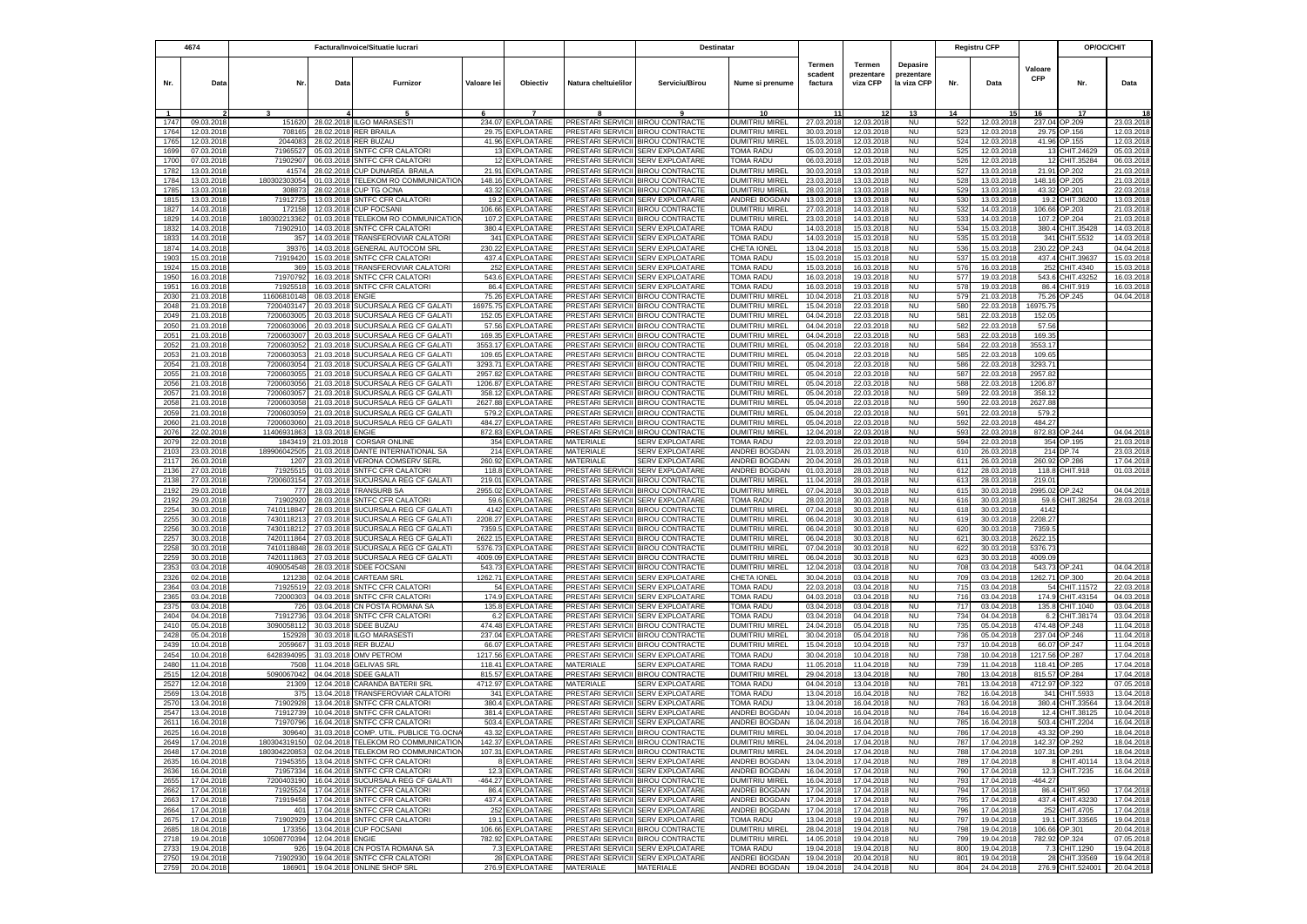|              | 4674                     | Factura/Invoice/Situatie lucrari |                          |                                                            |                    | Destinatar                             |                                        |                                                                        |                                           |                              |                                  | <b>Registru CFP</b>                   |            | OP/OC/CHIT               |                       |                                   |                        |
|--------------|--------------------------|----------------------------------|--------------------------|------------------------------------------------------------|--------------------|----------------------------------------|----------------------------------------|------------------------------------------------------------------------|-------------------------------------------|------------------------------|----------------------------------|---------------------------------------|------------|--------------------------|-----------------------|-----------------------------------|------------------------|
| Nr.          | Data                     | Nr.                              | Data                     | Furnizor                                                   | Valoare lei        | Objectiv                               | Natura cheltuielilor                   | Serviciu/Birou                                                         | Nume si prenume                           | Termen<br>scadent<br>factura | Termen<br>prezentare<br>viza CFP | Depasire<br>prezentare<br>la viza CFP | Nr.        | Data                     | Valoare<br><b>CFP</b> | Nr.                               | Data                   |
|              |                          |                                  |                          |                                                            |                    |                                        |                                        |                                                                        | 10                                        |                              |                                  | 13                                    | 14         |                          | 16                    | 17                                |                        |
| 1747         | 09.03.2018               | 151620                           | 28.02.2018               | <b>ILGO MARASESTI</b>                                      | 234.07             | <b>EXPLOATARE</b>                      |                                        | PRESTARI SERVICII BIROU CONTRACTE                                      | DUMITRIU MIREL                            | 27.03.2018                   | 12.03.2018                       | <b>NU</b>                             | 522        | 12.03.2018               | 237.04                | OP.209                            | 23.03.2018             |
| 1764         | 12.03.201                | 708165                           | 28.02.2018               | <b>RER BRAILA</b>                                          | 29.75              | <b>EXPLOATARE</b>                      |                                        | PRESTARI SERVICII BIROU CONTRACTE                                      | <b>DUMITRIU MIREL</b>                     | 30.03.2018                   | 12.03.2018                       | <b>NU</b>                             | 523        | 12.03.201                | 29.75                 | OP.156                            | 12.03.201              |
| 1765         | 12.03.201                | 204408                           | 28.02.2018               | <b>RER BUZAU</b>                                           | 41.96              | <b>XPLOATARE</b>                       | PRESTARI SERVICII                      | <b>BIROU CONTRACTE</b>                                                 | DUMITRIU MIREL                            | 15.03.201                    | 12.03.201                        | <b>NU</b>                             | 524        | 12.03.201                | 41.96                 | OP.155                            | 12.03.201              |
| 1699         | 07.03.2018               | 71965527                         | 05.03.2018               | <b>SNTFC CFR CALATORI</b>                                  | 13                 | <b>EXPLOATARE</b>                      | <b>PRESTARI SERVICII</b>               | <b>SERV EXPLOATARE</b>                                                 | <b>TOMA RADU</b>                          | 05.03.201                    | 12.03.2018                       | <b>NU</b>                             | 525        | 12.03.201                | 13                    | CHIT.24629                        | 05.03.201              |
| 1700<br>1782 | 07.03.2018<br>13.03.2018 | 7190290<br>41574                 | 06.03.2018               | <b>SNTFC CFR CALATORI</b><br>28.02.2018 CUP DUNAREA BRAILA | 12<br>21.91        | EXPLOATARE<br>EXPLOATARE               | PRESTARI SERVICII<br>PRESTARI SERVICII | <b>SERV EXPLOATARE</b><br><b>BIROU CONTRACTE</b>                       | <b>TOMA RADU</b><br>DUMITRIU MIREL        | 06.03.201<br>30.03.201       | 12.03.2018<br>13.03.2018         | <b>NU</b><br><b>NU</b>                | 526<br>527 | 12.03.201<br>13.03.2018  | 12<br>21.91           | CHIT.35284<br>OP.202              | 06.03.201<br>21.03.201 |
| 1784         | 13.03.2018               | 180302303054                     | 01.03.2018               | TELEKOM RO COMMUNICATION                                   | 148.16             | <b>EXPLOATARE</b>                      | PRESTARI SERVICII                      | <b>BIROU CONTRACTE</b>                                                 | DUMITRIU MIREL                            | 23.03.2018                   | 13.03.2018                       | <b>NU</b>                             | 528        | 13.03.2018               | 148.16                | OP.205                            | 21.03.201              |
| 1785         | 13.03.2018               | 30887                            | 28.02.2018               | <b>CUP TG OCNA</b>                                         | 43.32              | EXPLOATARE                             |                                        | PRESTARI SERVICII BIROU CONTRACTE                                      | DUMITRIU MIREL                            | 28.03.2018                   | 13.03.2018                       | <b>NU</b>                             | 529        | 13.03.201                | 43.32                 | OP.201                            | 22.03.201              |
| 1815         | 13.03.201                | 7191272                          | 13.03.201                | <b>SNTFC CFR CALATORI</b>                                  | 19.2               | EXPLOATARE                             |                                        | PRESTARI SERVICII SERV EXPLOATARE                                      | ANDREI BOGDAN                             | 13.03.201                    | 13.03.2018                       | <b>NU</b>                             | 530        | 13.03.201                | 19.2                  | CHIT.36200                        | 13.03.201              |
| 1827         | 14.03.201                | 17215                            | 12.03.201                | <b>CUP FOCSAN</b>                                          | 106.66             | EXPLOATARE                             |                                        | PRESTARI SERVICII BIROU CONTRACTE                                      | DUMITRIU MIREL                            | 27.03.201                    | 14.03.2018                       | <b>NU</b>                             | 532        | 14.03.201                | 106.66                | OP.203                            | 21.03.201              |
| 1829         | 14.03.201                | 18030221336                      | 01.03.201                | TELEKOM RO COMMUNICATIO                                    | 107.2              | <b>EXPLOATARE</b>                      |                                        | <b>RESTARI SERVICII BIROU CONTRACTE</b>                                | DUMITRIU MIREL                            | 23.03.201                    | 14.03.2018                       | <b>NU</b>                             | 533        | 14.03.201                | 107.2                 | OP.204                            | 21.03.201              |
| 1832         | 14.03.2018               | 7190291                          | 14.03.201                | SNTFC CFR CALATOR                                          | 380.4              | EXPLOATARE                             | <b>PRESTARI SERVICII</b>               | <b>SERV EXPLOATARE</b>                                                 | TOMA RADU                                 | 14.03.201                    | 15.03.2018                       | <b>NU</b>                             | 534        | 15.03.201                | 380.4                 | CHIT.35428                        | 14.03.201              |
| 1833         | 14.03.2018               | 357                              | 14.03.201                | TRANSFEROVIAR CALATORI                                     | 341                | EXPLOATARE                             | PRESTARI SERVICII                      | <b>SERV EXPLOATARE</b>                                                 | TOMA RADU                                 | 14.03.2018                   | 15.03.2018                       | <b>NU</b>                             | 535        | 15.03.201                | 341                   | CHIT.5532                         | 14.03.201              |
| 1874         | 14.03.2018               | 3937                             |                          | 14.03.2018 GENERAL AUTOCOM SRL                             |                    | 230.22 EXPLOATARE                      |                                        | PRESTARI SERVICII SERV EXPLOATARE                                      | CHETA IONEL                               | 13.04.2018                   | 15.03.2018                       | NU                                    | 536        | 15.03.2018               | 230.22                | OP.243                            | 04.04.201              |
| 1903         | 15.03.2018               | 71919420                         | 15.03.2018               | SNTFC CFR CALATOR                                          |                    | 437.4 EXPLOATARE                       |                                        | <b>PRESTARI SERVICII SERV EXPLOATARE</b>                               | TOMA RADU                                 | 15.03.2018                   | 15.03.2018                       | <b>NU</b>                             | 537        | 15.03.2018               | 437.4                 | CHIT.39637                        | 15.03.201              |
| 1924<br>1950 | 15.03.2018<br>16.03.2018 | 369<br>71970792                  | 15.03.2018<br>16.03.2018 | TRANSFEROVIAR CALATORI<br><b>SNTFC CFR CALATORI</b>        | 252                | <b>EXPLOATARE</b><br>543.6 EXPLOATARE  | <b>PRESTARI SERVICII</b>               | <b>SERV EXPLOATARE</b><br>PRESTARI SERVICII SERV EXPLOATARE            | <b>TOMA RADU</b><br>TOMA RADU             | 15.03.2018<br>16.03.2018     | 16.03.2018<br>19.03.2018         | <b>NU</b><br><b>NU</b>                | 576<br>577 | 16.03.2018<br>19.03.2018 | 252<br>543.6          | CHIT.4340<br>CHIT.43252           | 15.03.201<br>16.03.201 |
| 1951         | 16.03.2018               | 7192551                          | 16.03.2018               | <b>SNTFC CFR CALATORI</b>                                  |                    | 86.4 EXPLOATARE                        | PRESTARI SERVICII                      | <b>SERV EXPLOATARE</b>                                                 | <b>TOMA RADU</b>                          | 16.03.2018                   | 19.03.2018                       | <b>NU</b>                             | 578        | 19.03.2018               | 86.4                  | CHIT.919                          | 16.03.201              |
| 2030         | 21.03.201                | 11606810148                      | 08.03.2018               | <b>ENGIE</b>                                               | 75.26              | EXPLOATARE                             | PRESTARI SERVICII                      | <b>BIROU CONTRACTE</b>                                                 | DUMITRIU MIREL                            | 10.04.201                    | 21.03.2018                       | <b>NU</b>                             | 579        | 21.03.2018               | 75.26                 | OP.245                            | 04.04.201              |
| 2048         | 21.03.2018               | 7200403147                       | 20.03.201                | SUCURSALA REG CF GALATI                                    | 16975.75           | EXPLOATARE                             |                                        | PRESTARI SERVICII BIROU CONTRACTE                                      | DUMITRIU MIREL                            | 15.04.2018                   | 22.03.2018                       | <b>NU</b>                             | 580        | 22.03.2018               | 16975.75              |                                   |                        |
| 2049         | 21.03.201                | 720060300                        | 20.03.201                | SUCURSALA REG CF GALATI                                    | 152.05             | <b>EXPLOATARE</b>                      |                                        | PRESTARI SERVICII BIROU CONTRACTE                                      | <b>DUMITRIU MIREL</b>                     | 04.04.201                    | 22.03.201                        | <b>NU</b>                             | 581        | 22.03.201                | 152.05                |                                   |                        |
| 2050         | 21.03.201                | 720060300                        | 20.03.20                 | SUCURSALA REG CF GALATI                                    | 57.56              | <b>XPLOATARE</b>                       | PRESTARI SERVICII                      | <b>BIROU CONTRACTE</b>                                                 | DUMITRIU MIREI                            | 04.04.201                    | 22.03.201                        | <b>NU</b>                             | 582        | 22.03.201                | 57.5                  |                                   |                        |
| 2051         | 21.03.201                | 720060300                        | 20.03.201                | SUCURSALA REG CF GALATI                                    | 169.35             | <b>EXPLOATARE</b>                      | PRESTARI SERVICII                      | <b>BIROU CONTRACTE</b>                                                 | <b>DUMITRIU MIREL</b>                     | 04.04.201                    | 22.03.2018                       | <b>NU</b>                             | 583        | 22.03.201                | 169.3                 |                                   |                        |
| 2052         | 21.03.201                | 720060305                        | 21.03.201                | SUCURSALA REG CF GALATI                                    | 3553.17            | <b>XPLOATARE</b>                       | <b>PRESTARI SERVICII</b>               | <b>BIROU CONTRACTE</b>                                                 | DUMITRIU MIREL                            | 05.04.201                    | 22.03.2018                       | <b>NU</b>                             | 584        | 22.03.201                | 3553.1                |                                   |                        |
| 2053         | 21.03.2018               | 720060305                        | 21.03.201                | SUCURSALA REG CF GALATI                                    | 109.65             | <b>XPLOATARE</b>                       | PRESTARI SERVICII                      | <b>BIROU CONTRACTE</b>                                                 | DUMITRIU MIREL                            | 05.04.201                    | 22.03.2018                       | <b>NU</b>                             | 585        | 22.03.201                | 109.65                |                                   |                        |
| 2054         | 21.03.2018               | 7200603054                       | 21.03.201                | SUCURSALA REG CF GALATI<br>SUCURSALA REG CF GALATI         | 3293.71            | EXPLOATARE                             | PRESTARI SERVICII                      | <b>BIROU CONTRACTE</b>                                                 | DUMITRIU MIREL                            | 05.04.2018                   | 22.03.2018                       | <b>NU</b>                             | 586        | 22.03.201                | 3293.7                |                                   |                        |
| 2055<br>2056 | 21.03.201<br>21.03.201   | 720060305<br>720060305           | 21.03.201<br>21.03.201   | SUCURSALA REG CF GALATI                                    | 2957.82<br>1206.87 | <b>XPLOATARE</b><br>XPLOATARE          | PRESTARI SERVICII<br>PRESTARI SERVICII | <b>BIROU CONTRACTE</b><br><b>BIROU CONTRACTE</b>                       | <b>DUMITRIU MIREL</b><br>DUMITRIU MIREL   | 05.04.201<br>05.04.201       | 22.03.201<br>22.03.201           | <b>NU</b><br><b>NU</b>                | 587<br>588 | 22.03.201<br>22.03.201   | 2957.8<br>1206.8      |                                   |                        |
| 2057         | 21.03.2018               | 7200603057                       | 21.03.2018               | SUCURSALA REG CF GALATI                                    | 358.12             | EXPLOATARE                             | <b>PRESTARI SERVICII</b>               | <b>BIROU CONTRACTE</b>                                                 | DUMITRIU MIREL                            | 05.04.201                    | 22.03.2018                       | <b>NU</b>                             | 589        | 22.03.201                | 358.1                 |                                   |                        |
| 2058         | 21.03.2018               | 7200603058                       |                          | 21.03.2018 SUCURSALA REG CF GALATI                         | 2627.88            | EXPLOATARE                             | PRESTARI SERVICII                      | <b>BIROU CONTRACTE</b>                                                 | DUMITRIU MIREL                            | 05.04.201                    | 22.03.2018                       | <b>NU</b>                             | 590        | 22.03.201                | 2627.88               |                                   |                        |
| 2059         | 21.03.2018               | 7200603059                       | 21.03.2018               | SUCURSALA REG CF GALATI                                    | 579.2              | EXPLOATARE                             | PRESTARI SERVICII                      | <b>BIROU CONTRACTE</b>                                                 | DUMITRIU MIREL                            | 05.04.201                    | 22.03.2018                       | <b>NU</b>                             | 591        | 22.03.201                | 579.2                 |                                   |                        |
| 2060         | 21.03.2018               | 7200603060                       | 21.03.2018               | SUCURSALA REG CF GALATI                                    | 484.27             | <b>EXPLOATARE</b>                      | PRESTARI SERVICII                      | <b>BIROU CONTRACTE</b>                                                 | DUMITRIU MIREL                            | 05.04.2018                   | 22.03.2018                       | <b>NU</b>                             | 592        | 22.03.201                | 484.27                |                                   |                        |
| 2076         | 22.02.201                | 1140693186                       | 13.03.2018               | <b>ENGIE</b>                                               | 872.83             | <b>EXPLOATARE</b>                      |                                        | PRESTARI SERVICII BIROU CONTRACTE                                      | DUMITRIU MIREL                            | 12.04.201                    | 22.03.201                        | <b>NU</b>                             | 593        | 22.03.201                | 872.83                | OP.244                            | 04.04.201              |
| 2079         | 22.03.201                | 184341                           | 21.03.2018               | <b>CORSAR ONLINE</b>                                       | 354                | EXPLOATARE                             | MATERIALE                              | <b>SERV EXPLOATARE</b>                                                 | <b>TOMA RADU</b>                          | 22.03.201                    | 22.03.201                        | <b>NU</b>                             | 594        | 22.03.20                 | 354                   | OP.195                            | 21.03.201              |
| 2103         | 23.03.201                | 18990604250                      | 21.03.201                | DANTE INTERNATIONAL SA                                     | 214                | <b>EXPLOATARE</b>                      | MATERIALE                              | <b>SERV EXPLOATARE</b>                                                 | <b>INDREI BOGDAN</b>                      | 21.03.201                    | 26.03.201                        | <b>NU</b>                             | 610        | 26.03.201                | 214                   | DP.74                             | 23.03.201              |
| 2117         | 26.03.201                | 120                              | 23.03.2018               | <b>VERONA COMSERV SERL</b>                                 | 260.92             | <b>EXPLOATARE</b>                      | MATERIALE                              | <b>SERV EXPLOATARE</b>                                                 | <b>ANDREI BOGDAN</b>                      | 20.04.201                    | 26.03.2018                       | <b>NU</b>                             | 611        | 26.03.201                | 260.92                | OP.286                            | 17.04.201              |
| 2136         | 27.03.201                | 7192551<br>7200603154            | 01.03.2018               | SNTFC CFR CALATOR<br>SUCURSALA REG CF GALATI               | 118.8              | EXPLOATARE                             | <b>PRESTARI SERVICII</b>               | <b>SERV EXPLOATARE</b><br>PRESTARI SERVICII BIROU CONTRACTE            | ANDREI BOGDAN                             | 01.03.201                    | 28.03.2018                       | NU                                    | 612        | 28.03.201                | 118.8                 | CHIT.918                          | 01.03.201              |
| 2138<br>2192 | 27.03.2018<br>29.03.2018 | 777                              | 27.03.2018<br>28.03.2018 | <b>TRANSURB SA</b>                                         | 219.01<br>2955.02  | EXPLOATARE<br>EXPLOATARE               |                                        | PRESTARI SERVICII BIROU CONTRACTE                                      | DUMITRIU MIREL<br>DUMITRIU MIREL          | 11.04.201<br>07.04.2018      | 28.03.2018<br>30.03.2018         | <b>NU</b><br>NU                       | 613<br>615 | 28.03.201<br>30.03.2018  | 219.01<br>2995.02     | OP.242                            | 04.04.201              |
| 2192         | 29.03.2018               | 71902920                         | 28.03.2018               | SNTFC CFR CALATOR                                          | 59.6               | EXPLOATARE                             |                                        | PRESTARI SERVICII SERV EXPLOATARE                                      | TOMA RADU                                 | 28.03.2018                   | 30.03.2018                       | <b>NU</b>                             | 616        | 30.03.201                | 59.6                  | CHIT.38254                        | 28.03.201              |
| 2254         | 30.03.2018               | 7410118847                       | 28.03.2018               | SUCURSALA REG CF GALATI                                    | 4142               | EXPLOATARE                             |                                        | PRESTARI SERVICII BIROU CONTRACTE                                      | DUMITRIU MIREL                            | 07.04.201                    | 30.03.2018                       | <b>NU</b>                             | 618        | 30.03.201                | 4142                  |                                   |                        |
| 2255         | 30.03.2018               | 7430118213                       | 27.03.2018               | SUCURSALA REG CF GALATI                                    | 2208.27            | EXPLOATARE                             |                                        | PRESTARI SERVICII BIROU CONTRACTE                                      | DUMITRIU MIREL                            | 06.04.201                    | 30.03.2018                       | <b>NU</b>                             | 619        | 30.03.2018               | 2208.27               |                                   |                        |
| 2256         | 30.03.2018               | 7430118212                       |                          | 27.03.2018 SUCURSALA REG CF GALATI                         | 7359.5             | EXPLOATARE                             |                                        | PRESTARI SERVICII BIROU CONTRACTE                                      | DUMITRIU MIREI                            | 06.04.2018                   | 30.03.2018                       | <b>NU</b>                             | 620        | 30.03.2018               | 7359.                 |                                   |                        |
| 2257         | 30.03.2018               | 7420111864                       | 27.03.2018               | SUCURSALA REG CF GALATI                                    | 2622.15            | <b>EXPLOATARE</b>                      |                                        | PRESTARI SERVICII BIROU CONTRACTE                                      | DUMITRIU MIREL                            | 06.04.2018                   | 30.03.2018                       | <b>NU</b>                             | 621        | 30.03.2018               | 2622.15               |                                   |                        |
| 2258         | 30.03.2018               | 7410118848                       | 28.03.2018               | SUCURSALA REG CF GALATI                                    |                    | 5376.73 EXPLOATARE                     |                                        | PRESTARI SERVICII BIROU CONTRACTE                                      | DUMITRIU MIREL                            | 07.04.2018                   | 30.03.2018                       | <b>NU</b>                             | 622        | 30.03.201                | 5376.73               |                                   |                        |
| 2259         | 30.03.201                | 742011186                        | 27.03.201                | SUCURSALA REG CF GALATI                                    | 4009.09            | <b>EXPLOATARE</b>                      |                                        | PRESTARI SERVICII BIROU CONTRACTE                                      | <b>DUMITRIU MIREL</b>                     | 06.04.201                    | 30.03.201                        | <b>NU</b>                             | 623        | 30.03.201                | 4009.09               |                                   |                        |
| 2353         | 03.04.201                | 409005454                        | 28.03.201                | <b>SDEE FOCSANI</b>                                        | 543.73             | <b>EXPLOATARE</b>                      | <b>PRESTARI SERVICII</b>               | <b>BIROU CONTRACTE</b>                                                 | <b>DUMITRIU MIREL</b>                     | 12.04.201                    | 03.04.2018                       | <b>NU</b>                             | 708        | 03.04.201                | 543.73                | OP.241                            | 04.04.201              |
| 2326<br>2364 | 02.04.201<br>03.04.201   | 12123<br>7192551                 | 02.04.2018<br>22.03.2018 | <b>CARTEAM SRL</b><br>SNTFC CFR CALATORI                   | 1262.71<br>54      | <b>EXPLOATARE</b><br><b>EXPLOATARE</b> | PRESTARI SERVICII<br>PRESTARI SERVICII | <b>SERV EXPLOATARE</b><br>SERV EXPLOATARE                              | CHETA IONEL<br>TOMA RADU                  | 30.04.201<br>22.03.201       | 03.04.2018<br>03.04.2018         | <b>NU</b><br><b>NU</b>                | 709<br>715 | 03.04.201<br>03.04.201   | 1262.71<br>54         | OP.300<br>CHIT.11572              | 20.04.201<br>22.03.201 |
| 2365         | 03.04.2018               | 72000303                         | 04.03.2018               | SNTFC CFR CALATOR                                          | 174.9              | EXPLOATARE                             | PRESTARI SERVICII                      | <b>SERV EXPLOATARE</b>                                                 | TOMA RADU                                 | 04.03.2018                   | 03.04.2018                       | <b>NU</b>                             | 716        | 03.04.201                | 174.9                 | CHIT.43154                        | 04.03.201              |
| 2375         | 03.04.2018               | 726                              | 03.04.2018               | CN POSTA ROMANA SA                                         | 135.8              | EXPLOATARE                             | PRESTARI SERVICII                      | <b>SERV EXPLOATARE</b>                                                 | TOMA RADU                                 | 03.04.2018                   | 03.04.2018                       | <b>NU</b>                             | 717        | 03.04.2018               | 135.8                 | CHIT.1040                         | 03.04.201              |
| 2404         | 04.04.2018               | 71912736                         | 03.04.2018               | SNTFC CFR CALATORI                                         | 6.2                | <b>XPLOATARE</b>                       | PRESTARI SERVICII                      | <b>SERV EXPLOATARE</b>                                                 | <b>TOMA RADU</b>                          | 03.04.201                    | 04.04.201                        | <b>NU</b>                             | 734        | 04.04.201                | 6.3                   | CHIT.38174                        | 03.04.201              |
| 2410         | 05.04.2018               | 3090058112                       | 30.03.2018               | <b>SDEE BUZAU</b>                                          | 474.48             | EXPLOATARE                             | <b>PRESTARI SERVICII</b>               | <b>BIROU CONTRACTE</b>                                                 | DUMITRIU MIREL                            | 24.04.201                    | 05.04.2018                       | <b>NU</b>                             | 735        | 05.04.201                | 474.48                | OP.248                            | 11.04.201              |
| 2428         | 05.04.2018               | 152928                           |                          | 30.03.2018 ILGO MARASEST                                   | 237.04             | <b>EXPLOATARE</b>                      | PRESTARI SERVICII                      | <b>BIROU CONTRACTE</b>                                                 | DUMITRIU MIREL                            | 30.04.201                    | 05.04.2018                       | <b>NU</b>                             | 736        | 05.04.201                | 237.04                | OP.246                            | 11.04.201              |
| 2439         | 10.04.2018               | 2059667                          |                          | 31.03.2018 RER BUZAU                                       | 66.07              | EXPLOATARE                             | PRESTARI SERVICII                      | <b>BIROU CONTRACTE</b>                                                 | DUMITRIU MIREL                            | 15.04.201                    | 10.04.2018                       | <b>NU</b>                             | 737        | 10.04.201                | 66.07                 | OP.247                            | 11.04.201              |
| 2454         | 10.04.2018               | 6428394095                       |                          | 31.03.2018 OMV PETROM                                      | 1217.56            | EXPLOATARE                             | PRESTARI SERVICII                      | <b>SERV EXPLOATARE</b>                                                 | TOMA RADU                                 | 30.04.2018                   | 10.04.2018                       | <b>NU</b>                             | 738        | 10.04.2018               | 1217.56               | OP.287                            | 17.04.201              |
| 2480         | 11.04.201                | 7508                             |                          | 11.04.2018 GELIVAS SRL                                     | 118.41             | EXPLOATARE                             | MATERIALE                              | <b>SERV EXPLOATARE</b>                                                 | TOMA RADU                                 | 11.05.2018                   | 11.04.2018                       | <b>NU</b>                             | 739        | 11.04.201                | 118.41                | OP.285                            | 17.04.201              |
| 2515<br>2527 | 12.04.201<br>12.04.201   | 509006704<br>2130                | 04.04.2018<br>12.04.201  | <b>SDEE GALATI</b><br>CARANDA BATERII SRL                  | 815.57<br>4712.97  | EXPLOATARE<br><b>EXPLOATARE</b>        | PRESTARI SERVICII<br>MATERIALE         | <b>BIROU CONTRACTE</b><br>SERV EXPLOATARE                              | DUMITRIU MIREL<br><b><i>TOMA RADU</i></b> | 29.04.201<br>04.04.201       | 13.04.201<br>13.04.201           | <b>NU</b><br><b>NU</b>                | 780<br>781 | 13.04.201<br>13.04.201   | 815.57<br>4712.97     | OP.284<br>OP.322                  | 17.04.201<br>07.05.201 |
| 2569         | 13.04.201                | 37!                              | 13.04.201                | TRANSFEROVIAR CALATORI                                     | 341                | EXPLOATARE                             | PRESTARI SERVICII                      | <b>SERV EXPLOATARE</b>                                                 | <b><i>FOMA RADU</i></b>                   | 13.04.201                    | 16.04.201                        | <b>NU</b>                             | 782        | 16.04.201                | 341                   | CHIT.5933                         | 13.04.201              |
| 2570         | 13.04.201                | 7190292                          | 13.04.2018               | SNTFC CFR CALATOR                                          | 380.4              | <b>XPLOATARE</b>                       | PRESTARI SERVICII                      | <b>SERV EXPLOATARE</b>                                                 | <b>TOMA RADU</b>                          | 13.04.201                    | 16.04.201                        | <b>NU</b>                             | 783        | 16.04.201                | 380.4                 | CHIT.33564                        | 13.04.201              |
| 2547         | 13.04.201                | 71912739                         | 10.04.2018               | SNTFC CFR CALATOR                                          | 381.4              | EXPLOATARE                             | PRESTARI SERVICII                      | <b>SERV EXPLOATARE</b>                                                 | ANDREI BOGDAN                             | 10.04.201                    | 16.04.201                        | <b>NU</b>                             | 784        | 16.04.201                | 12.4                  | CHIT.38125                        | 10.04.201              |
| 2611         | 16.04.2018               | 71970796                         |                          | 16.04.2018 SNTFC CFR CALATORI                              |                    | 503.4 EXPLOATARE                       | PRESTARI SERVICII SERV EXPLOATARE      |                                                                        | ANDREI BOGDAN                             | 16.04.2018                   | 16.04.2018                       | <b>NU</b>                             | 785        | 16.04.2018               | 503.4                 | CHIT.2204                         | 16.04.201              |
| 2625         | 16.04.2018               | 309640                           |                          | 31.03.2018 COMP. UTIL. PUBLICE TG.OCNA                     |                    | 43.32 EXPLOATARE                       | PRESTARI SERVICII BIROU CONTRACTE      |                                                                        | DUMITRIU MIREL                            | 30.04.2018                   | 17.04.2018                       | <b>NU</b>                             | 786        | 17.04.2018               | 43.32                 | OP.290                            | 18.04.2018             |
| 2649         | 17.04.2018               | 180304319150                     |                          | 02.04.2018 TELEKOM RO COMMUNICATION                        |                    | 142.37 EXPLOATARE                      |                                        | PRESTARI SERVICII BIROU CONTRACTE                                      | <b>DUMITRIU MIREL</b>                     | 24.04.2018                   | 17.04.2018                       | <b>NU</b>                             | 787        | 17.04.2018               |                       | 142.37 OP.292                     | 18.04.2018             |
| 2648         | 17.04.2018               | 180304220853                     |                          | 02.04.2018 TELEKOM RO COMMUNICATION                        |                    | 107.31 EXPLOATARE                      |                                        | PRESTARI SERVICII BIROU CONTRACTE                                      | <b>DUMITRIU MIREL</b>                     | 24.04.2018                   | 17.04.2018                       | <b>NU</b>                             | 788        | 17.04.2018               |                       | 107.31 OP.291                     | 18.04.2018             |
| 2635         | 16.04.2018               | 71945355                         |                          | 13.04.2018 SNTFC CFR CALATORI                              |                    | 8 EXPLOATARE                           |                                        | PRESTARI SERVICII SERV EXPLOATARE                                      | ANDREI BOGDAN                             | 13.04.2018                   | 17.04.2018                       | <b>NU</b>                             | 789        | 17.04.2018               |                       | CHIT.40114                        | 13.04.2018             |
| 2636         | 16.04.2018               | 71957334                         |                          | 16.04.2018 SNTFC CFR CALATORI                              |                    | 12.3 EXPLOATARE                        |                                        | PRESTARI SERVICII SERV EXPLOATARE                                      | <b>ANDREI BOGDAN</b>                      | 16.04.2018                   | 17.04.2018                       | <b>NU</b>                             | 790        | 17.04.2018               | 12.3                  | CHIT.7235                         | 16.04.2018             |
| 2655         | 17.04.2018               | 7200403190                       |                          | 16.04.2018 SUCURSALA REG CF GALATI                         |                    | 464.27 EXPLOATARE                      |                                        | PRESTARI SERVICII BIROU CONTRACTE                                      | <b>DUMITRIU MIREL</b>                     | 16.04.2018                   | 17.04.2018                       | <b>NU</b>                             | 793        | 17.04.2018               | $-464.27$             |                                   |                        |
| 2662<br>2663 | 17.04.2018<br>17.04.2018 | 71925524<br>71919458             | 17.04.2018               | 17.04.2018 SNTFC CFR CALATORI<br><b>SNTFC CFR CALATORI</b> |                    | 86.4 EXPLOATARE<br>437.4 EXPLOATARE    |                                        | PRESTARI SERVICII SERV EXPLOATARE<br>PRESTARI SERVICII SERV EXPLOATARE | ANDREI BOGDAN<br>ANDREI BOGDAN            | 17.04.2018<br>17.04.2018     | 17.04.2018<br>17.04.2018         | <b>NU</b><br><b>NU</b>                | 794<br>795 | 17.04.2018<br>17.04.2018 |                       | 86.4 CHIT.950<br>437.4 CHIT.43230 | 17.04.201<br>17.04.201 |
| 2664         | 17.04.2018               | 40 <sup>4</sup>                  |                          | 17.04.2018 SNTFC CFR CALATORI                              |                    | 252 EXPLOATARE                         |                                        | PRESTARI SERVICII SERV EXPLOATARE                                      | ANDREI BOGDAN                             | 17.04.2018                   | 17.04.2018                       | <b>NU</b>                             | 796        | 17.04.2018               |                       | 252 CHIT.4705                     | 17.04.201              |
| 2675         | 17.04.2018               | 71902929                         |                          | 13.04.2018 SNTFC CFR CALATORI                              |                    | 19.1 EXPLOATARE                        |                                        | PRESTARI SERVICII SERV EXPLOATARE                                      | TOMA RADU                                 | 13.04.2018                   | 19.04.2018                       | <b>NU</b>                             | 797        | 19.04.2018               | 19.1                  | CHIT.33565                        | 19.04.201              |
| 2685         | 18.04.2018               | 173356                           |                          | 13.04.2018 CUP FOCSANI                                     |                    | 106.66 EXPLOATARE                      |                                        | PRESTARI SERVICII BIROU CONTRACTE                                      | <b>DUMITRIU MIREL</b>                     | 28.04.2018                   | 19.04.2018                       | <b>NU</b>                             | 798        | 19.04.2018               |                       | 106.66 OP.301                     | 20.04.201              |
| 2718         | 19.04.2018               | 10508770394                      | 12.04.2018 ENGIE         |                                                            |                    | 782.92 EXPLOATARE                      |                                        | PRESTARI SERVICII BIROU CONTRACTE                                      | <b>DUMITRIU MIREL</b>                     | 14.05.2018                   | 19.04.2018                       | <b>NU</b>                             | 799        | 19.04.2018               | 782.92                | OP.324                            | 07.05.2018             |
| 2733         | 19.04.2018               | 926                              |                          | 19.04.2018 CN POSTA ROMANA SA                              |                    | 7.3 EXPLOATARE                         | PRESTARI SERVICII SERV EXPLOATARE      |                                                                        | TOMA RADU                                 | 19.04.2018                   | 19.04.2018                       | <b>NU</b>                             | 800        | 19.04.2018               |                       | 7.3 CHIT.1290                     | 19.04.2018             |
| 2750         | 19.04.2018               | 71902930                         |                          | 19.04.2018 SNTFC CFR CALATORI                              |                    | 28 EXPLOATARE                          |                                        | PRESTARI SERVICII SERV EXPLOATARE                                      | ANDREI BOGDAN                             | 19.04.2018                   | 20.04.2018                       | <b>NU</b>                             | 801        | 19.04.2018               | 28                    | CHIT.33569                        | 19.04.2018             |
| 2759         | 20.04.2018               | 186901                           |                          | 19.04.2018 ONLINE SHOP SRL                                 |                    | 276.9 EXPLOATARE                       | MATERIALE                              | <b>MATERIALE</b>                                                       | ANDREI BOGDAN                             |                              | 19.04.2018 24.04.2018            | <b>NU</b>                             | 804        | 24.04.2018               |                       | 276.9 CHIT.524001                 | 20.04.2018             |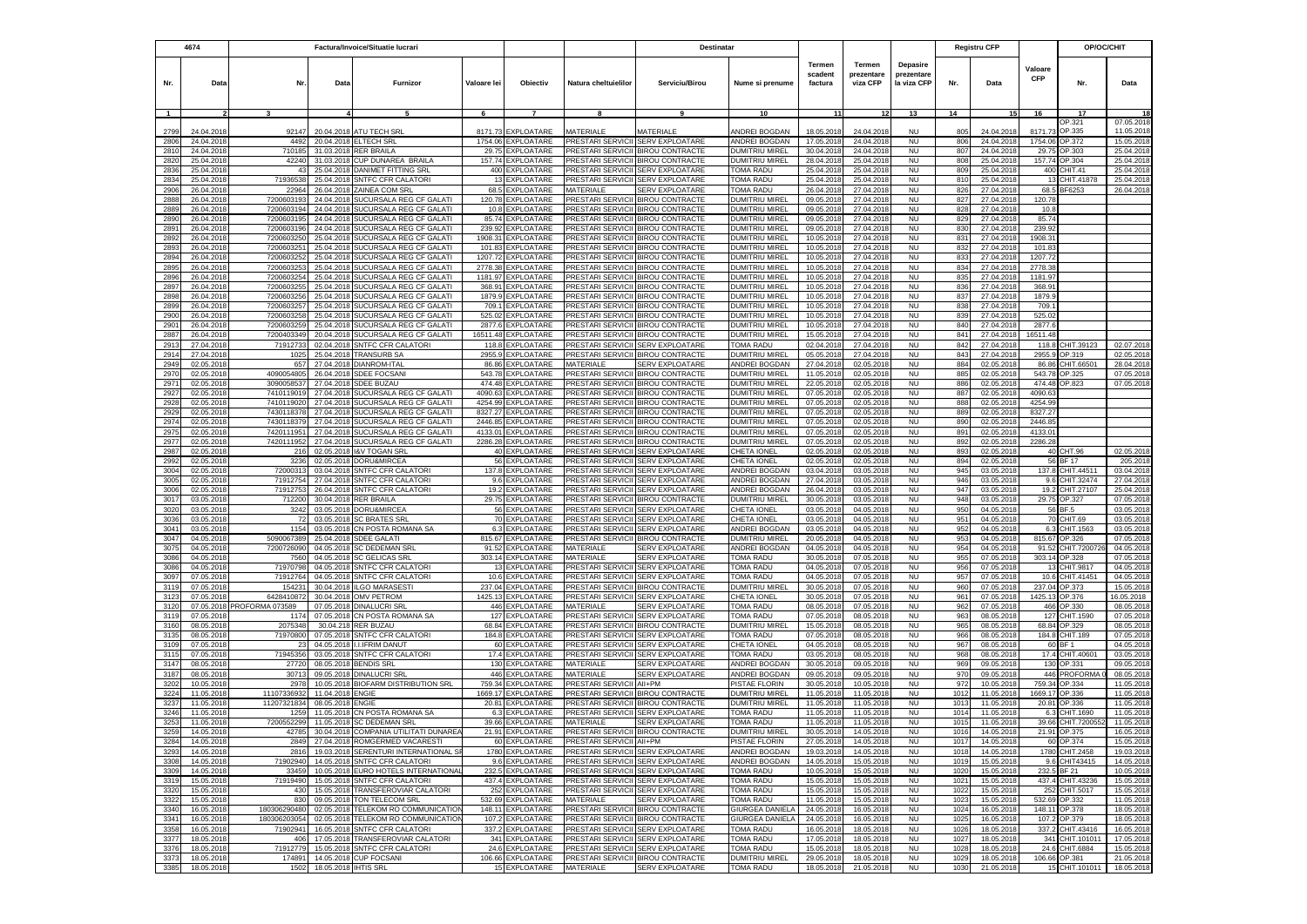|                | 4674                     | Factura/Invoice/Situatie lucrari |                          |                                                                 |                   | Destinatar                            |                                               |                                                                              |                                         |                              |                                  | <b>Registru CFP</b>                   |              | OP/OC/CHIT               |                       |                                |                        |
|----------------|--------------------------|----------------------------------|--------------------------|-----------------------------------------------------------------|-------------------|---------------------------------------|-----------------------------------------------|------------------------------------------------------------------------------|-----------------------------------------|------------------------------|----------------------------------|---------------------------------------|--------------|--------------------------|-----------------------|--------------------------------|------------------------|
| Nr.            | Data                     | Nr.                              | Data                     | Furnizor                                                        | Valoare lei       | Objectiv                              | Natura cheltuielilor                          | Serviciu/Birou                                                               | Nume si prenume                         | Termen<br>scadent<br>factura | Termen<br>prezentare<br>viza CFP | Depasire<br>prezentare<br>la viza CFP | Nr.          | Data                     | Valoare<br><b>CFP</b> | Nr.                            | Data                   |
| $\overline{1}$ |                          | 3                                |                          |                                                                 | 6                 | $\overline{7}$                        |                                               |                                                                              | 10                                      | 11                           | 12                               | 13                                    | 14           | <b>151</b>               | 16                    | 17                             |                        |
| 2799           | 24.04.2018               | 92147                            |                          | 20.04.2018 ATU TECH SRL                                         | 8171.73           | <b>EXPLOATARE</b>                     | <b>MATFRIALF</b>                              | <b>MATERIALE</b>                                                             | <b>INDREI BOGDAN</b>                    | 18.05.2018                   | 24.04.2018                       | <b>NU</b>                             | 805          | 24.04.201                | 8171.7                | OP.321<br>OP.335               | 07.05.201<br>11.05.201 |
| 2806           | 24.04.201                | 4492                             |                          | 20.04.2018 ELTECH SRL                                           | 1754.06           | EXPLOATARE                            | PRESTARI SERVICII                             | <b>SERV EXPLOATARE</b>                                                       | ANDREI BOGDAN                           | 17.05.2018                   | 24.04.2018                       | <b>NU</b>                             | 806          | 24.04.201                | 1754.06               | OP.372                         | 15.05.201              |
| 2810           | 24.04.2018               | 710185                           |                          | 31.03.2018 RER BRAILA                                           | 29.75             | <b>EXPLOATARE</b>                     |                                               | PRESTARI SERVICII BIROU CONTRACTE                                            | DUMITRIU MIREL                          | 30.04.2018                   | 24.04.2018                       | <b>NU</b>                             | 807          | 24.04.201                | 29.75                 | OP.303                         | 25.04.201              |
| 2820           | 25.04.201                | 42240                            | 31.03.2018               | CUP DUNAREA BRAILA                                              | 157.74            | <b>EXPLOATARE</b>                     | PRESTARI SERVICII                             | <b>BIROU CONTRACTE</b>                                                       | DUMITRIU MIREL                          | 28.04.201                    | 25.04.201                        | <b>NU</b>                             | 808          | 25.04.201                | 157.74                | OP.304                         | 25.04.201              |
| 2836           | 25.04.2018               | 43                               | 25.04.2018               | <b>DANIMET FITTING SRL</b>                                      | 400               | EXPLOATARE                            | PRESTARI SERVICII                             | <b>SERV EXPLOATARE</b>                                                       | <b><i>TOMA RADU</i></b>                 | 25.04.201                    | 25.04.2018                       | <b>NU</b>                             | 809          | 25.04.2018               | 400                   | CHIT.41                        | 25.04.201              |
| 2834           | 25.04.2018               | 71936538                         |                          | 25.04.2018 SNTFC CFR CALATORI                                   | 13                | <b>EXPLOATARE</b>                     | PRESTARI SERVICII                             | <b>SERV EXPLOATARE</b>                                                       | <b>TOMA RADU</b>                        | 25.04.201                    | 25.04.2018                       | <b>NU</b>                             | 810          | 25.04.201                | 13                    | CHIT.41878                     | 25.04.201              |
| 2906           | 26.04.2018               | 22964                            |                          | 26.04.2018 ZAINEA COM SRL                                       | 68.5              | EXPLOATARE                            | <b>MATERIALE</b>                              | SERV EXPLOATARE                                                              | <b>TOMA RADU</b>                        | 26.04.201                    | 27.04.2018                       | <b>NU</b>                             | 826          | 27.04.2018               | 68.5                  | 3F6253                         | 26.04.201              |
| 2888           | 26.04.2018               | 7200603193                       | 24.04.2018               | SUCURSALA REG CF GALATI                                         | 120.78            | <b>EXPLOATARE</b>                     | PRESTARI SERVICII                             | <b>BIROU CONTRACTE</b>                                                       | DUMITRIU MIREL                          | 09.05.2018                   | 27.04.2018                       | <b>NU</b>                             | 827          | 27.04.2018               | 120.78                |                                |                        |
| 2889<br>2890   | 26.04.201<br>26.04.201   | 7200603194<br>720060319          | 24.04.2018               | 24.04.2018 SUCURSALA REG CF GALATI<br>SUCURSALA REG CF GALATI   | 85.74             | 10.8 EXPLOATARE<br><b>EXPLOATARE</b>  |                                               | PRESTARI SERVICII BIROU CONTRACTE<br>PRESTARI SERVICII BIROU CONTRACTE       | <b>DUMITRIU MIREL</b><br>DUMITRIU MIREL | 09.05.2018<br>09.05.201      | 27.04.2018<br>27.04.201          | <b>NU</b><br><b>NU</b>                | 828<br>829   | 27.04.2018<br>27.04.201  | 10.8<br>85.74         |                                |                        |
| 2891           | 26.04.201                | 720060319                        | 24.04.201                | SUCURSALA REG CF GALATI                                         | 239.92            | EXPLOATARE                            | PRESTARI SERVICII                             | <b>BIROU CONTRACTE</b>                                                       | DUMITRIU MIREL                          | 09.05.201                    | 27.04.201                        | <b>NU</b>                             | 830          | 27.04.201                | 239.92                |                                |                        |
| 2892           | 26.04.201                | 720060325                        | 25.04.2018               | SUCURSALA REG CF GALATI                                         | 1908.31           | EXPLOATARE                            | <b>RESTARI SERVICII</b>                       | <b>BIROU CONTRACTE</b>                                                       | DUMITRIU MIREL                          | 10.05.201                    | 27.04.2018                       | <b>NU</b>                             | 831          | 27.04.201                | 1908.3                |                                |                        |
| 2893           | 26.04.201                | 720060325                        | 25.04.2018               | SUCURSALA REG CF GALATI                                         | 101.83            | <b>XPLOATARE</b>                      | <b>RESTARI SERVICII</b>                       | <b>BIROU CONTRACTE</b>                                                       | <b>DUMITRIU MIREL</b>                   | 10.05.201                    | 27.04.2018                       | <b>NU</b>                             | 832          | 27.04.201                | 101.8                 |                                |                        |
| 2894           | 26.04.2018               | 7200603252                       | 25.04.2018               | SUCURSALA REG CF GALATI                                         | 1207.72           | EXPLOATARE                            |                                               | PRESTARI SERVICII BIROU CONTRACTE                                            | DUMITRIU MIREL                          | 10.05.201                    | 27.04.2018                       | <b>NU</b>                             | 833          | 27.04.2018               | 1207.72               |                                |                        |
| 2895           | 26.04.2018               | 720060325                        | 25.04.2018               | SUCURSALA REG CF GALATI                                         | 2778.38           | EXPLOATARE                            |                                               | PRESTARI SERVICII BIROU CONTRACTE                                            | DUMITRIU MIREL                          | 10.05.2018                   | 27.04.201                        | <b>NU</b>                             | 834          | 27.04.201                | 2778.38               |                                |                        |
| 2896           | 26.04.201                | 720060325                        | 25.04.2018               | SUCURSALA REG CF GALATI                                         | 1181.97           | EXPLOATARE                            |                                               | PRESTARI SERVICII BIROU CONTRACTE                                            | DUMITRIU MIREL                          | 10.05.201                    | 27.04.2018                       | <b>NU</b>                             | 835          | 27.04.201                | 1181.9                |                                |                        |
| 2897           | 26.04.201                | 720060325                        | 25.04.2018               | SUCURSALA REG CF GALATI                                         | 368.91            | XPLOATARE                             |                                               | PRESTARI SERVICII BIROU CONTRACTE                                            | DUMITRIU MIREL                          | 10.05.201                    | 27.04.201                        | <b>NU</b>                             | 836          | 27.04.201                | 368.91                |                                |                        |
| 2898<br>2899   | 26.04.2018<br>26.04.2018 | 7200603256<br>7200603257         | 25.04.2018               | SUCURSALA REG CF GALATI<br>25.04.2018 SUCURSALA REG CF GALATI   | 1879.9<br>709.1   | <b>EXPLOATARE</b><br>EXPLOATARE       |                                               | <b>RESTARI SERVICII BIROU CONTRACTE</b><br>PRESTARI SERVICII BIROU CONTRACTE | DUMITRIU MIREL<br>DUMITRIU MIREL        | 10.05.201<br>10.05.201       | 27.04.2018<br>27.04.2018         | <b>NU</b><br><b>NU</b>                | 837<br>838   | 27.04.201<br>27.04.2018  | 1879.9<br>709.1       |                                |                        |
| 2900           | 26.04.201                | 720060325                        | 25.04.2018               | SUCURSALA REG CF GALATI                                         | 525.02            | EXPLOATARE                            | PRESTARI SERVICII                             | <b>BIROU CONTRACTE</b>                                                       | DUMITRIU MIREL                          | 10.05.201                    | 27.04.201                        | <b>NU</b>                             | 839          | 27.04.201                | 525.02                |                                |                        |
| 2901           | 26.04.201                | 7200603259                       | 25.04.201                | SUCURSALA REG CF GALATI                                         | 2877.6            | <b>EXPLOATARE</b>                     |                                               | PRESTARI SERVICII BIROU CONTRACTE                                            | DUMITRIU MIREL                          | 10.05.201                    | 27.04.2018                       | <b>NU</b>                             | 840          | 27.04.201                | 2877.6                |                                |                        |
| 2887           | 26.04.201                | 7200403349                       | 20.04.201                | SUCURSALA REG CF GALATI                                         | 16511.48          | <b>EXPLOATARE</b>                     |                                               | PRESTARI SERVICII BIROU CONTRACTE                                            | <b>DUMITRIU MIREL</b>                   | 15.05.201                    | 27.04.201                        | <b>NU</b>                             | 841          | 27.04.201                | 16511.48              |                                |                        |
| 2913           | 27.04.201                | 7191273                          | 02.04.201                | <b>SNTFC CFR CALATORI</b>                                       | 118.8             | <b>XPLOATARE</b>                      | PRESTARI SERVICII                             | <b>SERV EXPLOATARE</b>                                                       | TOMA RADU                               | 02.04.201                    | 27.04.201                        | <b>NU</b>                             | 842          | 27.04.201                | 118.                  | HIT.39123                      | 02.07.201              |
| 2914           | 27.04.201                | 102                              | 25.04.201                | <b>TRANSURB SA</b>                                              | 2955.9            | EXPLOATARE                            | <b>PRESTARI SERVICII</b>                      | <b>BIROU CONTRACTE</b>                                                       | <b>DUMITRIU MIREL</b>                   | 05.05.201                    | 27.04.201                        | <b>NU</b>                             | 843          | 27.04.201                | 2955.                 | OP.319                         | 02.05.20               |
| 2949           | 02.05.201                | 65                               | 27.04.2018               | <b>DIANROM-ITAL</b>                                             | 86.86             | <b>XPLOATARE</b>                      | MATERIALE                                     | <b>SERV EXPLOATARE</b>                                                       | ANDREI BOGDAN                           | 27.04.201                    | 02.05.2018                       | <b>NU</b>                             | 884          | 02.05.201                | 86.86                 | HIT.66501                      | 28.04.201              |
| 2970           | 02.05.201                | 409005480                        | 26.04.2018               | <b>SDEE FOCSANI</b>                                             | 543.78            | <b>XPLOATARE</b>                      | PRESTARI SERVICI                              | <b>BIROU CONTRACTE</b>                                                       | <b>DUMITRIU MIREL</b>                   | 11.05.201                    | 02.05.2018                       | <b>NU</b>                             | 885          | 02.05.201                | 543.7                 | OP 325                         | 07.05.201              |
| 2971<br>2927   | 02.05.2018<br>02.05.201  | 3090058537<br>741011901          | 27.04.2018<br>27.04.201  | SDEE BUZAU<br>SUCURSALA REG CF GALATI                           | 474.48<br>4090.63 | EXPLOATARE<br><b>XPLOATARE</b>        | PRESTARI SERVICII<br>PRESTARI SERVICII        | <b>BIROU CONTRACTE</b><br><b>BIROU CONTRACTE</b>                             | <b>DUMITRIU MIREL</b><br>DUMITRIU MIREL | 22.05.201<br>07.05.201       | 02.05.2018<br>02.05.201          | <b>NU</b><br><b>NU</b>                | 886<br>887   | 02.05.201<br>02.05.201   | 474.48<br>4090.6      | OP.823                         | 07.05.201              |
| 2928           | 02.05.201                | 741011902                        | 27.04.2018               | SUCURSALA REG CF GALATI                                         | 4254.99           | <b>XPLOATARE</b>                      | PRESTARI SERVICII                             | <b>BIROU CONTRACTE</b>                                                       | DUMITRIU MIREI                          | 07.05.201                    | 02.05.201                        | <b>NU</b>                             | 888          | 02.05.201                | 4254.9                |                                |                        |
| 2929           | 02.05.2018               | 7430118378                       | 27.04.2018               | SUCURSALA REG CF GALATI                                         | 8327.27           | EXPLOATARE                            | <b>PRESTARI SERVICII</b>                      | <b>BIROU CONTRACTE</b>                                                       | DUMITRIU MIREL                          | 07.05.201                    | 02.05.2018                       | <b>NU</b>                             | 889          | 02.05.201                | 8327.27               |                                |                        |
| 2974           | 02.05.2018               | 7430118379                       |                          | 27.04.2018 SUCURSALA REG CF GALATI                              | 2446.85           | EXPLOATARE                            | PRESTARI SERVICII                             | <b>BIROU CONTRACTE</b>                                                       | DUMITRIU MIREL                          | 07.05.201                    | 02.05.2018                       | <b>NU</b>                             | 890          | 02.05.201                | 2446.85               |                                |                        |
| 2975           | 02.05.2018               | 7420111951                       |                          | 27.04.2018 SUCURSALA REG CF GALATI                              | 4133.01           | EXPLOATARE                            | PRESTARI SERVICII                             | <b>BIROU CONTRACTE</b>                                                       | DUMITRIU MIREL                          | 07.05.201                    | 02.05.2018                       | <b>NU</b>                             | 891          | 02.05.201                | 4133.01               |                                |                        |
| 2977           | 02.05.2018               | 7420111952                       | 27.04.2018               | SUCURSALA REG CF GALATI                                         | 2286.28           | <b>EXPLOATARE</b>                     | PRESTARI SERVICII                             | <b>BIROU CONTRACTE</b>                                                       | DUMITRIU MIREL                          | 07.05.2018                   | 02.05.2018                       | <b>NU</b>                             | 892          | 02.05.201                | 2286.28               |                                |                        |
| 2987           | 02.05.201                | 21(                              | 02.05.2018               | <b>I&amp;V TOGAN SRL</b>                                        |                   | 40 EXPLOATARE                         | PRESTARI SERVICII                             | <b>SERV EXPLOATARE</b>                                                       | CHETA IONEL                             | 02.05.201                    | 02.05.201                        | <b>NU</b>                             | 893          | 02.05.201                |                       | 40 CHT.96                      | 02.05.201              |
| 2992           | 02.05.201                | 3236                             | 02.05.2018               | DORU&MIRCEA                                                     |                   | 56 EXPLOATARE<br><b>EXPLOATARE</b>    | PRESTARI SERVICII<br><b>PRESTARI SERVICII</b> | <b>SERV EXPLOATARE</b><br><b>SERV EXPLOATARE</b>                             | CHETA IONEL                             | 02.05.201                    | 02.05.201                        | <b>NU</b>                             | 894          | 02.05.201                | 56                    | <b>BF 17</b>                   | 205.201<br>03.04.201   |
| 3004<br>3005   | 02.05.201<br>02.05.201   | 7200031<br>71912754              | 03.04.201<br>27.04.2018  | SNTFC CFR CALATOR<br>SNTFC CFR CALATOR                          | 137.8<br>96       | EXPLOATARE                            | <b>PRESTARI SERVICII</b>                      | <b>SERV EXPLOATARE</b>                                                       | ANDREI BOGDAN<br><b>INDREI BOGDAN</b>   | 03.04.201<br>27.04.201       | 03.05.2018<br>03.05.2018         | <b>NU</b><br><b>NU</b>                | 945<br>946   | 03.05.201<br>03.05.201   | 137.8<br>9.6          | CHIT.44511<br>CHIT.32474       | 27.04.201              |
| 3006           | 02.05.2018               | 7191275                          | 26.04.2018               | SNTFC CFR CALATORI                                              | 19.2              | EXPLOATARE                            | PRESTARI SERVICII                             | <b>SERV EXPLOATARE</b>                                                       | ANDREI BOGDAN                           | 26.04.201                    | 03.05.2018                       | NU                                    | 947          | 03.05.2018               | 19.2                  | CHIT.27107                     | 25.04.201              |
| 3017           | 03.05.2018               | 712200                           | 30.04.2018               | <b>RER BRAILA</b>                                               | 29.75             | <b>EXPLOATARE</b>                     | PRESTARI SERVICII                             | <b>BIROU CONTRACTE</b>                                                       | DUMITRIU MIREL                          | 30.05.2018                   | 03.05.2018                       | <b>NU</b>                             | 948          | 03.05.2018               |                       | 29.75 OP.327                   | 07.05.201              |
| 3020           | 03.05.2018               | 3242                             | 03.05.2018               | DORU&MIRCEA                                                     |                   | 56 EXPLOATARE                         |                                               | PRESTARI SERVICII SERV EXPLOATARE                                            | CHETA IONEL                             | 03.05.2018                   | 04.05.2018                       | <b>NU</b>                             | 950          | 04.05.2018               |                       | 56 BF.5                        | 03.05.201              |
| 3036           | 03.05.2018               |                                  | 03.05.2018               | <b>SC BRATES SRL</b>                                            | 70                | EXPLOATARE                            | PRESTARI SERVICII                             | <b>SERV EXPLOATARE</b>                                                       | CHETA IONEL                             | 03.05.201                    | 04.05.201                        | <b>NU</b>                             | 951          | 04.05.201                | 70                    | CHIT.69                        | 03.05.201              |
| 3041           | 03.05.2018               | 1154                             |                          | 03.05.2018 CN POSTA ROMANA SA                                   | 6.3               | EXPLOATARE                            | <b>PRESTARI SERVICII</b>                      | <b>SERV EXPLOATARE</b>                                                       | <b>INDREI BOGDAN</b>                    | 03.05.201                    | 04.05.2018                       | <b>NU</b>                             | 952          | 04.05.2018               | 6.3                   | CHIT.1563                      | 03.05.201              |
| 3047           | 04.05.2018               | 5090067389                       |                          | 25.04.2018 SDEE GALATI                                          | 815.67            | <b>EXPLOATARE</b>                     | <b>PRESTARI SERVICII</b>                      | <b>BIROU CONTRACTE</b>                                                       | DUMITRIU MIREL                          | 20.05.201                    | 04.05.2018                       | <b>NU</b>                             | 953          | 04.05.2018               | 815.67                | OP.326                         | 07.05.201              |
| 3075           | 04.05.2018               | 7200726090<br>7560               |                          | 04.05.2018 SC DEDEMAN SRI                                       | 91.52             | EXPLOATARE<br>303.14 EXPLOATARE       | <b>MATERIALE</b><br><b>MATFRIALF</b>          | <b>SERV EXPLOATARE</b><br><b>SERV EXPLOATARE</b>                             | ANDREI BOGDAN<br>TOMA RADU              | 04.05.201                    | 04.05.2018                       | <b>NU</b>                             | 954<br>955   | 04.05.2018               | 91.52<br>303.14       | CHIT.720072<br>OP.328          | 04.05.201              |
| 3086<br>3086   | 04.05.2018<br>04.05.2018 | 71970798                         | 04.05.2018               | 04.05.2018 SC GELICAS SRL<br><b>SNTFC CFR CALATORI</b>          |                   | 13 EXPLOATARE                         |                                               | PRESTARI SERVICII SERV EXPLOATARE                                            | TOMA RADU                               | 30.05.2018<br>04.05.2018     | 07.05.2018<br>07.05.2018         | <b>NU</b><br><b>NU</b>                | 956          | 07.05.2018<br>07.05.201  | 13                    | CHIT.9817                      | 07.05.201<br>04.05.201 |
| 3097           | 07.05.201                | 7191276                          | 04.05.201                | <b>SNTFC CFR CALATORI</b>                                       | 10.6              | <b>EXPLOATARE</b>                     |                                               | PRESTARI SERVICII SERV EXPLOATARE                                            | TOMA RADU                               | 04.05.201                    | 07.05.201                        | <b>NU</b>                             | 957          | 07.05.201                | 10.6                  | CHIT.41451                     | 04.05.201              |
| 3119           | 07.05.201                | 15423                            | 30.04.201                | <b>ILGO MARASEST</b>                                            | 237.04            | <b>EXPLOATARE</b>                     | <b>PRESTARI SERVICII</b>                      | <b>BIROU CONTRACTE</b>                                                       | <b>DUMITRIU MIREL</b>                   | 30.05.201                    | 07.05.201                        | <b>NU</b>                             | 960          | 07.05.201                | 237.04                | OP.373                         | 15.05.20               |
| 3123           | 07.05.201                | 642841087                        | 30.04.201                | <b>OMV PETROM</b>                                               | 1425.13           | EXPLOATARE                            | PRESTARI SERVICII                             | <b>SERV EXPLOATARE</b>                                                       | CHETA IONEI                             | 30.05.201                    | 07.05.201                        | <b>NU</b>                             | 961          | 07.05.201                | 1425.1                | OP.376                         | 16.05.2018             |
| 3120           | 07.05.2018               | PROFORMA 073589                  | 07.05.201                | <b>DINALUCRI SRL</b>                                            | 446               | <b>XPLOATARE</b>                      | <b>MATERIALE</b>                              | <b>SERV EXPLOATARE</b>                                                       | TOMA RADU                               | 08.05.201                    | 07.05.2018                       | <b>NU</b>                             | 962          | 07.05.201                | 466                   | OP.330                         | 08.05.201              |
| 3119           | 07.05.2018               | $117-$                           | 07.05.2018               | CN POSTA ROMANA SA                                              | 127               | EXPLOATARE                            | PRESTARI SERVICII                             | <b>SERV EXPLOATARE</b>                                                       | TOMA RADU                               | 07.05.201                    | 08.05.2018                       | <b>NU</b>                             | 963          | 08.05.201                | 127                   | CHIT.1590                      | 07.05.201              |
| 3160           | 08.05.2018               | 207534                           |                          | 30.04.218 RER BUZAU                                             | 68.84             | EXPLOATARE                            |                                               | PRESTARI SERVICII BIROU CONTRACTE                                            | <b>DUMITRIU MIREL</b>                   | 15.05.2018                   | 08.05.2018                       | <b>NU</b>                             | 965          | 08.05.201                | 68.84                 | OP.329                         | 08.05.201              |
| 3135<br>3109   | 08.05.201<br>07.05.2018  | 71970800<br>23                   | 07.05.2018<br>04.05.2018 | SNTFC CFR CALATORI<br><b>I.I.IFRIM DANUT</b>                    | 184.8<br>60       | <b>XPLOATARE</b><br><b>EXPLOATARE</b> | PRESTARI SERVICII<br><b>PRESTARI SERVICII</b> | <b>SERV EXPLOATARE</b><br><b>SERV EXPLOATARE</b>                             | TOMA RADU<br>CHETA IONEL                | 07.05.201<br>04.05.201       | 08.05.201<br>08.05.2018          | <b>NU</b><br><b>NU</b>                | 966<br>967   | 08.05.201<br>08.05.201   | 184.8<br>60           | CHIT.189<br>BF 1               | 07.05.201<br>04.05.201 |
| 3115           | 07.05.2018               | 71945356                         |                          | 03.05.2018 SNTFC CFR CALATORI                                   | 17.4              | <b>EXPLOATARE</b>                     | PRESTARI SERVICII                             | <b>SERV EXPLOATARE</b>                                                       | <b><i>FOMA RADU</i></b>                 | 03.05.201                    | 08.05.2018                       | <b>NU</b>                             | 968          | 08.05.201                | 17.4                  | CHIT.40601                     | 03.05.201              |
| 3147           | 08.05.2018               | 27720                            |                          | 08.05.2018 BENDIS SRL                                           | 130               | <b>XPLOATARE</b>                      | <b>MATFRIALF</b>                              | <b>SERV EXPLOATARE</b>                                                       | ANDREI BOGDAN                           | 30.05.201                    | 09.05.2018                       | <b>NU</b>                             | 969          | 09.05.2018               | 130                   | OP 331                         | 09.05.201              |
| 3187           | 08.05.2018               | 30713                            |                          | 09.05.2018 DINALUCRI SRL                                        | 446               | <b>XPLOATARE</b>                      | <b>MATFRIALE</b>                              | <b>SERV EXPLOATARE</b>                                                       | ANDREI BOGDAN                           | 09.05.201                    | 09.05.2018                       | <b>NU</b>                             | 970          | 09.05.2018               | 446                   | <b>PROFORMA</b>                | 08.05.201              |
| 3202           | 10.05.2018               | 2978                             | 10.05.2018               | <b>BIOFARM DISTRIBUTION SRL</b>                                 | 759.34            | EXPLOATARE                            | PRESTARI SERVICII                             | All+PM                                                                       | PISTAE FLORIN                           | 30.05.2018                   | 10.05.2018                       | <b>NU</b>                             | 972          | 10.05.2018               | 759.34                | OP.334                         | 11.05.201              |
| 3224           | 11.05.201                | 1110733693                       | 11.04.2018               | <b>ENGIE</b>                                                    | 1669.17           | EXPLOATARE                            | PRESTARI SERVICII                             | <b>BIROU CONTRACTE</b>                                                       | DUMITRIU MIREL                          | 11.05.201                    | 11.05.201                        | <b>NU</b>                             | 1012         | 11.05.201                | 1669.17               | OP.336                         | 11.05.201              |
| 3237           | 11.05.201                | 1120732183                       | 08.05.201                | <b>ENGIE</b>                                                    | 20.81             | EXPLOATARE                            | PRESTARI SERVICII                             | <b>BIROU CONTRACTE</b>                                                       | DUMITRIU MIREL                          | 11.05.201                    | 11.05.201                        | <b>NU</b>                             | 1013         | 11.05.201                | 20.81                 | OP.336                         | 11.05.201              |
| 3246<br>3253   | 11.05.201<br>11.05.201   | 125<br>7200552299                | 11.05.201                | CN POSTA ROMANA SA<br>11.05.2018 SC DEDEMAN SRI                 | 6.3<br>39.66      | <b>EXPLOATARE</b><br><b>XPLOATARE</b> | PRESTARI SERVICII<br><b>MATERIALE</b>         | <b>SERV EXPLOATARE</b><br>SERV EXPLOATARE                                    | <b>TOMA RADL</b><br><b>FOMA RADU</b>    | 11.05.201<br>11.05.201       | 11.05.2018<br>11.05.2018         | <b>NU</b><br><b>NU</b>                | 1014<br>101  | 11.05.201<br>11.05.201   | 6.3<br>39.66          | CHIT.1690<br>CHIT.720055       | 11.05.201<br>11.05.201 |
| 3259           | 14.05.2018               | 42785                            |                          | 30.04.2018 COMPANIA UTILITATI DUNAREA                           |                   | 21.91 EXPLOATARE                      |                                               | PRESTARI SERVICII BIROU CONTRACTE                                            | DUMITRIU MIREL                          | 30.05.2018                   | 14.05.2018                       | <b>NU</b>                             | 1016         | 14.05.2018               | 21.91                 | OP.375                         | 16.05.201              |
| 3284           | 14.05.2018               | 2849                             |                          | 27.04.2018 ROMGERMED VACARESTI                                  |                   | 60 EXPLOATARE                         | PRESTARI SERVICII AII+PM                      |                                                                              | PISTAE FLORIN                           | 27.05.2018                   | 14.05.2018                       | <b>NU</b>                             | 1017         | 14.05.2018               |                       | 60 OP.374                      | 15.05.2018             |
| 3293           | 14.05.2018               | 2816                             |                          | 19.03.2018 SERENTURI INTERNATIONAL S                            |                   | 1780 EXPLOATARE                       |                                               | PRESTARI SERVICII SERV EXPLOATARE                                            | ANDREI BOGDAN                           | 19.03.2018                   | 14.05.2018                       | <b>NU</b>                             | 1018         | 14.05.2018               |                       | 1780 CHIT.2458                 | 19.03.2018             |
| 3308           | 14.05.2018               | 71902940                         |                          | 14.05.2018 SNTFC CFR CALATORI                                   |                   | 9.6 EXPLOATARE                        |                                               | PRESTARI SERVICII SERV EXPLOATARE                                            | ANDREI BOGDAN                           | 14.05.2018                   | 15.05.2018                       | <b>NU</b>                             | 1019         | 15.05.2018               |                       | 9.6 CHIT43415                  | 14.05.2018             |
| 3309           | 14.05.2018               | 33459                            |                          | 10.05.2018 EURO HOTELS INTERNATIONAL                            |                   | 232.5 EXPLOATARE                      |                                               | PRESTARI SERVICII SERV EXPLOATARE                                            | TOMA RADU                               | 10.05.2018                   | 15.05.2018                       | <b>NU</b>                             | 1020         | 15.05.2018               |                       | 232.5 BF 21                    | 10.05.2018             |
| 3319           | 15.05.2018               | 71919490                         |                          | 15.05.2018 SNTFC CFR CALATORI                                   |                   | 437.4 EXPLOATARE                      |                                               | PRESTARI SERVICII SERV EXPLOATARE                                            | TOMA RADU                               | 15.05.2018                   | 15.05.2018                       | <b>NU</b>                             | 1021         | 15.05.2018               | 437.4                 | CHIT.43236                     | 15.05.2018             |
| 3320           | 15.05.2018               | 430<br>830                       |                          | 15.05.2018 TRANSFEROVIAR CALATORI<br>09.05.2018 TON TELECOM SRL |                   | 252 EXPLOATARE<br>532.69 EXPLOATARE   | <b>MATERIALE</b>                              | PRESTARI SERVICII SERV EXPLOATARE<br><b>SERV EXPLOATARE</b>                  | <b>TOMA RADU</b><br><b>TOMA RADU</b>    | 15.05.2018                   | 15.05.2018                       | <b>NU</b>                             | 1022         | 15.05.2018               | 252                   | CHIT.5017                      | 15.05.201              |
| 3322<br>3340   | 15.05.2018<br>16.05.2018 | 180306290480                     |                          | 02.05.2018 TELEKOM RO COMMUNICATION                             |                   | 148.11 EXPLOATARE                     |                                               | PRESTARI SERVICII BIROU CONTRACTE                                            | <b>GIURGEA DANIELA</b>                  | 11.05.2018<br>24.05.2018     | 15.05.2018<br>16.05.2018         | <b>NU</b><br><b>NU</b>                | 1023<br>1024 | 15.05.2018<br>16.05.2018 |                       | 532.69 OP.332<br>148.11 OP.378 | 11.05.201<br>18.05.201 |
| 3341           | 16.05.2018               | 180306203054                     | 02.05.201                | TELEKOM RO COMMUNICATION                                        |                   | 107.2 EXPLOATARE                      |                                               | PRESTARI SERVICII BIROU CONTRACTE                                            | <b>GIURGEA DANIELA</b>                  | 24.05.2018                   | 16.05.2018                       | <b>NU</b>                             | 1025         | 16.05.201                | 107.2                 | OP.379                         | 18.05.201              |
| 3358           | 16.05.2018               | 71902941                         | 16.05.201                | <b>SNTFC CFR CALATORI</b>                                       |                   | 337.2 EXPLOATARE                      |                                               | PRESTARI SERVICII SERV EXPLOATARE                                            | <b>TOMA RADU</b>                        | 16.05.2018                   | 18.05.2018                       | <b>NU</b>                             | 1026         | 18.05.201                |                       | 337.2 CHIT.43416               | 16.05.201              |
| 3377           | 18.05.2018               | 40f                              | 17.05.2018               | TRANSFEROVIAR CALATORI                                          |                   | 341 EXPLOATARE                        |                                               | PRESTARI SERVICII SERV EXPLOATARE                                            | <b>TOMA RADU</b>                        | 17.05.2018                   | 18.05.2018                       | <b>NU</b>                             | 1027         | 18.05.2018               | 341                   | CHIT.101011                    | 17.05.201              |
| 3376           | 18.05.2018               | 71912779                         | 15.05.2018               | SNTFC CFR CALATORI                                              |                   | 24.6 EXPLOATARE                       |                                               | PRESTARI SERVICII SERV EXPLOATARE                                            | <b>TOMA RADU</b>                        | 15.05.2018                   | 18.05.2018                       | <b>NU</b>                             | 1028         | 18.05.2018               | 24.6                  | CHIT.6884                      | 15.05.201              |
| 3373           | 18.05.2018               | 174891                           |                          | 14.05.2018 CUP FOCSANI                                          |                   | 106.66 EXPLOATARE                     |                                               | PRESTARI SERVICII BIROU CONTRACTE                                            | <b>DUMITRIU MIREL</b>                   | 29.05.2018                   | 18.05.2018                       | <b>NU</b>                             | 1029         | 18.05.2018               | 106.66                | OP.381                         | 21.05.2018             |
| 3385           | 18.05.2018               | 1502                             | 18.05.2018 IHTIS SRL     |                                                                 |                   | 15 EXPLOATARE                         | MATERIALE                                     | <b>SERV EXPLOATARE</b>                                                       | <b>TOMA RADU</b>                        | 18.05.2018                   | 21.05.2018                       | <b>NU</b>                             | 1030         | 21.05.2018               |                       | 15 CHIT.101011                 | 18.05.2018             |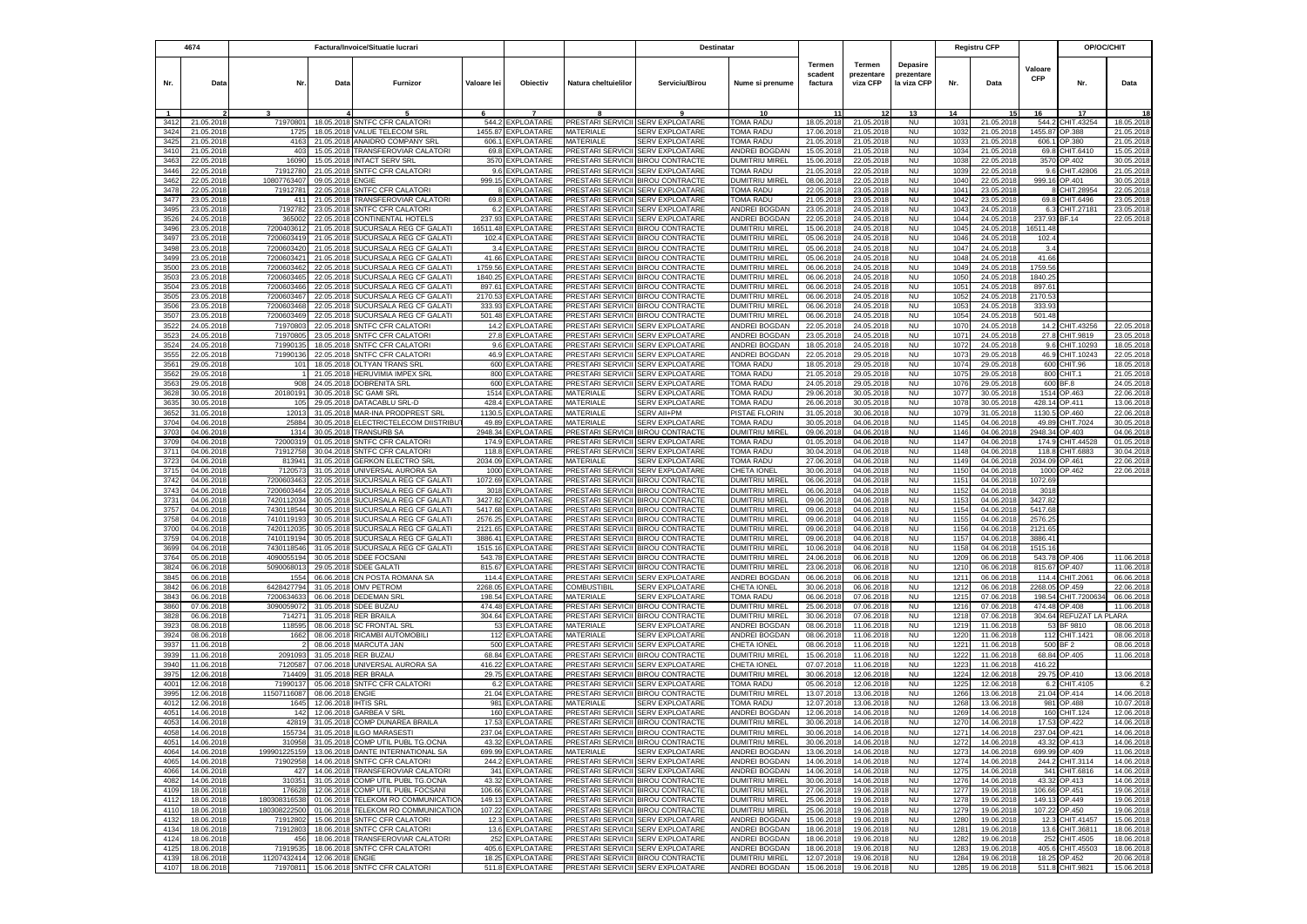|              | 4674                     | Factura/Invoice/Situatie lucrari |                          |                                                                    |                    | Destinatar                             |                                                                        |                                                                        |                                            |                                     |                                  | <b>Registru CFP</b>                   |              | OP/OC/CHIT               |                       |                                   |                          |
|--------------|--------------------------|----------------------------------|--------------------------|--------------------------------------------------------------------|--------------------|----------------------------------------|------------------------------------------------------------------------|------------------------------------------------------------------------|--------------------------------------------|-------------------------------------|----------------------------------|---------------------------------------|--------------|--------------------------|-----------------------|-----------------------------------|--------------------------|
| Nr.          | Data                     | Nr.                              | Data                     | <b>Furnizor</b>                                                    | Valoare lei        | Obiectiv                               | Natura cheltuielilor                                                   | Serviciu/Birou                                                         | Nume si prenume                            | <b>Termen</b><br>scadent<br>factura | Termen<br>prezentare<br>viza CFP | Depasire<br>prezentare<br>la viza CFP | Nr.          | Data                     | Valoare<br><b>CFP</b> | Nr.                               | Data                     |
|              |                          |                                  |                          |                                                                    |                    |                                        |                                                                        |                                                                        | 10                                         |                                     |                                  | 13                                    | 14           |                          | 16                    | 17                                |                          |
| 3412         | 21.05.201                | 71970801                         | 18.05.2018               | <b>SNTFC CFR CALATORI</b>                                          | 544.2              | EXPLOATARE                             |                                                                        | PRESTARI SERVICII SERV EXPLOATARE                                      | <b>TOMA RADU</b>                           | 18.05.201                           | 21.05.2018                       | <b>NU</b>                             | 1031         | 21.05.2018               | 544.2                 | CHIT.43254                        | 18.05.2018               |
| 3424<br>3425 | 21.05.201<br>21.05.201   | 1725<br>4163                     | 18.05.2018<br>21.05.201  | VALUE TELECOM SRL<br>ANAIDRO COMPANY SRI                           | 606.1              | 1455.87 EXPLOATARE<br>EXPLOATARE       | MATERIALE<br>MATERIALE                                                 | <b>SERV EXPLOATARE</b><br><b>SERV EXPLOATARE</b>                       | TOMA RADU<br><b><i>FOMA RADU</i></b>       | 17.06.201<br>21.05.201              | 21.05.2018<br>21.05.2018         | <b>NU</b><br><b>NU</b>                | 1032<br>1033 | 21.05.2018               | 1455.87<br>606.       | OP.388<br>P.380                   | 21.05.201<br>21.05.201   |
| 3410         | 21.05.201                | 403                              | 15.05.2018               | TRANSFEROVIAR CALATORI                                             | 69.8               | EXPLOATARE                             | PRESTARI SERVICII                                                      | <b>SERV EXPLOATARE</b>                                                 | <b>INDREI BOGDAN</b>                       | 15.05.201                           | 21.05.2018                       | <b>NU</b>                             | 1034         | 21.05.201<br>21.05.2018  | 69.8                  | CHIT.6410                         | 15.05.201                |
| 3463         | 22.05.201                | 16090                            | 15.05.2018               | <b>INTACT SERV SRL</b>                                             | 3570               | EXPLOATARE                             | PRESTARI SERVICII                                                      | <b>BIROU CONTRACTE</b>                                                 | <b>DUMITRIU MIREL</b>                      | 15.06.201                           | 22.05.2018                       | <b>NU</b>                             | 1038         | 22.05.2018               | 3570                  | OP.402                            | 30.05.201                |
| 3446         | 22.05.2018               | 71912780                         | 21.05.2018               | SNTFC CFR CALATORI                                                 | 9.6                | EXPLOATARE                             | PRESTARI SERVICII                                                      | <b>SERV EXPLOATARE</b>                                                 | OMA RADU                                   | 21.05.201                           | 22.05.2018                       | <b>NU</b>                             | 1039         | 22.05.2018               | 9.6                   | CHIT.42806                        | 21.05.201                |
| 3462         | 22.05.2018               | 10807763407                      | 09.05.201                | <b>ENGIE</b>                                                       |                    | 999.15 EXPLOATARE                      |                                                                        | PRESTARI SERVICII BIROU CONTRACTE                                      | DUMITRIU MIREI                             | 08.06.201                           | 22.05.2018                       | <b>NU</b>                             | 1040         | 22.05.2018               | 999.16                | OP.401                            | 30.05.201                |
| 3478         | 22.05.201                | 71912781                         | 22.05.201                | SNTFC CFR CALATORI                                                 |                    | 8 EXPLOATARE                           |                                                                        | PRESTARI SERVICII SERV EXPLOATARE                                      | TOMA RADU                                  | 22.05.201                           | 23.05.2018                       | <b>NU</b>                             | 1041         | 23.05.201                |                       | 8 CHIT.28954                      | 22.05.201                |
| 3477<br>3495 | 23.05.201<br>23.05.201   | 411<br>7192782                   | 21.05.201<br>23.05.201   | TRANSFEROVIAR CALATORI<br><b>SNTFC CFR CALATORI</b>                | 69.8<br>6.2        | <b>EXPLOATARE</b><br><b>EXPLOATARE</b> |                                                                        | PRESTARI SERVICII SERV EXPLOATARE<br>PRESTARI SERVICII SERV EXPLOATARE | <b><i>FOMA RADU</i></b><br>ANDREI BOGDAN   | 21.05.201<br>23.05.201              | 23.05.2018<br>24.05.2018         | <b>NU</b><br><b>NU</b>                | 1042<br>1043 | 23.05.201<br>24.05.201   | 6.3                   | 69.8 CHIT.6496<br>CHIT.27181      | 23.05.201<br>23.05.201   |
| 3526         | 24.05.201                | 36500                            | 22.05.201                | CONTINENTAL HOTELS                                                 | 237.93             | EXPLOATARE                             |                                                                        | PRESTARI SERVICII SERV EXPLOATARE                                      | ANDREI BOGDAN                              | 22.05.201                           | 24.05.201                        | <b>NU</b>                             | 1044         | 24.05.201                | 237.93                | <b>BF.14</b>                      | 22.05.201                |
| 3496         | 23.05.201                | 720040361                        | 21.05.201                | SUCURSALA REG CF GALATI                                            | 16511.48           | EXPLOATARE                             |                                                                        | PRESTARI SERVICII BIROU CONTRACTE                                      | DUMITRIU MIREL                             | 15.06.201                           | 24.05.2018                       | <b>NU</b>                             | 1045         | 24.05.2018               | 16511.48              |                                   |                          |
| 3497         | 23.05.201                | 7200603419                       | 21.05.201                | SUCURSALA REG CF GALATI                                            | 102.4              | <b>EXPLOATARE</b>                      |                                                                        | PRESTARI SERVICII BIROU CONTRACTE                                      | <b>DUMITRIU MIREL</b>                      | 05.06.201                           | 24.05.2018                       | <b>NU</b>                             | 1046         | 24.05.201                | 102.4                 |                                   |                          |
| 3498         | 23.05.201                | 7200603420                       | 21.05.2018               | SUCURSALA REG CF GALATI                                            |                    | 3.4 EXPLOATARE                         |                                                                        | PRESTARI SERVICII BIROU CONTRACTE                                      | DUMITRIU MIREL                             | 05.06.201                           | 24.05.2018                       | <b>NU</b>                             | 1047         | 24.05.2018               | 3.4                   |                                   |                          |
| 3499<br>3500 | 23.05.201<br>23.05.2018  | 720060342<br>7200603462          | 21.05.201<br>22.05.201   | SUCURSALA REG CF GALATI<br>SUCURSALA REG CF GALATI                 | 41.66<br>1759.56   | EXPLOATARE<br><b>EXPLOATARE</b>        |                                                                        | PRESTARI SERVICII BIROU CONTRACTE<br>PRESTARI SERVICII BIROU CONTRACTE | DUMITRIU MIREL<br>DUMITRIU MIREL           | 05.06.201<br>06.06.201              | 24.05.2018<br>24.05.2018         | <b>NU</b><br><b>NU</b>                | 1048<br>1049 | 24.05.2018<br>24.05.2018 | 41.66<br>1759.56      |                                   |                          |
| 3503         | 23.05.2018               | 7200603465                       | 22.05.201                | SUCURSALA REG CF GALATI                                            | 1840.25            | <b>EXPLOATARE</b>                      |                                                                        | PRESTARI SERVICII BIROU CONTRACTE                                      | DUMITRIU MIREL                             | 06.06.201                           | 24.05.2018                       | <b>NU</b>                             | 1050         | 24.05.2018               | 1840.25               |                                   |                          |
| 3504         | 23.05.2018               | 7200603466                       | 22.05.201                | SUCURSALA REG CF GALATI                                            | 897.61             | EXPLOATARE                             |                                                                        | PRESTARI SERVICII BIROU CONTRACTE                                      | DUMITRIU MIREI                             | 06.06.201                           | 24.05.2018                       | <b>NU</b>                             | 1051         | 24.05.2018               | 897.61                |                                   |                          |
| 3505         | 23.05.201                | 7200603467                       | 22.05.201                | SUCURSALA REG CF GALATI                                            | 2170.53            | EXPLOATARE                             |                                                                        | PRESTARI SERVICII BIROU CONTRACTE                                      | DUMITRIU MIREI                             | 06.06.201                           | 24.05.2018                       | <b>NU</b>                             | 1052         | 24.05.201                | 2170.53               |                                   |                          |
| 3506         | 23.05.201                | 7200603468                       | 22.05.201                | SUCURSALA REG CF GALAT                                             | 333.93             | EXPLOATARE                             |                                                                        | PRESTARI SERVICII BIROU CONTRACTE                                      | <b>DUMITRIU MIREL</b>                      | 06.06.201                           | 24.05.2018                       | <b>NU</b>                             | 1053         | 24.05.201                | 333.93                |                                   |                          |
| 3507         | 23.05.201<br>24.05.201   | 7200603469<br>7197080            | 22.05.201<br>22.05.20    | SUCURSALA REG CF GALATI<br>SNTFC CFR CALATOR                       | 501.48<br>14.2     | <b>EXPLOATARE</b><br><b>EXPLOATARE</b> | PRESTARI SERVICII                                                      | PRESTARI SERVICII BIROU CONTRACTE<br><b>SERV EXPLOATARE</b>            | DUMITRIU MIREL<br>ANDREI BOGDAN            | 06.06.201<br>22.05.20               | 24.05.2018<br>24.05.2018         | <b>NU</b><br><b>NU</b>                | 1054<br>1070 | 24.05.201<br>24.05.20    | 501.48<br>14.2        | CHIT.43256                        | 22.05.201                |
| 3522<br>3523 | 24.05.201                | 7197080                          | 23.05.201                | <b>SNTFC CFR CALATORI</b>                                          | 27.8               | EXPLOATARE                             | PRESTARI SERVICII                                                      | <b>SERV EXPLOATARE</b>                                                 | ANDREI BOGDAN                              | 23.05.201                           | 24.05.2018                       | <b>NU</b>                             | 1071         | 24.05.201                | 27.8                  | CHIT.9819                         | 23.05.201                |
| 3524         | 24.05.2018               | 7199013                          | 18.05.201                | SNTFC CFR CALATORI                                                 | 9.6                | <b>EXPLOATARE</b>                      | PRESTARI SERVICII                                                      | <b>SERV EXPLOATARE</b>                                                 | ANDREI BOGDAN                              | 18.05.201                           | 24.05.201                        | <b>NU</b>                             | 1072         | 24.05.201                | 9.6                   | CHIT.10293                        | 18.05.201                |
| 3555         | 22.05.2018               | 71990136                         | 22.05.201                | SNTFC CFR CALATORI                                                 | 46.9               | EXPLOATARE                             | PRESTARI SERVICII                                                      | SERV EXPLOATARE                                                        | ANDREI BOGDAN                              | 22.05.201                           | 29.05.2018                       | <b>NU</b>                             | 1073         | 29.05.2018               | 46.9                  | CHIT.10243                        | 22.05.201                |
| 3561         | 29.05.2018               | 101                              | 18.05.2018               | OLTYAN TRANS SRL                                                   | 600                | EXPLOATARE                             | PRESTARI SERVICII                                                      | <b>SERV EXPLOATARE</b>                                                 | TOMA RADU                                  | 18.05.201                           | 29.05.2018                       | <b>NU</b>                             | 1074         | 29.05.201                | 600                   | CHIT.96                           | 18.05.201                |
| 3562         | 29.05.201                |                                  | 21.05.201                | <b>HERUVIMIA IMPEX SRL</b>                                         | 800                | EXPLOATARE                             | PRESTARI SERVICII                                                      | SERV EXPLOATARE                                                        | <b><i>TOMA RADU</i></b>                    | 21.05.201                           | 29.05.2018                       | <b>NU</b>                             | 1075         | 29.05.201                | 800                   | :HIT.1                            | 21.05.201                |
| 3563<br>3628 | 29.05.201<br>30.05.2018  | 90<br>20180191                   | 24.05.201<br>30.05.2018  | DOBRENITA SRL<br><b>SC GAMI SRL</b>                                | 600<br>1514        | EXPLOATARE<br>EXPLOATARE               | PRESTARI SERVICII<br>MATERIALE                                         | SERV EXPLOATARE<br><b>SERV EXPLOATARE</b>                              | 'OMA RADU<br>OMA RADU                      | 24.05.201<br>29.06.201              | 29.05.201<br>30.05.2018          | <b>NU</b><br><b>NU</b>                | 1076<br>1077 | 29.05.201<br>30.05.2018  | 600<br>1514           | iF.8<br>OP.463                    | 24.05.201<br>22.06.201   |
| 3635         | 30.05.2018               | 105                              | 29.05.2018               | DATACABLU SRL-D                                                    | 428.4              | EXPLOATARE                             | MATERIALE                                                              | <b>SERV EXPLOATARE</b>                                                 | OMA RADU                                   | 26.06.201                           | 30.05.2018                       | <b>NU</b>                             | 1078         | 30.05.2018               |                       | 428.14 OP.411                     | 13.06.201                |
| 3652         | 31.05.2018               | 12013                            | 31.05.201                | MAR-INA PRODPREST SRL                                              | 1130.5             | EXPLOATARE                             | MATERIALE                                                              | SERV All+PM                                                            | <b>PISTAE FLORIN</b>                       | 31.05.201                           | 30.06.201                        | <b>NU</b>                             | 1079         | 31.05.201                | 1130.5                | P.460                             | 22.06.201                |
| 3704         | 04.06.2018               | 25884                            | 30.05.2018               | ELECTRICTELECOM DIISTRIBUT                                         | 49.89              | EXPLOATARE                             | <b>MATFRIALF</b>                                                       | <b>SERV EXPLOATARE</b>                                                 | <b><i>COMA RADU</i></b>                    | 30.05.201                           | 04.06.2018                       | <b>NU</b>                             | 1145         | 04.06.2018               | 49.89                 | CHIT.7024                         | 30.05.201                |
| 3703         | 04.06.201                | $131 -$                          | 30.05.201                | <b>TRANSURB SA</b>                                                 | 2948.34            | EXPLOATARE                             |                                                                        | PRESTARI SERVICII BIROU CONTRACTE                                      | DUMITRIU MIREL                             | 09.06.201                           | 04.06.2018                       | <b>NU</b>                             | 1146         | 04.06.201                | 2948.34               | OP.403                            | 04.06.201                |
| 3709         | 04.06.20                 | 7200031                          | 01.05.20                 | SNTFC CFR CALATORI                                                 | 174.9              | EXPLOATARE                             | PRESTARI SERVICII                                                      | <b>SERV EXPLOATARE</b>                                                 | OMA RADU                                   | 01.05.201                           | 04.06.201                        | <b>NU</b>                             | 1147         | 04.06.20                 | 174.                  | CHIT.44528                        | 01.05.201                |
| 3711<br>3723 | 04.06.201<br>04.06.201   | 7191275<br>81394                 | 30.04.201<br>31.05.201   | SNTFC CFR CALATORI<br><b>GERKON ELECTRO SRL</b>                    | 118.8<br>2034.09   | <b>EXPLOATARE</b><br><b>EXPLOATARE</b> | PRESTARI SERVICII<br><b>MATERIALE</b>                                  | <b>SERV EXPLOATARE</b><br><b>SERV EXPLOATARE</b>                       | OMA RADU<br>OMA RADU                       | 30.04.201<br>27.06.201              | 04.06.2018<br>04.06.2018         | <b>NU</b><br><b>NU</b>                | 1148<br>1149 | 04.06.201<br>04.06.201   | 118.8<br>2034.09      | CHIT.6883<br>OP.461               | 30.04.201<br>22.06.201   |
| 3715         | 04.06.201                | 712057                           | 31.05.201                | UNIVERSAL AURORA SA                                                | 1000               | EXPLOATARE                             | PRESTARI SERVICII                                                      | <b>SERV EXPLOATARE</b>                                                 | CHETA IONEI                                | 30.06.201                           | 04.06.201                        | NU                                    | 1150         | 04.06.201                | 1000                  | OP.462                            | 22.06.201                |
| 3742         | 04.06.201                | 7200603463                       | 22.05.2018               | SUCURSALA REG CF GALATI                                            | 1072.69            | EXPLOATARE                             |                                                                        | PRESTARI SERVICII BIROU CONTRACTE                                      | DUMITRIU MIREI                             | 06.06.201                           | 04.06.2018                       | <b>NU</b>                             | 1151         | 04.06.2018               | 1072.69               |                                   |                          |
| 3743         | 04.06.201                | 7200603464                       | 22.05.2018               | SUCURSALA REG CF GALATI                                            | 3018               | EXPLOATARE                             |                                                                        | PRESTARI SERVICII BIROU CONTRACTE                                      | DUMITRIU MIREL                             | 06.06.201                           | 04.06.2018                       | <b>NU</b>                             | 1152         | 04.06.2018               | 3018                  |                                   |                          |
| 3731         | 04.06.201                | 742011203                        | 30.05.201                | SUCURSALA REG CF GALATI                                            | 3427.82            | EXPLOATARE                             |                                                                        | PRESTARI SERVICII BIROU CONTRACTE                                      | DUMITRIU MIREL                             | 09.06.201                           | 04.06.2018                       | <b>NU</b>                             | 1153         | 04.06.201                | 3427.82               |                                   |                          |
| 3757<br>3758 | 04.06.201<br>04.06.2018  | 743011854<br>7410119193          | 30.05.201<br>30.05.201   | SUCURSALA REG CF GALATI<br>SUCURSALA REG CF GALATI                 | 5417.68<br>2576.25 | EXPLOATARE<br><b>EXPLOATARE</b>        |                                                                        | PRESTARI SERVICII BIROU CONTRACTE<br>PRESTARI SERVICII BIROU CONTRACTE | DUMITRIU MIREL<br>DUMITRIU MIREL           | 09.06.201<br>09.06.201              | 04.06.2018<br>04.06.2018         | <b>NU</b><br><b>NU</b>                | 1154<br>1155 | 04.06.2018<br>04.06.2018 | 5417.68<br>2576.25    |                                   |                          |
| 3700         | 04.06.2018               | 7420112035                       | 30.05.2018               | SUCURSALA REG CF GALATI                                            | 2121.65            | <b>EXPLOATARE</b>                      |                                                                        | PRESTARI SERVICII BIROU CONTRACTE                                      | DUMITRIU MIREI                             | 09.06.201                           | 04.06.2018                       | <b>NU</b>                             | 1156         | 04.06.2018               | 2121.65               |                                   |                          |
| 3759         | 04.06.201                | 7410119194                       | 30.05.201                | SUCURSALA REG CF GALATI                                            |                    | 3886.41 EXPLOATARE                     |                                                                        | PRESTARI SERVICII BIROU CONTRACTE                                      | <b>DUMITRIU MIREL</b>                      | 09.06.201                           | 04.06.2018                       | <b>NU</b>                             | 1157         | 04.06.201                | 3886.41               |                                   |                          |
| 3699         | 04.06.201                | 7430118546                       | 31.05.2018               | SUCURSALA REG CF GALATI                                            |                    | 1515.16 EXPLOATARE                     |                                                                        | PRESTARI SERVICII BIROU CONTRACTE                                      | <b>DUMITRIU MIREL</b>                      | 10.06.201                           | 04.06.2018                       | <b>NU</b>                             | 1158         | 04.06.201                | 1515.16               |                                   |                          |
| 3764         | 05.06.201                | 409005519                        | 30.05.201                | SDEE FOCSANI                                                       | 543.78             | EXPLOATARE                             |                                                                        | PRESTARI SERVICII BIROU CONTRACTE                                      | DUMITRIU MIREL                             | 24.06.201                           | 06.06.2018                       | <b>NU</b>                             | 1209         | 06.06.201                | 543.78                | OP.406                            | 11.06.2018               |
| 3824         | 06.06.201                | 509006801                        | 29.05.201                | <b>SDEE GALATI</b>                                                 | 815.67             | EXPLOATARE                             |                                                                        | PRESTARI SERVICII BIROU CONTRACTE                                      | DUMITRIU MIREL                             | 23.06.201                           | 06.06.201                        | <b>NU</b>                             | 1210         | 06.06.201                | 815.67                | OP.407                            | 11.06.201                |
| 3845<br>3842 | 06.06.201<br>06.06.201   | 155<br>6428427794                | 06.06.201<br>31.05.201   | CN POSTA ROMANA SA<br><b>OMV PETROM</b>                            | 114.4<br>2268.05   | EXPLOATARE<br><b>EXPLOATARE</b>        | COMBUSTIBIL                                                            | PRESTARI SERVICII SERV EXPLOATARE<br>SERV EXPLOATARE                   | ANDREI BOGDAN<br>CHETA IONEL               | 06.06.201<br>30.06.201              | 06.06.2018<br>06.06.201          | <b>NU</b><br><b>NU</b>                | 1211<br>1212 | 06.06.201<br>06.06.201   | 114.4<br>2268.0       | CHIT.206<br>P.459                 | 06.06.201<br>22.06.201   |
| 3843         | 06.06.2018               | 7200634633                       | 06.06.2018               | <b>DEDEMAN SRL</b>                                                 | 198.54             | EXPLOATARE                             | MATERIALE                                                              | SERV EXPLOATARE                                                        | TOMA RADU                                  | 06.06.201                           | 07.06.2018                       | <b>NU</b>                             | 1215         | 07.06.201                | 198.54                | CHIT.720063                       | 06.06.201                |
| 3860         | 07.06.2018               | 3090059072                       |                          | 31.05.2018 SDEE BUZAU                                              | 474.48             | EXPLOATARE                             |                                                                        | PRESTARI SERVICII BIROU CONTRACTE                                      | DUMITRIU MIREL                             | 25.06.201                           | 07.06.2018                       | <b>NU</b>                             | 1216         | 07.06.201                | 474.48                | OP.408                            | 11.06.201                |
| 3828         | 06.06.201                | 71427                            | 31.05.201                | <b>RER BRAILA</b>                                                  | 304.64             | EXPLOATARE                             |                                                                        | PRESTARI SERVICII BIROU CONTRACTE                                      | <b>DUMITRIU MIREL</b>                      | 30.06.201                           | 07.06.2018                       | <b>NU</b>                             | 1218         | 07.06.201                | 304.64                | REFUZAT LA                        | ARA                      |
| 3923         | 08.06.2018               | 118595                           | 08.06.2018               | <b>SC FRONTAL SRL</b>                                              | 53                 | EXPLOATARE                             | MATERIALE                                                              | <b>SERV EXPLOATARE</b>                                                 | <b>INDREI BOGDAN</b>                       | 08.06.201                           | 11.06.2018                       | <b>NU</b>                             | 1219         | 11.06.2018               | 53                    | BF 9810                           | 08.06.201                |
| 3924<br>3937 | 08.06.2018<br>11.06.2018 | 1662                             | 08.06.2018<br>08.06.2018 | RICAMBI AUTOMOBILI<br>MARCUTA JAN                                  | 112<br>500         | <b>EXPLOATARE</b><br>EXPLOATARE        | MATERIALE<br>PRESTARI SERVICII                                         | <b>SERV EXPLOATARE</b><br><b>SERV EXPLOATARE</b>                       | <b>INDREI BOGDAN</b><br><b>CHETA IONEL</b> | 08.06.201<br>08.06.201              | 11.06.2018<br>11.06.2018         | <b>NU</b><br><b>NU</b>                | 1220<br>1221 | 11.06.2018<br>11.06.2018 | 112<br>500            | CHIT.1421<br>BF <sub>2</sub>      | 08.06.201<br>08.06.201   |
| 3939         | 11.06.2018               | 2091093                          | 31.05.2018               | <b>RER BUZAU</b>                                                   | 68.84              | EXPLOATARE                             |                                                                        | PRESTARI SERVICII BIROU CONTRACTE                                      | DUMITRIU MIREL                             | 15.06.201                           | 11.06.2018                       | <b>NU</b>                             | 1222         | 11.06.2018               |                       | 68.84 OP.405                      | 11.06.2018               |
| 3940         | 11.06.201                | 7120587                          | 07.06.2018               | UNIVERSAL AURORA SA                                                | 416.22             | <b>EXPLOATARE</b>                      |                                                                        | PRESTARI SERVICII SERV EXPLOATARE                                      | CHETA IONEL                                | 07.07.201                           | 11.06.2018                       | <b>NU</b>                             | 1223         | 11.06.201                | 416.22                |                                   |                          |
| 3975         | 12.06.201                | 714409                           | 31.05.201                | <b>RER BRALA</b>                                                   | 29.75              | <b>EXPLOATARE</b>                      |                                                                        | PRESTARI SERVICII BIROU CONTRACTE                                      | DUMITRIU MIRE                              | 30.06.201                           | 12.06.2018                       | <b>NU</b>                             | 1224         | 12.06.201                |                       | 29.75 OP.410                      | 13.06.2018               |
| 4001         | 12.06.201                | 7199013                          | 05.06.201                | SNTFC CFR CALATORI                                                 | 6.2                | EXPLOATARE                             |                                                                        | PRESTARI SERVICII ISERV EXPLOATARE                                     | <b>TOMA RADU</b>                           | 05.06.201                           | 12.06.2018                       | <b>NU</b>                             | 1225         | 12.06.201                | 6.2                   | CHIT.4105                         | 6.                       |
| 3995         | 12.06.201                | 11507116087                      | 08.06.201                | <b>ENGIE</b>                                                       | 21.04              | <b>EXPLOATARE</b>                      | PRESTARI SERVICII                                                      | <b>BIROU CONTRACTE</b><br><b><i>SERV EXPLOATARE</i></b>                | <b>DUMITRIU MIREL</b><br>OMA RADU          | 13.07.201                           | 13.06.2018                       | <b>NU</b>                             | 1266         | 13.06.201                |                       | 21.04 OP.414                      | 14.06.2018               |
| 4012<br>4051 | 12.06.201<br>14.06.201   | 1645<br>142                      | 12.06.201<br>12.06.201   | <b>HTIS SRI</b><br>GARBEA V SRL                                    | 981<br>160         | EXPLOATARE<br><b>EXPLOATARE</b>        | MATERIALE<br>PRESTARI SERVICII                                         | <b>SERV EXPLOATARE</b>                                                 | ANDREI BOGDAN                              | 12.07.201<br>12.06.201              | 13.06.201<br>14.06.201           | <b>NU</b><br>NU                       | 1268<br>1269 | 13.06.201<br>14.06.201   | 981<br>160            | P.488<br>CHIT.124                 | 10.07.201<br>12.06.201   |
| 4053         | 14.06.2018               | 42819                            |                          | 31.05.2018 COMP DUNAREA BRAILA                                     |                    | 17.53 EXPLOATARE                       |                                                                        | PRESTARI SERVICII BIROU CONTRACTE                                      | DUMITRIU MIREL                             | 30.06.201                           | 14.06.2018                       | <b>NU</b>                             | 1270         | 14.06.2018               | 17.53                 | OP.422                            | 14.06.201                |
| 4058         | 14.06.2018               | 155734                           |                          | 31.05.2018 ILGO MARASESTI                                          |                    | 237.04 EXPLOATARE                      | PRESTARI SERVICII BIROU CONTRACTE                                      |                                                                        | <b>DUMITRIU MIREL</b>                      | 30.06.2018                          | 14.06.2018                       | <b>NU</b>                             | 1271         | 14.06.2018               |                       | 237.04 OP.421                     | 14.06.2018               |
| 4051         | 14.06.2018               | 310958                           |                          | 31.05.2018 COMP UTIL PUBL TG.OCNA                                  |                    | 43.32 EXPLOATARE                       | PRESTARI SERVICII BIROU CONTRACTE                                      |                                                                        | DUMITRIU MIREL                             | 30.06.2018                          | 14.06.2018                       | NU                                    | 1272         | 14.06.2018               |                       | 43.32 OP.413                      | 14.06.2018               |
| 4064         | 14.06.2018               | 199901225159                     |                          | 13.06.2018 DANTE INTERNATIONAL SA                                  |                    | 699.99 EXPLOATARE                      | MATERIALE                                                              | SERV EXPLOATARE                                                        | ANDREI BOGDAN                              | 13.06.2018                          | 14.06.2018                       | <b>NU</b>                             | 1273         | 14.06.2018               |                       | 699.99 OP.409                     | 11.06.2018               |
| 4065         | 14.06.2018               | 71902958                         | 14.06.2018               | SNTFC CFR CALATORI<br>TRANSFEROVIAR CALATORI                       |                    | 244.2 EXPLOATARE<br>341 EXPLOATARE     |                                                                        | PRESTARI SERVICII SERV EXPLOATARE<br>PRESTARI SERVICII SERV EXPLOATARE | ANDREI BOGDAN<br><b>ANDREI BOGDAN</b>      | 14.06.2018                          | 14.06.2018                       | <b>NU</b>                             | 1274         | 14.06.2018               |                       | 244.2 CHIT.3114                   | 14.06.2018               |
| 4066<br>4082 | 14.06.2018<br>14.06.2018 | 427<br>310351                    | 14.06.2018               | 31.05.2018 COMP UTIL PUBL TG.OCNA                                  |                    | 43.32 EXPLOATARE                       |                                                                        | PRESTARI SERVICII BIROU CONTRACTE                                      | <b>DUMITRIU MIREL</b>                      | 14.06.2018<br>30.06.2018            | 14.06.2018<br>14.06.2018         | <b>NU</b><br><b>NU</b>                | 1275<br>1276 | 14.06.2018<br>14.06.2018 |                       | 341 CHIT.6816<br>43.32 OP.413     | 14.06.2018<br>14.06.2018 |
| 4109         | 18.06.2018               | 176628                           |                          | 12.06.2018 COMP UTIL PUBL FOCSANI                                  |                    | 106.66 EXPLOATARE                      |                                                                        | PRESTARI SERVICII BIROU CONTRACTE                                      | <b>DUMITRIU MIREL</b>                      | 27.06.201                           | 19.06.2018                       | <b>NU</b>                             | 1277         | 19.06.201                |                       | 106.66 OP.451                     | 19.06.2018               |
| 4112         | 18.06.2018               | 18030831653                      | 01.06.2018               | TELEKOM RO COMMUNICATION                                           | 149.13             | EXPLOATARE                             |                                                                        | PRESTARI SERVICII BIROU CONTRACTE                                      | <b>DUMITRIU MIREL</b>                      | 25.06.201                           | 19.06.2018                       | <b>NU</b>                             | 1278         | 19.06.201                | 149.13                | OP.449                            | 19.06.201                |
| 4110         | 18.06.2018               | 180308222500                     |                          | 01.06.2018 TELEKOM RO COMMUNICATION                                |                    | 107.22 EXPLOATARE                      |                                                                        | PRESTARI SERVICII BIROU CONTRACTE                                      | <b>DUMITRIU MIREL</b>                      | 25.06.201                           | 19.06.2018                       | <b>NU</b>                             | 1279         | 19.06.2018               |                       | 107.22 OP.450                     | 19.06.201                |
| 4132         | 18.06.2018               | 71912802                         | 15.06.2018               | SNTFC CFR CALATORI                                                 |                    | 12.3 EXPLOATARE                        |                                                                        | PRESTARI SERVICII SERV EXPLOATARE                                      | ANDREI BOGDAN                              | 15.06.2018                          | 19.06.2018                       | <b>NU</b>                             | 1280         | 19.06.2018               | 12.3                  | CHIT.41457                        | 15.06.201                |
| 4134         | 18.06.2018               | 71912803<br>456                  | 18.06.2018               | SNTFC CFR CALATORI                                                 |                    | 13.6 EXPLOATARE                        | PRESTARI SERVICII SERV EXPLOATARE<br>PRESTARI SERVICII SERV EXPLOATARE |                                                                        | ANDREI BOGDAN                              | 18.06.2018                          | 19.06.2018                       | <b>NU</b>                             | 1281         | 19.06.2018               | 13.6                  | CHIT.36811                        | 18.06.2018               |
| 4124<br>4125 | 18.06.2018<br>18.06.2018 | 71919535                         |                          | 18.06.2018 TRANSFEROVIAR CALATORI<br>18.06.2018 SNTFC CFR CALATORI |                    | 252 EXPLOATARE<br>405.6 EXPLOATARE     | PRESTARI SERVICII SERV EXPLOATARE                                      |                                                                        | ANDREI BOGDAN<br>ANDREI BOGDAN             | 18.06.2018<br>18.06.2018            | 19.06.2018<br>19.06.2018         | <b>NU</b><br>NU                       | 1282<br>1283 | 19.06.2018<br>19.06.2018 |                       | 252 CHIT.4505<br>405.6 CHIT.45503 | 18.06.2018<br>18.06.2018 |
| 4139         | 18.06.2018               | 11207432414                      | 12.06.2018 ENGIE         |                                                                    |                    | 18.25 EXPLOATARE                       |                                                                        | PRESTARI SERVICII BIROU CONTRACTE                                      | <b>DUMITRIU MIREL</b>                      | 12.07.2018                          | 19.06.2018                       | <b>NU</b>                             | 1284         | 19.06.2018               |                       | 18.25 OP.452                      | 20.06.2018               |
| 4107         | 18.06.2018               | 71970811                         |                          | 15.06.2018 SNTFC CFR CALATORI                                      |                    | 511.8 EXPLOATARE                       |                                                                        | PRESTARI SERVICII SERV EXPLOATARE                                      | ANDREI BOGDAN                              | 15.06.2018                          | 19.06.2018                       | <b>NU</b>                             | 1285         | 19.06.2018               |                       | 511.8 CHIT.9821                   | 15.06.2018               |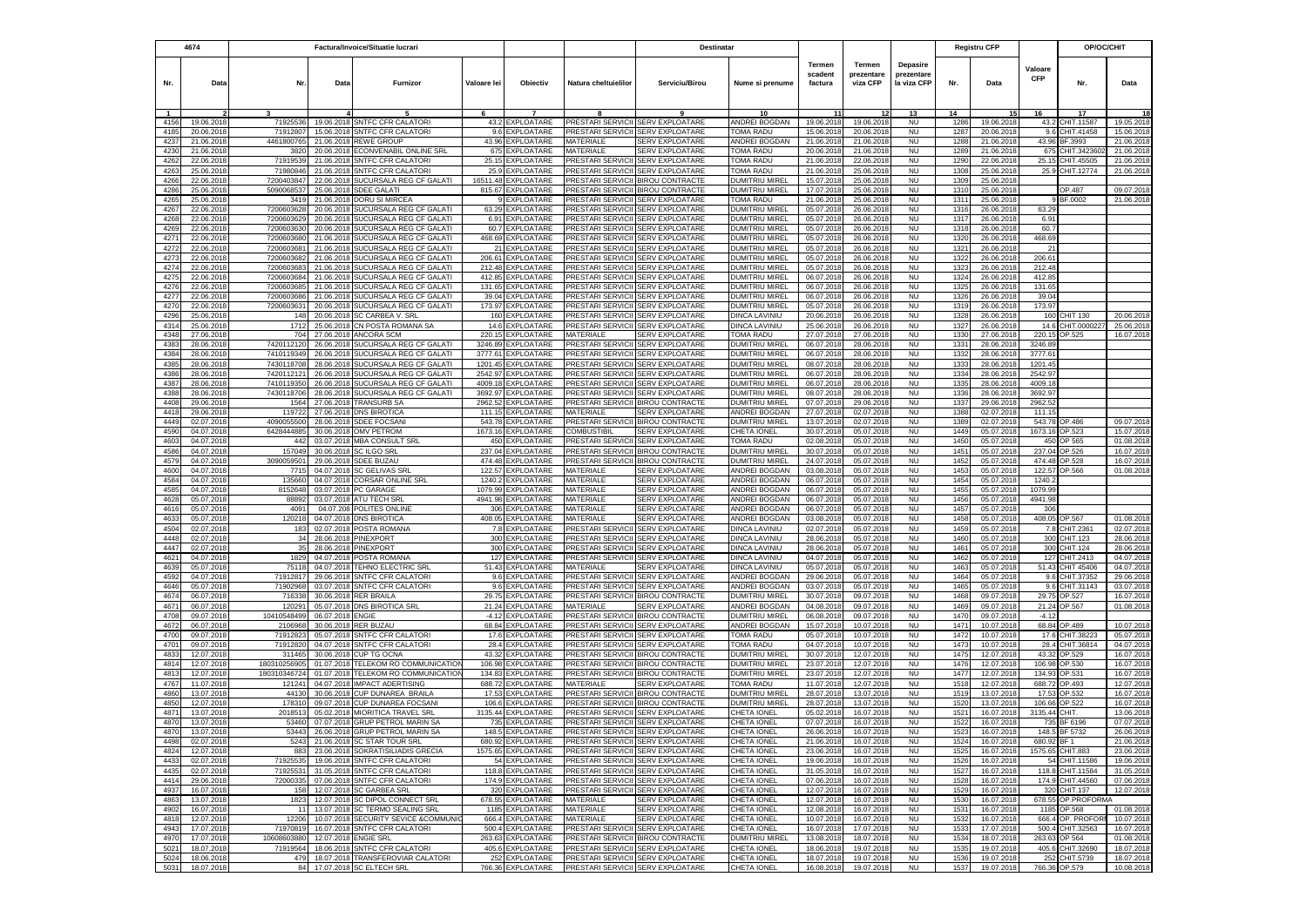|              | 4674                     | Factura/Invoice/Situatie lucrari |                          |                                                               |                    | Destinatar                             |                                        |                                                             |                                         | <b>Registru CFP</b>                 |                                  |                                              | OP/OC/CHIT   |                          |                       |                              |                        |
|--------------|--------------------------|----------------------------------|--------------------------|---------------------------------------------------------------|--------------------|----------------------------------------|----------------------------------------|-------------------------------------------------------------|-----------------------------------------|-------------------------------------|----------------------------------|----------------------------------------------|--------------|--------------------------|-----------------------|------------------------------|------------------------|
| Nr.          | Data                     | Nr                               | Data                     | Furnizor                                                      | Valoare lei        | Objectiv                               | Natura cheltuielilor                   | Serviciu/Birou                                              | Nume si prenume                         | <b>Termen</b><br>scadent<br>factura | Termen<br>prezentare<br>viza CFP | <b>Depasire</b><br>prezentare<br>la viza CFP | Nr.          | Data                     | Valoare<br><b>CFP</b> | Nr.                          | Data                   |
|              |                          |                                  |                          |                                                               |                    |                                        |                                        |                                                             |                                         |                                     |                                  | 13                                           | 14           |                          |                       | 17                           |                        |
| 4156         | 19.06.201                | 71925536                         | 19.06.2018               | <b>SNTFC CFR CALATOR</b>                                      | 43.2               | <b>EXPLOATARE</b>                      | PRESTARI SERVICII                      | <b>SERV EXPLOATARE</b>                                      | ANDREI BOGDAN                           | 19.06.2018                          | 19.06.2018                       | <b>NU</b>                                    | 1286         | 19.06.2018               | 43.2                  | CHIT.11587                   | 19.05.201              |
| 4185         | 20.06.201                | 71912807                         | 15.06.2018               | SNTFC CFR CALATORI                                            |                    | 9.6 EXPLOATARE                         |                                        | PRESTARI SERVICII SERV EXPLOATARE                           | TOMA RADU                               | 15.06.2018                          | 20.06.2018                       | <b>NU</b>                                    | 1287         | 20.06.201                | 9.6                   | CHIT.41458                   | 15.06.201              |
| 4237         | 21.06.201                | 446180076                        | 21.06.2018               | REWE GROUP                                                    | 43.96              | <b>XPLOATARE</b>                       | MATERIALE                              | <b>SERV EXPLOATARE</b>                                      | <b>INDREI BOGDAN</b>                    | 21.06.201                           | 21.06.201                        | <b>NU</b>                                    | 1288         | 21.06.201                | 43.96                 | BF.3993                      | 21.06.201              |
| 4230         | 21.06.2018               | 3820                             |                          | 20.06.2018 ECONVENABIL ONLINE SRL                             | 675                | EXPLOATARE                             | MATERIALE                              | <b>SERV EXPLOATARE</b>                                      | <b>TOMA RADU</b>                        | 20.06.201                           | 21.06.2018                       | <b>NU</b>                                    | 1289         | 21.06.2018               | 675                   | CHIT.342360                  | 21.06.201              |
| 4262<br>4263 | 22.06.2018<br>25.06.2018 | 71919539<br>71980846             | 21.06.2018               | <b>SNTFC CFR CALATORI</b><br>21.06.2018 SNTFC CFR CALATORI    | 25.15<br>25.9      | EXPLOATARE<br>EXPLOATARE               | PRESTARI SERVICII<br>PRESTARI SERVICII | <b>SERV EXPLOATARE</b><br><b>SERV EXPLOATARE</b>            | <b>TOMA RADU</b><br><b>TOMA RADU</b>    | 21.06.201<br>21.06.201              | 22.06.2018<br>25.06.2018         | <b>NU</b><br><b>NU</b>                       | 1290<br>1308 | 22.06.201<br>25.06.2018  | 25.15<br>25.9         | CHIT.45505<br>CHIT.12774     | 21.06.201<br>21.06.201 |
| 4266         | 22.06.2018               | 7200403847                       |                          | 22.06.2018 SUCURSALA REG CF GALATI                            | 16511.48           | <b>EXPLOATARE</b>                      |                                        | PRESTARI SERVICII BIROU CONTRACTE                           | DUMITRIU MIREL                          | 15.07.2018                          | 25.06.2018                       | <b>NU</b>                                    | 1309         | 25.06.2018               |                       |                              |                        |
| 4286         | 25.06.201                | 509006853                        |                          | 25.06.2018 SDEE GALATI                                        |                    | 815.67 EXPLOATARE                      |                                        | PRESTARI SERVICII BIROU CONTRACTE                           | DUMITRIU MIREL                          | 17.07.2018                          | 25.06.2018                       | <b>NU</b>                                    | 1310         | 25.06.201                |                       | OP.487                       | 09.07.201              |
| 4265         | 25.06.201                | 341                              | 21.06.2018               | <b>DORU SI MIRCEA</b>                                         |                    | 9 EXPLOATARE                           |                                        | PRESTARI SERVICII SERV EXPLOATARE                           | TOMA RADU                               | 21.06.201                           | 25.06.2018                       | <b>NU</b>                                    | 1311         | 25.06.201                |                       | BF.0002                      | 21.06.201              |
| 4267         | 22.06.201                | 720060362                        | 20.06.2018               | SUCURSALA REG CF GALAT                                        | 63.29              | <b>EXPLOATARE</b>                      | <b>PRESTARI SERVICII</b>               | <b>SERV EXPLOATARE</b>                                      | DUMITRIU MIREL                          | 05.07.201                           | 26.06.2018                       | <b>NU</b>                                    | 1316         | 26.06.201                | 63.29                 |                              |                        |
| 4268         | 22.06.201                | 720060362                        | 20.06.2018               | SUCURSALA REG CF GALATI                                       | 6.91               | EXPLOATARE                             | <b>PRESTARI SERVICII</b>               | <b>SERV EXPLOATARE</b>                                      | DUMITRIU MIREL                          | 05.07.201                           | 26.06.2018                       | <b>NU</b>                                    | 1317         | 26.06.201                | 6.91                  |                              |                        |
| 4269         | 22.06.2018               | 720060363                        | 20.06.2018               | SUCURSALA REG CF GALATI                                       | 60.7               | EXPLOATARE                             | <b>PRESTARI SERVICII</b>               | <b>SERV EXPLOATARE</b>                                      | DUMITRIU MIREL                          | 05.07.201                           | 26.06.2018                       | <b>NU</b>                                    | 1318         | 26.06.201                | 60.7                  |                              |                        |
| 4271         | 22.06.2018               | 7200603680                       | 21.06.2018               | SUCURSALA REG CF GALATI                                       | 468.69             | <b>EXPLOATARE</b>                      | PRESTARI SERVICII                      | <b>SERV EXPLOATARE</b>                                      | DUMITRIU MIREL                          | 05.07.2018                          | 26.06.2018                       | <b>NU</b>                                    | 1320         | 26.06.2018               | 468.69                |                              |                        |
| 4272         | 22.06.2018               | 7200603681                       |                          | 21.06.2018 SUCURSALA REG CF GALATI                            |                    | 21 EXPLOATARE                          |                                        | PRESTARI SERVICII SERV EXPLOATARE                           | DUMITRIU MIREL                          | 05.07.2018                          | 26.06.2018                       | NU                                           | 1321         | 26.06.2018               | 21                    |                              |                        |
| 4273         | 22.06.2018               | 720060368                        | 21.06.2018               | SUCURSALA REG CF GALATI                                       | 206.61             | EXPLOATARE                             |                                        | PRESTARI SERVICII SERV EXPLOATARE                           | DUMITRIU MIREL                          | 05.07.2018                          | 26.06.201                        | <b>NU</b>                                    | 1322         | 26.06.2018               | 206.61                |                              |                        |
| 4274<br>4275 | 22.06.2018<br>22.06.2018 | 7200603683<br>7200603684         | 21.06.2018               | SUCURSALA REG CF GALATI<br>21.06.2018 SUCURSALA REG CF GALATI | 212.48             | <b>EXPLOATARE</b><br>412.85 EXPLOATARE | <b>PRESTARI SERVICII</b>               | <b>SERV EXPLOATARE</b><br>PRESTARI SERVICII SERV EXPLOATARE | DUMITRIU MIREL<br>DUMITRIU MIREL        | 05.07.2018<br>06.07.2018            | 26.06.2018<br>26.06.2018         | <b>NU</b><br><b>NU</b>                       | 1323<br>1324 | 26.06.201<br>26.06.201   | 212.48<br>412.85      |                              |                        |
| 4276         | 22.06.2018               | 7200603685                       |                          | 21.06.2018 SUCURSALA REG CF GALATI                            | 131.65             | <b>EXPLOATARE</b>                      | PRESTARI SERVICII                      | <b>SERV EXPLOATARE</b>                                      | DUMITRIU MIREL                          | 06.07.2018                          | 26.06.2018                       | <b>NU</b>                                    | 1325         | 26.06.201                | 131.65                |                              |                        |
| 4277         | 22.06.201                | 7200603686                       |                          | 21.06.2018 SUCURSALA REG CF GALATI                            | 39.04              | <b>EXPLOATARE</b>                      | PRESTARI SERVICII                      | <b>SERV EXPLOATARE</b>                                      | DUMITRIU MIREL                          | 06.07.201                           | 26.06.2018                       | <b>NU</b>                                    | 1326         | 26.06.201                | 39.04                 |                              |                        |
| 4270         | 22.06.2018               | 7200603631                       |                          | 20.06.2018 SUCURSALA REG CF GALATI                            |                    | 173.97 EXPLOATARE                      |                                        | PRESTARI SERVICII SERV EXPLOATARE                           | DUMITRIU MIREL                          | 05.07.2018                          | 26.06.2018                       | <b>NU</b>                                    | 1319         | 26.06.201                | 173.97                |                              |                        |
| 4296         | 25.06.201                | 148                              | 20.06.2018               | SC CARBEA V. SRL                                              |                    | 160 EXPLOATARE                         | PRESTARI SERVICII                      | <b>SERV EXPLOATARE</b>                                      | <b>DINCA LAVINIU</b>                    | 20.06.201                           | 26.06.201                        | <b>NU</b>                                    | 1328         | 26.06.201                | 160                   | CHIT 130                     | 20.06.201              |
| 4314         | 25.06.201                | 1712                             | 25.06.201                | CN POSTA ROMANA SA                                            | 14.6               | EXPLOATARE                             | PRESTARI SERVICII                      | <b>SERV EXPLOATARE</b>                                      | DINCA LAVINIU                           | 25.06.201                           | 26.06.201                        | <b>NU</b>                                    | 1327         | 26.06.201                | 14.6                  | CHIT.000022                  | 25.06.20               |
| 4348         | 27.06.201                | 70                               | 27.06.201                | ANCORA SCM                                                    | 220.15             | EXPLOATARE                             | MATERIALE                              | <b>SERV EXPLOATARE</b>                                      | TOMA RADU                               | 27.07.201                           | 27.06.201                        | <b>NU</b>                                    | 1330         | 27.06.201                | 220.1                 | OP.525                       | 16.07.201              |
| 4383         | 28.06.201                | 742011212                        | 26.06.201                | SUCURSALA REG CF GALATI                                       | 3246.89            | EXPLOATARE                             | <b>PRESTARI SERVIC</b>                 | <b>SERV EXPLOATARE</b>                                      | <b>DUMITRIU MIREL</b>                   | 06.07.201                           | 28.06.2018                       | <b>NU</b>                                    | 1331         | 28.06.201                | 3246.8                |                              |                        |
| 4384         | 28.06.201                | 7410119349                       | 26.06.201                | SUCURSALA REG CF GALATI                                       | 3777.61            | <b>XPLOATARE</b>                       | <b>PRESTARI SERVICII</b>               | SERV EXPLOATARE                                             | DUMITRIU MIREL                          | 06.07.201                           | 28.06.2018                       | <b>NU</b>                                    | 1332         | 28.06.201                | 3777.6                |                              |                        |
| 4385         | 28.06.201                | 7430118708                       | 28.06.201                | SUCURSALA REG CF GALATI                                       | 1201.45            | <b>XPLOATARE</b>                       | PRESTARI SERVICII<br>PRESTARI SERVICII | <b>SERV EXPLOATARE</b>                                      | DUMITRIU MIREL                          | 08.07.201                           | 28.06.2018                       | <b>NU</b><br><b>NU</b>                       | 1333<br>1334 | 28.06.201                | 1201.4                |                              |                        |
| 4386<br>4387 | 28.06.201<br>28.06.201   | 7420112121<br>7410119350         | 26.06.201<br>26.06.201   | SUCURSALA REG CF GALATI<br>SUCURSALA REG CF GALATI            | 2542.97<br>4009.18 | EXPLOATARE<br><b>XPLOATARE</b>         | PRESTARI SERVICII                      | SERV EXPLOATARE<br><b>SERV EXPLOATARE</b>                   | DUMITRIU MIREL<br><b>DUMITRIU MIREL</b> | 06.07.2018<br>06.07.201             | 28.06.2018<br>28.06.201          | <b>NU</b>                                    | 1335         | 28.06.201<br>28.06.201   | 2542.9<br>4009.1      |                              |                        |
| 4388         | 28.06.201                | 7430118706                       | 28.06.2018               | SUCURSALA REG CF GALATI                                       | 3692.97            | <b>XPLOATARE</b>                       | PRESTARI SERVICII                      | SERV EXPLOATARE                                             | DUMITRIU MIREI                          | 08.07.201                           | 28.06.201                        | <b>NU</b>                                    | 1336         | 28.06.201                | 3692.9                |                              |                        |
| 4408         | 29.06.2018               | 1564                             | 27.06.2018               | <b>TRANSURB SA</b>                                            | 2962.52            | EXPLOATARE                             | PRESTARI SERVICII                      | <b>BIROU CONTRACTE</b>                                      | DUMITRIU MIREL                          | 07.07.2018                          | 29.06.2018                       | <b>NU</b>                                    | 1337         | 29.06.201                | 2962.52               |                              |                        |
| 4418         | 29.06.2018               | 11972                            |                          | 27.06.2018 DNS BIROTICA                                       | 111.15             | EXPLOATARE                             | <b>MATFRIALE</b>                       | <b>SERV EXPLOATARE</b>                                      | <b>ANDREI BOGDAN</b>                    | 27.07.201                           | 02.07.2018                       | <b>NU</b>                                    | 1388         | 02.07.201                | 111.1!                |                              |                        |
| 4449         | 02.07.2018               | 4090055500                       |                          | 28.06.2018 SDEE FOCSANI                                       | 543.78             | EXPLOATARE                             | <b>PRESTARI SERVICII</b>               | <b>BIROU CONTRACTE</b>                                      | DUMITRIU MIREL                          | 13.07.201                           | 02.07.2018                       | <b>NU</b>                                    | 1389         | 02.07.201                | 543.78                | OP.486                       | 09.07.201              |
| 4590         | 04.07.2018               | 6428444885                       |                          | 30.06.2018 OMV PETROM                                         | 1673.16            | EXPLOATARE                             | <b>COMBUSTIBIL</b>                     | <b>SERV EXPLOATARE</b>                                      | CHETA IONEL                             | 30.07.2018                          | 05.07.2018                       | <b>NU</b>                                    | 1449         | 05.07.2018               | 1673.16               | OP.523                       | 15.07.201              |
| 4603         | 04.07.201                | 442                              |                          | 03.07.2018 MBA CONSULT SRL                                    | 450                | EXPLOATARE                             | PRESTARI SERVICII                      | <b>SERV EXPLOATARE</b>                                      | TOMA RADU                               | 02.08.201                           | 05.07.2018                       | <b>NU</b>                                    | 1450         | 05.07.201                | 450                   | OP 565                       | 01.08.201              |
| 4586         | 04.07.201                | 15704                            | 30.06.2018               | <b>SC ILGO SRL</b>                                            | 237.04             | <b>EXPLOATARE</b>                      | PRESTARI SERVICII                      | <b>BIROU CONTRACTE</b>                                      | DUMITRIU MIREL                          | 30.07.201                           | 05.07.201                        | <b>NU</b>                                    | 1451         | 05.07.201                | 237.04                | OP.526                       | 16.07.201              |
| 4579         | 04.07.201                | 309005950                        | 29.06.2018               | <b>SDEE BUZAU</b>                                             | 474.48             | <b>EXPLOATARE</b>                      | PRESTARI SERVICII                      | <b>BIROU CONTRACTE</b>                                      | DUMITRIU MIREL                          | 24.07.201                           | 05.07.2018                       | <b>NU</b>                                    | 1452         | 05.07.201                | 474.48                | OP.528                       | 16.07.201              |
| 4600<br>4584 | 04.07.201                | 771                              | 04.07.2018               | <b>SC GELIVAS SRI</b>                                         | 122.57             | <b>XPLOATARE</b>                       | MATERIALE                              | <b>SERV EXPLOATARE</b>                                      | ANDREI BOGDAN<br><b>ANDREI BOGDAN</b>   | 03.08.201                           | 05.07.2018                       | <b>NU</b><br>NU                              | 1453<br>1454 | 05.07.201                | 122.57                | OP.566                       | 01.08.201              |
| 4585         | 04.07.2018<br>04.07.2018 | 13566<br>8152648                 |                          | 04.07.2018 CORSAR ONLINE SRL<br>03.07.2018 PC GARAGE          | 1240.2<br>1079.99  | <b>XPLOATARE</b><br>EXPLOATARE         | MATERIALE<br>MATERIALE                 | SERV EXPLOATARE<br>SERV EXPLOATARE                          | ANDREI BOGDAN                           | 06.07.201<br>06.07.2018             | 05.07.2018<br>05.07.2018         | <b>NU</b>                                    | 1455         | 05.07.201<br>05.07.2018  | 1240.<br>1079.99      |                              |                        |
| 4628         | 05.07.2018               | 8889                             |                          | 03.07.2018 ATU TECH SRL                                       |                    | 4941.98 EXPLOATARE                     | MATERIALE                              | <b>SERV EXPLOATARE</b>                                      | ANDREI BOGDAN                           | 06.07.2018                          | 05.07.2018                       | NU                                           | 1456         | 05.07.2018               | 4941.98               |                              |                        |
| 4616         | 05.07.2018               | 409                              |                          | 04.07.208 POLITES ONLINE                                      | 306                | EXPLOATARE                             | MATERIALE                              | <b>SERV EXPLOATARE</b>                                      | ANDREI BOGDAN                           | 06.07.2018                          | 05.07.201                        | <b>NU</b>                                    | 1457         | 05.07.201                | 306                   |                              |                        |
| 4633         | 05.07.2018               | 120218                           |                          | 04.07.2018 DNS BIROTICA                                       | 408.05             | <b>EXPLOATARE</b>                      | MATERIALE                              | SERV EXPLOATARE                                             | <b>INDREI BOGDAN</b>                    | 03.08.201                           | 05.07.2018                       | <b>NU</b>                                    | 1458         | 05.07.2018               | 408.05                | OP.567                       | 01.08.201              |
| 4504         | 02.07.2018               | 183                              |                          | 02.07.2018 POSTA ROMANA                                       |                    | 7.8 EXPLOATARE                         | PRESTARI SERVICII                      | <b>SERV EXPLOATARE</b>                                      | DINCA LAVINIU                           | 02.07.201                           | 05.07.2018                       | <b>NU</b>                                    | 1459         | 05.07.2018               | 7.8                   | CHIT.2361                    | 02.07.201              |
| 4448         | 02.07.2018               | 34                               |                          | 28.06.2018 PINEXPORT                                          |                    | 300 EXPLOATARE                         | PRESTARI SERVICII                      | <b>SERV EXPLOATARE</b>                                      | DINCA LAVINIU                           | 28.06.201                           | 05.07.2018                       | <b>NU</b>                                    | 1460         | 05.07.2018               | 300                   | CHIT.123                     | 28.06.201              |
| 4447         | 02.07.2018               | 35                               |                          | 28.06.2018 PINEXPORT                                          |                    | 300 EXPLOATARE                         | PRESTARI SERVICII                      | <b>SERV EXPLOATARE</b>                                      | DINCA LAVINIU                           | 28.06.2018                          | 05.07.2018                       | <b>NU</b>                                    | 1461         | 05.07.2018               | 300                   | CHIT.124                     | 28.06.201              |
| 4621         | 04.07.2018               | 1829                             |                          | 04.07.2018 POSTA ROMANA                                       |                    | 127 EXPLOATARE                         |                                        | PRESTARI SERVICII SERV EXPLOATARE                           | DINCA LAVINIU                           | 04.07.2018                          | 05.07.2018                       | <b>NU</b>                                    | 1462         | 05.07.2018               | 127                   | CHIT.2413                    | 04.07.201              |
| 4639<br>4592 | 05.07.201<br>04.07.201   | 7511<br>7191281                  | 04.07.2018<br>29.06.201  | TEHNO ELECTRIC SRL<br>SNTFC CFR CALATOR                       | 9.6                | 51.43 EXPLOATARE<br><b>EXPLOATARE</b>  | MATERIALE<br><b>PRESTARI SERVICII</b>  | <b>SERV EXPLOATARE</b><br><b>SERV EXPLOATARE</b>            | <b>DINCA LAVINIU</b><br>ANDREI BOGDAN   | 05.07.201<br>29.06.201              | 05.07.201<br>05.07.2018          | <b>NU</b><br><b>NU</b>                       | 1463<br>1464 | 05.07.201<br>05.07.201   | 51.43<br>9.6          | CHIT 45406<br>CHIT.37352     | 04.07.201<br>29.06.201 |
| 4646         | 05.07.201                | 7190296                          | 03.07.2018               | <b>SNTFC CFR CALATOR</b>                                      | 9.6                | EXPLOATARE                             | <b>PRESTARI SERVICII</b>               | <b>SERV EXPLOATARE</b>                                      | ANDREI BOGDAN                           | 03.07.201                           | 05.07.2018                       | <b>NU</b>                                    | 1465         | 05.07.201                | 9.6                   | CHIT.31143                   | 03.07.201              |
| 4674         | 06.07.2018               | 71633                            |                          | 30.06.2018 RER BRAILA                                         | 29.75              | EXPLOATARE                             | PRESTARI SERVICII                      | <b>BIROU CONTRACTE</b>                                      | DUMITRIU MIREL                          | 30.07.201                           | 09.07.2018                       | <b>NU</b>                                    | 1468         | 09.07.2018               | 29.75                 | OP.527                       | 16.07.201              |
| 4671         | 06.07.2018               | 12029                            | 05.07.2018               | <b>DNS BIROTICA SRL</b>                                       | 21.24              | EXPLOATARE                             | MATERIALE                              | SERV EXPLOATARE                                             | ANDREI BOGDAN                           | 04.08.201                           | 09.07.2018                       | <b>NU</b>                                    | 1469         | 09.07.2018               | 21.24                 | OP.567                       | 01.08.201              |
| 4708         | 09.07.2018               | 10410548499                      | 06.07.2018 ENGIE         |                                                               |                    | -4.12 EXPLOATARE                       |                                        | PRESTARI SERVICII BIROU CONTRACTE                           | DUMITRIU MIREL                          | 06.08.2018                          | 09.07.2018                       | <b>NU</b>                                    | 1470         | 09.07.2018               | $-4.12$               |                              |                        |
| 4672         | 06.07.2018               | 210696                           | 30.06.2018               | <b>RER BUZAU</b>                                              | 68.84              | <b>XPLOATARE</b>                       | PRESTARI SERVICII                      | <b>SERV EXPLOATARE</b>                                      | ANDREI BOGDAN                           | 15.07.201                           | 10.07.201                        | <b>NU</b>                                    | 1471         | 10.07.2018               | 68.84                 | OP.489                       | 10.07.201              |
| 4700         | 09.07.2018               | 71912823                         | 05.07.2018               | <b>SNTFC CFR CALATORI</b>                                     | 17.6               | EXPLOATARE                             | <b>PRESTARI SERVICII</b>               | <b>SERV EXPLOATARE</b>                                      | <b>TOMA RADU</b>                        | 05.07.2018                          | 10.07.2018                       | <b>NU</b>                                    | 1472         | 10.07.2018               | 17.6                  | CHIT.38223                   | 05.07.201              |
| 4701         | 09.07.2018               | 71912820                         |                          | 04.07.2018 SNTFC CFR CALATORI                                 | 28.4               | <b>EXPLOATARE</b>                      | PRESTARI SERVICII                      | <b>SERV EXPLOATARE</b>                                      | <b>TOMA RADU</b>                        | 04.07.2018                          | 10.07.2018                       | <b>NU</b>                                    | 1473         | 10.07.2018               | 28.4                  | CHIT.36814                   | 04.07.201              |
| 4833         | 12.07.2018               | 311465                           |                          | 30.06.2018 CUP TG OCNA                                        | 43.32              | EXPLOATARE                             | PRESTARI SERVICII                      | <b>BIROU CONTRACTE</b>                                      | DUMITRIU MIREL                          | 30.07.201                           | 12.07.2018                       | <b>NU</b>                                    | 1475         | 12.07.2018               | 43.32                 | OP.529                       | 16.07.201              |
| 4814         | 12.07.2018               | 180310256905                     | 01.07.2018               | TELEKOM RO COMMUNICATIOI                                      | 106.98             | EXPLOATARE                             | PRESTARI SERVICII                      | <b>BIROU CONTRACTE</b>                                      | DUMITRIU MIREL                          | 23.07.2018                          | 12.07.2018                       | <b>NU</b>                                    | 1476         | 12.07.2018               | 106.98                | OP.530                       | 16.07.201              |
| 4813<br>4767 | 12.07.2018<br>11.07.201  | 18031034672<br>12124             | 01.07.2018<br>04.07.2018 | TELEKOM RO COMMUNICATION<br><b>IMPACT ADERTISING</b>          | 134.83<br>688.72   | EXPLOATARE<br>EXPLOATARE               | MATERIALE                              | PRESTARI SERVICII BIROU CONTRACTE<br><b>SERV EXPLOATARE</b> | DUMITRIU MIREL<br>TOMA RADU             | 23.07.2018<br>11.07.201             | 12.07.2018<br>12.07.201          | <b>NU</b><br><b>NU</b>                       | 1477<br>1518 | 12.07.2018<br>12.07.201  | 134.93<br>688.72      | OP.531<br>OP.493             | 16.07.201<br>12.07.201 |
| 4860         | 13.07.201                | 4413                             | 30.06.2018               | CUP DUNAREA BRAILA                                            | 17.53              | <b>EXPLOATARE</b>                      | PRESTARI SERVICII                      | <b>BIROU CONTRACTE</b>                                      | DUMITRIU MIREL                          | 28.07.201                           | 13.07.201                        | <b>NU</b>                                    | 1519         | 13.07.201                | 17.53                 | OP.532                       | 16.07.201              |
| 4850         | 12.07.201                | 17831                            | 09.07.201                | <b>CUP DUNAREA FOCSAN</b>                                     | 106.6              | EXPLOATARE                             | <b>PRESTARI SERVICII</b>               | <b>BIROU CONTRACTE</b>                                      | DUMITRIU MIREL                          | 28.07.201                           | 13.07.2018                       | <b>NU</b>                                    | 1520         | 13.07.201                | 106.66                | OP.522                       | 16.07.201              |
| 4871         | 13.07.201                | 201851                           | 05.02.2018               | MIORITICA TRAVEL SRL                                          | 3135.44            | EXPLOATARE                             | <b>PRESTARI SERVICII</b>               | <b>SERV EXPLOATARE</b>                                      | CHETA IONEI                             | 05.02.201                           | 16.07.201                        | <b>NU</b>                                    | 1521         | 16.07.201                | 3135.44               | <b>HIT</b>                   | 13.06.201              |
| 4870         | 13.07.2018               | 53460                            |                          | 07.07.2018 GRUP PETROL MARIN SA                               |                    | 735 EXPLOATARE                         |                                        | PRESTARI SERVICII SERV EXPLOATARE                           | CHETA IONEL                             | 07.07.2018                          | 16.07.2018                       | <b>NU</b>                                    | 1522         | 16.07.201                | 735                   | BF 6196                      | 07.07.201              |
| 4870         | 13.07.2018               | 53443                            |                          | 26.06.2018 GRUP PETROL MARIN SA                               |                    | 148.5 EXPLOATARE                       | PRESTARI SERVICII SERV EXPLOATARE      |                                                             | CHETA IONEL                             | 26.06.2018                          | 16.07.2018                       | <b>NU</b>                                    | 1523         | 16.07.2018               | 148.5                 | BF 5732                      | 26.06.2018             |
| 4498         | 02.07.2018               | 5243                             |                          | 21.06.2018 SC STAR TOUR SRL                                   |                    | 680.92 EXPLOATARE                      | PRESTARI SERVICII SERV EXPLOATARE      |                                                             | CHETA IONEL                             | 21.06.2018                          | 16.07.2018                       | <b>NU</b>                                    | 1524         | 16.07.2018               | 680.92 BF 1           |                              | 21.06.2018             |
| 4824         | 12.07.2018               | 883                              |                          | 23.06.2018 SOKRATISILIADIS GRECIA                             |                    | 1575.65 EXPLOATARE                     |                                        | PRESTARI SERVICII SERV EXPLOATARE                           | CHETA IONEL                             | 23.06.2018                          | 16.07.2018                       | <b>NU</b>                                    | 1525         | 16.07.2018               | 1575.65               | CHIT.883                     | 23.06.2018             |
| 4433         | 02.07.2018               | 71925535                         |                          | 19.06.2018 SNTFC CFR CALATORI                                 |                    | 54 EXPLOATARE                          |                                        | PRESTARI SERVICII SERV EXPLOATARE                           | CHETA IONEL                             | 19.06.2018                          | 16.07.2018                       | <b>NU</b>                                    | 1526         | 16.07.2018               |                       | 54 CHIT.11586                | 19.06.2018             |
| 4435         | 02.07.2018               | 71925531                         |                          | 31.05.2018 SNTFC CFR CALATORI                                 |                    | 118.8 EXPLOATARE                       |                                        | PRESTARI SERVICII SERV EXPLOATARE                           | CHETA IONEL                             | 31.05.2018                          | 16.07.2018                       | <b>NU</b>                                    | 1527         | 16.07.2018               | 118.8                 | CHIT.11584                   | 31.05.2018             |
| 4414         | 29.06.2018               | 72000335                         |                          | 07.06.2018 SNTFC CFR CALATORI                                 |                    | 174.9 EXPLOATARE                       |                                        | PRESTARI SERVICII SERV EXPLOATARE                           | CHETA IONEL                             | 07.06.2018                          | 16.07.2018                       | <b>NU</b>                                    | 1528         | 16.07.2018               | 174.9                 | CHIT.44560                   | 07.06.2018             |
| 4937         | 16.07.2018               | 158                              |                          | 12.07.2018 SC GARBEA SRL<br>12.07.2018 SC DIPOL CONNECT SRL   |                    | 320 EXPLOATARE                         |                                        | PRESTARI SERVICII SERV EXPLOATARE                           | CHETA IONEL<br>CHETA IONEL              | 12.07.2018                          | 16.07.2018                       | <b>NU</b>                                    | 1529         | 16.07.2018               |                       | 320 CHIT.137                 | 12.07.201              |
| 4863<br>4902 | 13.07.2018<br>16.07.2018 | 1823                             |                          | 13.07.2018 SC TERMO SEALING SRL                               |                    | 678.55 EXPLOATARE<br>1185 EXPLOATARE   | MATERIALE<br>MATERIALE                 | <b>SERV EXPLOATARE</b><br>SERV EXPLOATARE                   | CHETA IONEL                             | 12.07.2018<br>12.08.2018            | 16.07.2018<br>16.07.2018         | <b>NU</b><br><b>NU</b>                       | 1530<br>1531 | 16.07.2018<br>16.07.2018 | 1185                  | 678.55 OP.PROFORMA<br>OP.568 | 01.08.201              |
| 4818         | 12.07.2018               | 12206                            |                          | 10.07.2018 SECURITY SEVICE &COMMUNIC                          |                    | 666.4 EXPLOATARE                       | MATERIALE                              | <b>SERV EXPLOATARE</b>                                      | CHETA IONEL                             | 10.07.2018                          | 16.07.2018                       | <b>NU</b>                                    | 1532         | 16.07.2018               | 666.4                 | OP. PROFOR                   | 10.07.201              |
| 4943         | 17.07.2018               | 71970819                         |                          | 16.07.2018 SNTFC CFR CALATORI                                 |                    | 500.4 EXPLOATARE                       |                                        | PRESTARI SERVICII SERV EXPLOATARE                           | CHETA IONEL                             | 16.07.2018                          | 17.07.2018                       | <b>NU</b>                                    | 1533         | 17.07.2018               | 500.4                 | CHIT.32563                   | 16.07.2018             |
| 4970         | 17.07.2018               | 10608603880                      |                          | 12.07.2018 ENGIE SRL                                          |                    | 263.63 EXPLOATARE                      |                                        | PRESTARI SERVICII BIROU CONTRACTE                           | <b>DUMITRIU MIREL</b>                   | 13.08.2018                          | 18.07.2018                       | <b>NU</b>                                    | 1534         | 18.07.2018               | 263.63                | OP 564                       | 01.08.2018             |
| 5021         | 18.07.2018               | 71919564                         |                          | 18.06.2018 SNTFC CFR CALATORI                                 |                    | 405.6 EXPLOATARE                       |                                        | PRESTARI SERVICII SERV EXPLOATARE                           | CHETA IONEL                             | 18.06.2018                          | 19.07.2018                       | <b>NU</b>                                    | 1535         | 19.07.2018               | 405.6                 | CHIT.32690                   | 18.07.2018             |
| 5024         | 18.06.2018               | 479                              |                          | 18.07.2018 TRANSFEROVIAR CALATORI                             |                    | 252 EXPLOATARE                         | PRESTARI SERVICII SERV EXPLOATARE      |                                                             | <b>CHETA IONEL</b>                      | 18.07.2018                          | 19.07.2018                       | <b>NU</b>                                    | 1536         | 19.07.2018               | 252                   | CHIT.5739                    | 18.07.2018             |
| 5031         | 18.07.2018               | 84                               |                          | 17.07.2018 SC ELTECH SRL                                      |                    | 766.36 EXPLOATARE                      |                                        | PRESTARI SERVICII SERV EXPLOATARE                           | CHETA IONEL                             | 16.08.2018                          | 19.07.2018                       | <b>NU</b>                                    | 1537         | 19.07.2018               |                       | 766.36 OP.579                | 10.08.2018             |